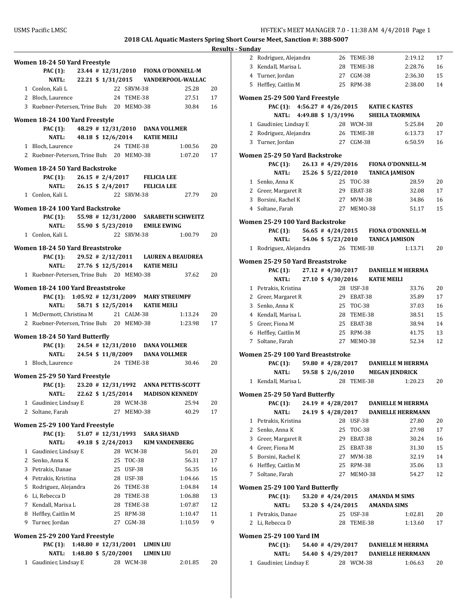| 1            | Gaudinier, Lindsay E                          |                      |  |          | 28 WCM-38  |                                      | 2:01.85                                       | 20      |
|--------------|-----------------------------------------------|----------------------|--|----------|------------|--------------------------------------|-----------------------------------------------|---------|
|              | NATL:                                         | 1:48.80 \$ 5/20/2001 |  |          |            | LIMIN LIU                            |                                               |         |
|              | PAC (1): $1:48.80 \# 12/31/2001$              |                      |  |          |            | LIMIN LIU                            |                                               |         |
|              | Women 25-29 200 Yard Freestyle                |                      |  |          |            |                                      |                                               |         |
| 9            | Turner, Jordan                                |                      |  |          | $CGM-38$   |                                      | 1:10.59                                       |         |
|              | 8 Heffley, Caitlin M                          |                      |  | 25<br>27 | RPM-38     |                                      | 1:10.47                                       | 11<br>9 |
|              | 7 Kendall, Marisa L                           |                      |  |          | TEME-38    |                                      | 1:07.87                                       | 12      |
|              |                                               |                      |  | 28<br>28 | TEME-38    |                                      | 1:06.88                                       | 13      |
|              | 5 Rodriguez, Alejandra<br>6 Li, Rebecca D     |                      |  | 26       | TEME-38    |                                      | 1:04.84                                       | 14      |
|              | 4 Petrakis, Kristina                          |                      |  | 28       | USF-38     |                                      | 1:04.66                                       | 15      |
|              | 3 Petrakis, Danae                             |                      |  | 25       | USF-38     |                                      | 56.35                                         | 16      |
|              | 2 Senko, Anna K                               |                      |  | 25       | TOC-38     |                                      | 56.31                                         | 17      |
|              | 1 Gaudinier, Lindsay E                        |                      |  |          | 28 WCM-38  |                                      | 56.01                                         | 20      |
|              | <b>NATL:</b>                                  | 49.18 \$ 2/24/2013   |  |          |            | <b>KIM VANDENBERG</b>                |                                               |         |
|              | <b>PAC</b> (1):                               | $51.07$ # 12/31/1993 |  |          |            | <b>SARA SHAND</b>                    |                                               |         |
|              | Women 25-29 100 Yard Freestyle                |                      |  |          |            |                                      |                                               |         |
| $\mathbf{2}$ | Soltane, Farah                                |                      |  | 27       | MEMO-38    |                                      | 40.29                                         | 17      |
| 1            | Gaudinier, Lindsay E                          |                      |  |          | 28 WCM-38  |                                      | 25.94                                         | 20      |
|              | <b>NATL:</b>                                  | 22.62 \$ 1/25/2014   |  |          |            |                                      | <b>MADISON KENNEDY</b>                        |         |
|              | PAC (1): 23.20 # 12/31/1992 ANNA PETTIS-SCOTT |                      |  |          |            |                                      |                                               |         |
|              | Women 25-29 50 Yard Freestyle                 |                      |  |          |            |                                      |                                               |         |
|              |                                               |                      |  |          |            |                                      |                                               |         |
|              | 1 Bloch, Laurence                             |                      |  |          | 24 TEME-38 |                                      | 30.46                                         | 20      |
|              | PAC (1): 24.54 # 12/31/2010 DANA VOLLMER      |                      |  |          |            | NATL: 24.54 \$11/8/2009 DANA VOLLMER |                                               |         |
|              | Women 18-24 50 Yard Butterfly                 |                      |  |          |            |                                      |                                               |         |
|              |                                               |                      |  |          |            |                                      |                                               |         |
|              | 2 Ruebner-Petersen, Trine Buh 20 MEMO-38      |                      |  |          |            |                                      | 1:23.98                                       | 17      |
|              | 1 McDermott, Christina M                      |                      |  |          | 21 CALM-38 |                                      | 1:13.24                                       | 20      |
|              | NATL:                                         |                      |  |          |            | 58.71 \$12/5/2014 KATIE MEILI        |                                               |         |
|              | PAC (1): 1:05.92 # 12/31/2009 MARY STREUMPF   |                      |  |          |            |                                      |                                               |         |
|              | Women 18-24 100 Yard Breaststroke             |                      |  |          |            |                                      |                                               |         |
|              | 1 Ruebner-Petersen, Trine Buh 20 MEMO-38      |                      |  |          |            |                                      | 37.62                                         | 20      |
|              | <b>NATL:</b>                                  |                      |  |          |            | 27.76 \$12/5/2014 KATIE MEILI        |                                               |         |
|              |                                               |                      |  |          |            |                                      | PAC (1): 29.52 # 2/12/2011 LAUREN A BEAUDREA  |         |
|              | Women 18-24 50 Yard Breaststroke              |                      |  |          |            |                                      |                                               |         |
|              |                                               |                      |  |          |            |                                      |                                               |         |
|              | 1 Conlon. Kali L                              |                      |  |          | 22 SRVM-38 |                                      | 1:00.79                                       | 20      |
|              |                                               |                      |  |          |            | NATL: 55.90 \$5/23/2010 EMILE EWING  | PAC (1): 55.98 # 12/31/2000 SARABETH SCHWEITZ |         |
|              | Women 18-24 100 Yard Backstroke               |                      |  |          |            |                                      |                                               |         |
|              |                                               |                      |  |          |            |                                      |                                               |         |
|              | 1 Conlon, Kali L                              |                      |  |          | 22 SRVM-38 |                                      | 27.79                                         | 20      |
|              |                                               |                      |  |          |            | NATL: 26.15 \$ 2/4/2017 FELICIA LEE  |                                               |         |
|              | PAC $(1)$ : 26.15 # 2/4/2017 FELICIA LEE      |                      |  |          |            |                                      |                                               |         |
|              | Women 18-24 50 Yard Backstroke                |                      |  |          |            |                                      |                                               |         |
|              | 2 Ruebner-Petersen, Trine Buh: 20 MEMO-38     |                      |  |          |            |                                      | 1:07.20                                       | 17      |
|              | 1 Bloch, Laurence                             |                      |  |          | 24 TEME-38 |                                      | 1:00.56                                       | 20      |
|              | <b>NATL:</b>                                  |                      |  |          |            | 48.18 \$12/6/2014 KATIE MEILI        |                                               |         |
|              | PAC (1): 48.29 # 12/31/2010 DANA VOLLMER      |                      |  |          |            |                                      |                                               |         |
|              | Women 18-24 100 Yard Freestyle                |                      |  |          |            |                                      |                                               |         |
|              | 3 Ruebner-Petersen, Trine Buh: 20 MEMO-38     |                      |  |          |            |                                      | 30.84                                         | 16      |
|              | 2 Bloch, Laurence                             |                      |  |          | 24 TEME-38 |                                      | 27.51                                         | 17      |
|              | 1 Conlon, Kali L                              |                      |  |          | 22 SRVM-38 |                                      | 25.28                                         | 20      |
|              |                                               |                      |  |          |            |                                      | NATL: 22.21 \$1/31/2015 VANDERPOOL-WALLAC     |         |
|              | <b>PAC (1):</b>                               |                      |  |          |            |                                      | 23.44 # 12/31/2010 FIONA O'DONNELL-M          |         |
|              | Women 18-24 50 Yard Freestyle                 |                      |  |          |            |                                      |                                               |         |
|              |                                               |                      |  |          |            |                                      |                                               | 1169    |

|             | 2 Rodriguez, Alejandra            |  | 26                    | TEME-38                |                                     | 2:19.12 | 17 |
|-------------|-----------------------------------|--|-----------------------|------------------------|-------------------------------------|---------|----|
|             | 3 Kendall, Marisa L               |  | 28                    | TEME-38                |                                     | 2:28.76 | 16 |
|             | 4 Turner, Jordan                  |  | 27                    | CGM-38                 |                                     | 2:36.30 | 15 |
|             | 5 Heffley, Caitlin M              |  | 25                    | RPM-38                 |                                     | 2:38.00 | 14 |
|             |                                   |  |                       |                        |                                     |         |    |
|             | Women 25-29 500 Yard Freestyle    |  |                       |                        |                                     |         |    |
|             | <b>PAC</b> (1):                   |  |                       |                        | 4:56.27 #4/26/2015 KATIE C KASTES   |         |    |
|             | NATL:                             |  | 4:49.88 \$1/3/1996    |                        | <b>SHEILA TAORMINA</b>              |         |    |
|             | 1 Gaudinier, Lindsay E            |  |                       | 28 WCM-38              |                                     | 5:25.84 | 20 |
|             | 2 Rodriguez, Alejandra            |  |                       | 26 TEME-38             |                                     | 6:13.73 | 17 |
| 3           | Turner, Jordan                    |  |                       | 27 CGM-38              |                                     | 6:50.59 | 16 |
|             |                                   |  |                       |                        |                                     |         |    |
|             | Women 25-29 50 Yard Backstroke    |  |                       |                        |                                     |         |    |
|             | <b>PAC</b> (1):                   |  | $26.13$ # $4/29/2016$ |                        | <b>FIONA O'DONNELL-M</b>            |         |    |
|             | <b>NATL:</b>                      |  | 25.26 \$ 5/22/2010    |                        | <b>TANICA JAMISON</b>               |         |    |
|             | 1 Senko, Anna K                   |  | 25                    | <b>TOC-38</b>          |                                     | 28.59   | 20 |
|             | 2 Greer, Margaret R               |  | 29                    | EBAT-38                |                                     | 32.08   | 17 |
|             | 3 Borsini, Rachel K               |  | 27                    | MVM-38                 |                                     | 34.86   | 16 |
|             | 4 Soltane, Farah                  |  |                       | 27 MEM0-38             |                                     | 51.17   | 15 |
|             | Women 25-29 100 Yard Backstroke   |  |                       |                        |                                     |         |    |
|             |                                   |  |                       |                        |                                     |         |    |
|             | <b>PAC</b> (1):                   |  |                       |                        | 56.65 #4/24/2015 FIONA O'DONNELL-M  |         |    |
|             | <b>NATL:</b>                      |  | 54.06 \$ 5/23/2010    |                        | <b>TANICA JAMISON</b>               |         |    |
|             | 1 Rodriguez, Alejandra            |  |                       | 26 TEME-38             |                                     | 1:13.71 | 20 |
|             | Women 25-29 50 Yard Breaststroke  |  |                       |                        |                                     |         |    |
|             | <b>PAC (1):</b>                   |  |                       |                        | 27.12 #4/30/2017 DANIELLE M HERRMA  |         |    |
|             | NATL:                             |  | 27.10 \$ 4/30/2016    |                        | <b>KATIE MEILI</b>                  |         |    |
|             | 1 Petrakis, Kristina              |  |                       | 28 USF-38              |                                     | 33.76   | 20 |
|             | 2 Greer, Margaret R               |  |                       | 29 EBAT-38             |                                     | 35.89   | 17 |
|             | 3 Senko, Anna K                   |  |                       | 25 TOC-38              |                                     | 37.03   | 16 |
|             | 4 Kendall, Marisa L               |  |                       | 28 TEME-38             |                                     | 38.51   | 15 |
|             | 5 Greer, Fiona M                  |  |                       | 25 EBAT-38             |                                     | 38.94   | 14 |
|             | 6 Heffley, Caitlin M              |  |                       | 25 RPM-38              |                                     | 41.75   | 13 |
| $7^{\circ}$ | Soltane, Farah                    |  | 27                    | MEMO-38                |                                     | 52.34   | 12 |
|             |                                   |  |                       |                        |                                     |         |    |
|             | Women 25-29 100 Yard Breaststroke |  |                       |                        |                                     |         |    |
|             | PAC (1):                          |  | 59.80 # 4/28/2017     |                        | <b>DANIELLE M HERRMA</b>            |         |    |
|             | <b>NATL:</b>                      |  | 59.58 \$ 2/6/2010     |                        | <b>MEGAN JENDRICK</b>               |         |    |
|             | 1 Kendall, Marisa L               |  |                       | 28 TEME-38             |                                     | 1:20.23 | 20 |
|             | Women 25-29 50 Yard Butterfly     |  |                       |                        |                                     |         |    |
|             | PAC (1):                          |  | 24.19 # 4/28/2017     |                        | <b>DANIELLE M HERRMA</b>            |         |    |
|             | <b>NATL:</b>                      |  |                       |                        | 24.19 \$4/28/2017 DANIELLE HERRMANN |         |    |
|             | 1 Petrakis, Kristina              |  |                       | 28 USF-38              |                                     | 27.80   | 20 |
|             | 2 Senko, Anna K                   |  | 25                    | <b>TOC-38</b>          |                                     | 27.98   | 17 |
| 3           | Greer, Margaret R                 |  |                       | 29 EBAT-38             |                                     | 30.24   | 16 |
|             | 4 Greer, Fiona M                  |  |                       | 25 EBAT-38             |                                     | 31.30   | 15 |
|             | 5 Borsini, Rachel K               |  |                       |                        |                                     |         |    |
|             |                                   |  |                       | 27 MVM-38<br>25 RPM-38 |                                     | 32.19   | 14 |
|             | 6 Heffley, Caitlin M              |  |                       |                        |                                     | 35.06   | 13 |
|             | 7 Soltane, Farah                  |  |                       | 27 MEM0-38             |                                     | 54.27   | 12 |
|             | Women 25-29 100 Yard Butterfly    |  |                       |                        |                                     |         |    |
|             | <b>PAC</b> (1):                   |  |                       |                        | 53.20 #4/24/2015 AMANDA M SIMS      |         |    |
|             | NATL:                             |  |                       |                        | 53.20 \$4/24/2015 AMANDA SIMS       |         |    |
|             | 1 Petrakis, Danae                 |  |                       | 25 USF-38              |                                     | 1:02.81 | 20 |
|             | 2 Li, Rebecca D                   |  | 28                    | TEME-38                |                                     | 1:13.60 | 17 |
|             |                                   |  |                       |                        |                                     |         |    |
|             | Women 25-29 100 Yard IM           |  |                       |                        |                                     |         |    |
|             | <b>PAC</b> (1):                   |  |                       |                        | 54.40 #4/29/2017 DANIELLE M HERRMA  |         |    |
|             | <b>NATL:</b>                      |  | 54.40 \$ 4/29/2017    |                        | <b>DANIELLE HERRMANN</b>            |         |    |
| 1           | Gaudinier, Lindsay E              |  |                       | 28 WCM-38              |                                     | 1:06.63 | 20 |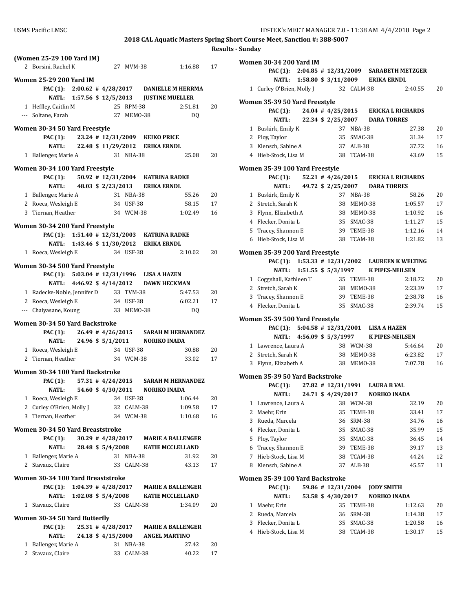|   |                                       |                           |                       |            |                                               | 11C <sub>2</sub> |
|---|---------------------------------------|---------------------------|-----------------------|------------|-----------------------------------------------|------------------|
|   | (Women 25-29 100 Yard IM)             |                           |                       |            |                                               |                  |
|   | 2 Borsini, Rachel K                   |                           |                       | 27 MVM-38  | 1:16.88                                       | 17               |
|   |                                       |                           |                       |            |                                               |                  |
|   | Women 25-29 200 Yard IM               |                           |                       |            | PAC (1): 2:00.62 #4/28/2017 DANIELLE M HERRMA |                  |
|   |                                       |                           |                       |            |                                               |                  |
|   |                                       |                           |                       |            | NATL: 1:57.56 \$12/5/2013 JUSTINE MUELLER     |                  |
|   | 1 Heffley, Caitlin M                  |                           | 25 RPM-38             |            | 2:51.81                                       | 20               |
|   | --- Soltane, Farah                    |                           |                       | 27 MEMO-38 | DQ                                            |                  |
|   | Women 30-34 50 Yard Freestyle         |                           |                       |            |                                               |                  |
|   |                                       |                           |                       |            | PAC (1): 23.24 # 12/31/2009 KEIKO PRICE       |                  |
|   |                                       |                           |                       |            | NATL: 22.48 \$11/29/2012 ERIKA ERNDL          |                  |
|   | 1 Ballenger, Marie A                  |                           |                       | 31 NBA-38  | 25.08                                         | 20               |
|   |                                       |                           |                       |            |                                               |                  |
|   | Women 30-34 100 Yard Freestyle        |                           |                       |            |                                               |                  |
|   |                                       |                           |                       |            | PAC (1): 50.92 # 12/31/2004 KATRINA RADKE     |                  |
|   |                                       |                           |                       |            | NATL: 48.03 \$ 2/23/2013 ERIKA ERNDL          |                  |
|   | 1 Ballenger, Marie A                  |                           |                       | 31 NBA-38  | 55.26                                         | 20               |
|   | 2 Roeca, Wesleigh E                   |                           |                       | 34 USF-38  | 58.15                                         | 17               |
|   | 3 Tiernan, Heather                    |                           | 34 WCM-38             |            | 1:02.49                                       | 16               |
|   |                                       |                           |                       |            |                                               |                  |
|   | Women 30-34 200 Yard Freestyle        |                           |                       |            | PAC (1): 1:51.40 # 12/31/2003 KATRINA RADKE   |                  |
|   |                                       |                           |                       |            | NATL: 1:43.46 \$11/30/2012 ERIKA ERNDL        |                  |
|   |                                       |                           |                       |            |                                               |                  |
|   | 1 Roeca, Wesleigh E                   |                           |                       | 34 USF-38  | 2:10.02                                       | 20               |
|   | Women 30-34 500 Yard Freestyle        |                           |                       |            |                                               |                  |
|   |                                       |                           |                       |            | PAC (1): 5:03.04 # 12/31/1996 LISA A HAZEN    |                  |
|   |                                       |                           |                       |            | NATL: 4:46.92 \$4/14/2012 DAWN HECKMAN        |                  |
|   | 1 Radecke-Noble, Jennifer D 33 TVM-38 |                           |                       |            | 5:47.53                                       | 20               |
|   | 2 Roeca, Wesleigh E                   |                           | 34 USF-38             |            | 6:02.21                                       | 17               |
|   | --- Chaiyasane, Koung 33 MEMO-38      |                           |                       |            | DQ                                            |                  |
|   |                                       |                           |                       |            |                                               |                  |
|   | Women 30-34 50 Yard Backstroke        |                           |                       |            |                                               |                  |
|   |                                       |                           |                       |            | PAC (1): 26.49 #4/26/2015 SARAH M HERNANDEZ   |                  |
|   | <b>NATL:</b>                          |                           |                       |            | 24.96 \$ 5/1/2011 NORIKO INADA                |                  |
|   | 1 Roeca, Wesleigh E                   |                           |                       | 34 USF-38  | 30.88                                         | 20               |
|   | 2 Tiernan, Heather                    |                           |                       | 34 WCM-38  | 33.02                                         | 17               |
|   |                                       |                           |                       |            |                                               |                  |
|   | Women 30-34 100 Yard Backstroke       |                           |                       |            |                                               |                  |
|   | PAC (1): $57.31 \# 4/24/2015$         |                           |                       |            | <b>SARAH M HERNANDEZ</b>                      |                  |
|   |                                       | NATL: 54.60 \$4/30/2011   |                       |            | <b>NORIKO INADA</b>                           |                  |
|   | 1 Roeca, Wesleigh E                   |                           |                       | 34 USF-38  | 1:06.44                                       | 20               |
|   | 2 Curley O'Brien, Molly J             |                           | 32                    | CALM-38    | 1:09.58                                       | 17               |
| 3 | Tiernan, Heather                      |                           |                       | 34 WCM-38  | 1:10.68                                       | 16               |
|   | Women 30-34 50 Yard Breaststroke      |                           |                       |            |                                               |                  |
|   | <b>PAC</b> (1):                       |                           | $30.29$ # $4/28/2017$ |            | <b>MARIE A BALLENGER</b>                      |                  |
|   | <b>NATL:</b>                          |                           | 28.48 \$ 5/4/2008     |            | <b>KATIE MCCLELLAND</b>                       |                  |
|   | 1 Ballenger, Marie A                  |                           |                       | 31 NBA-38  | 31.92                                         | 20               |
|   | 2 Stavaux, Claire                     |                           |                       | 33 CALM-38 | 43.13                                         | 17               |
|   |                                       |                           |                       |            |                                               |                  |
|   | Women 30-34 100 Yard Breaststroke     |                           |                       |            |                                               |                  |
|   | <b>PAC (1):</b>                       | $1:04.39$ # $4/28/2017$   |                       |            | <b>MARIE A BALLENGER</b>                      |                  |
|   |                                       | NATL: 1:02.08 \$ 5/4/2008 |                       |            | <b>KATIE MCCLELLAND</b>                       |                  |
|   | 1 Stavaux, Claire                     |                           |                       | 33 CALM-38 | 1:34.09                                       | 20               |
|   |                                       |                           |                       |            |                                               |                  |
|   | Women 30-34 50 Yard Butterfly         |                           |                       |            |                                               |                  |
|   | <b>PAC</b> (1):                       |                           | 25.31 # 4/28/2017     |            | <b>MARIE A BALLENGER</b>                      |                  |
|   | <b>NATL:</b>                          |                           | 24.18 \$ 4/15/2000    |            | <b>ANGEL MARTINO</b>                          |                  |
|   | 1 Ballenger, Marie A                  |                           |                       | 31 NBA-38  | 27.42                                         | 20               |
|   | 2 Stavaux, Claire                     |                           |                       | 33 CALM-38 | 40.22                                         | 17               |
|   |                                       |                           |                       |            |                                               |                  |

|   | Women 30-34 200 Yard IM                    |  |                    |               |                                |                                                 |    |
|---|--------------------------------------------|--|--------------------|---------------|--------------------------------|-------------------------------------------------|----|
|   |                                            |  |                    |               |                                | PAC (1): 2:04.85 # 12/31/2009 SARABETH METZGER  |    |
|   | NATL: 1:58.80 \$ 3/11/2009 ERIKA ERNDL     |  |                    |               |                                |                                                 |    |
|   | 1 Curley O'Brien, Molly J 32 CALM-38       |  |                    |               |                                | 2:40.55                                         | 20 |
|   | Women 35-39 50 Yard Freestyle              |  |                    |               |                                |                                                 |    |
|   | PAC (1):                                   |  |                    |               |                                | 24.04 #4/25/2015 ERICKA L RICHARDS              |    |
|   | <b>NATL:</b>                               |  |                    |               | 22.34 \$2/25/2007 DARA TORRES  |                                                 |    |
|   | 1 Buskirk, Emily K                         |  |                    | 37 NBA-38     |                                | 27.38                                           | 20 |
|   | 2 Ploy, Taylor                             |  |                    | 35 SMAC-38    |                                | 31.34                                           | 17 |
|   | 3 Klensch, Sabine A                        |  |                    | 37 ALB-38     |                                | 37.72                                           | 16 |
|   | 4 Hieb-Stock, Lisa M                       |  |                    | 38 TCAM-38    |                                | 43.69                                           | 15 |
|   | Women 35-39 100 Yard Freestyle             |  |                    |               |                                |                                                 |    |
|   | <b>PAC (1):</b>                            |  |                    |               |                                | 52.21 #4/26/2015 ERICKA L RICHARDS              |    |
|   | <b>NATL:</b>                               |  |                    |               | 49.72 \$ 2/25/2007 DARA TORRES |                                                 |    |
|   | 1 Buskirk, Emily K                         |  |                    | 37 NBA-38     |                                | 58.26                                           | 20 |
|   | 2 Stretch, Sarah K                         |  |                    | 38 MEM0-38    |                                | 1:05.57                                         | 17 |
|   | 3 Flynn, Elizabeth A                       |  |                    | 38 MEM0-38    |                                | 1:10.92                                         | 16 |
|   | 4 Flecker, Donita L                        |  |                    | 35 SMAC-38    |                                | 1:11.27                                         | 15 |
|   | 5 Tracey, Shannon E                        |  |                    | 39 TEME-38    |                                | 1:12.16                                         | 14 |
|   | 6 Hieb-Stock, Lisa M                       |  |                    | 38 TCAM-38    |                                | 1:21.82                                         | 13 |
|   |                                            |  |                    |               |                                |                                                 |    |
|   | Women 35-39 200 Yard Freestyle             |  |                    |               |                                | PAC (1): 1:53.33 # 12/31/2002 LAUREEN K WELTING |    |
|   | NATL: 1:51.55 \$ 5/3/1997                  |  |                    |               |                                | K PIPES-NEILSEN                                 |    |
|   | 1 Coggshall, Kathleen T                    |  |                    | 35 TEME-38    |                                | 2:18.72                                         | 20 |
|   | 2 Stretch, Sarah K                         |  |                    | 38 MEM0-38    |                                | 2:23.39                                         | 17 |
|   | 3 Tracey, Shannon E                        |  |                    | 39 TEME-38    |                                | 2:38.78                                         | 16 |
|   | 4 Flecker, Donita L                        |  |                    |               | 35 SMAC-38                     | 2:39.74                                         | 15 |
|   |                                            |  |                    |               |                                |                                                 |    |
|   | Women 35-39 500 Yard Freestyle             |  |                    |               |                                |                                                 |    |
|   | PAC (1): 5:04.58 # 12/31/2001 LISA A HAZEN |  |                    |               |                                |                                                 |    |
|   |                                            |  |                    |               |                                | NATL: 4:56.09 \$ 5/3/1997 K PIPES-NEILSEN       |    |
|   | 1 Lawrence, Laura A                        |  |                    | 38 WCM-38     |                                | 5:46.64                                         | 20 |
|   | 2 Stretch, Sarah K                         |  |                    | 38 MEM0-38    |                                | 6:23.82                                         | 17 |
|   | 3 Flynn, Elizabeth A                       |  |                    | 38 MEMO-38    |                                | 7:07.78                                         | 16 |
|   | Women 35-39 50 Yard Backstroke             |  |                    |               |                                |                                                 |    |
|   | PAC (1): 27.82 # 12/31/1991 LAURA B VAL    |  |                    |               |                                |                                                 |    |
|   | NATL: 24.71 \$4/29/2017 NORIKO INADA       |  |                    |               |                                |                                                 |    |
|   | 1 Lawrence, Laura A                        |  |                    | 38 WCM-38     |                                | 32.19                                           | 20 |
| 2 | Maehr, Erin                                |  | 35                 | TEME-38       |                                | 33.41                                           | 17 |
| 3 | Rueda, Marcela                             |  | 36                 | SRM-38        |                                | 34.76                                           | 16 |
|   | 4 Flecker, Donita L                        |  | 35                 | SMAC-38       |                                | 35.99                                           | 15 |
| 5 | Ploy, Taylor                               |  | 35                 | SMAC-38       |                                | 36.45                                           | 14 |
| 6 | Tracey, Shannon E                          |  | 39                 | TEME-38       |                                | 39.17                                           | 13 |
| 7 | Hieb-Stock, Lisa M                         |  | 38                 | TCAM-38       |                                | 44.24                                           | 12 |
| 8 | Klensch, Sabine A                          |  | 37                 | ALB-38        |                                | 45.57                                           | 11 |
|   | Women 35-39 100 Yard Backstroke            |  |                    |               |                                |                                                 |    |
|   | PAC (1):                                   |  | 59.86 # 12/31/2004 |               | <b>JODY SMITH</b>              |                                                 |    |
|   | <b>NATL:</b>                               |  | 53.58 \$ 4/30/2017 |               |                                | <b>NORIKO INADA</b>                             |    |
| 1 | Maehr, Erin                                |  | 35                 | TEME-38       |                                | 1:12.63                                         | 20 |
| 2 | Rueda, Marcela                             |  | 36                 | <b>SRM-38</b> |                                | 1:14.38                                         | 17 |
| 3 | Flecker, Donita L                          |  | 35                 | SMAC-38       |                                | 1:20.58                                         | 16 |
| 4 | Hieb-Stock, Lisa M                         |  | 38                 | TCAM-38       |                                | 1:30.17                                         | 15 |
|   |                                            |  |                    |               |                                |                                                 |    |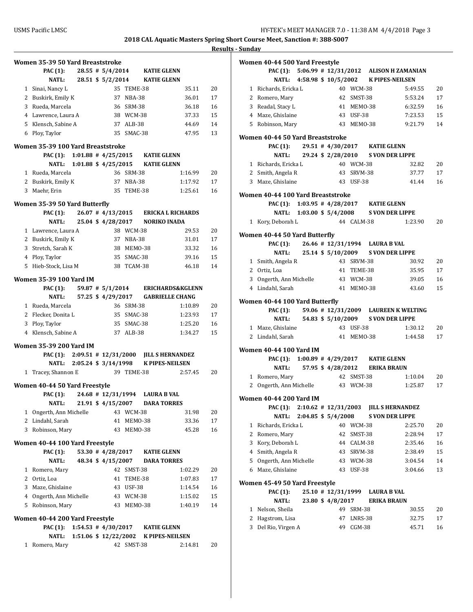|              | Women 35-39 50 Yard Breaststroke  |                            |                          |            |                        |                                    |    |
|--------------|-----------------------------------|----------------------------|--------------------------|------------|------------------------|------------------------------------|----|
|              | <b>PAC</b> (1):                   |                            | $28.55$ # $5/4/2014$     |            | <b>KATIE GLENN</b>     |                                    |    |
|              | <b>NATL:</b>                      |                            | 28.51 \$ 5/2/2014        |            | <b>KATIE GLENN</b>     |                                    |    |
|              | 1 Sinai, Nancy L                  |                            |                          | 35 TEME-38 |                        | 35.11                              | 20 |
|              | 2 Buskirk, Emily K                |                            | 37                       | NBA-38     |                        | 36.01                              | 17 |
|              | 3 Rueda, Marcela                  |                            |                          | 36 SRM-38  |                        | 36.18                              | 16 |
|              | 4 Lawrence, Laura A               |                            |                          | 38 WCM-38  |                        | 37.33                              | 15 |
|              | 5 Klensch, Sabine A               |                            | 37                       | ALB-38     |                        | 44.69                              | 14 |
|              | 6 Ploy, Taylor                    |                            |                          | 35 SMAC-38 |                        | 47.95                              | 13 |
|              | Women 35-39 100 Yard Breaststroke |                            |                          |            |                        |                                    |    |
|              | <b>PAC (1):</b>                   | $1:01.88$ # $4/25/2015$    |                          |            | KATIE GLENN            |                                    |    |
|              | <b>NATL:</b>                      |                            | $1:01.88$ \$ $4/25/2015$ |            | <b>KATIE GLENN</b>     |                                    |    |
|              | 1 Rueda, Marcela                  |                            |                          | 36 SRM-38  |                        | 1:16.99                            | 20 |
|              | 2 Buskirk, Emily K                |                            |                          | 37 NBA-38  |                        | 1:17.92                            | 17 |
|              | 3 Maehr, Erin                     |                            | 35                       | TEME-38    |                        | 1:25.61                            | 16 |
|              | Women 35-39 50 Yard Butterfly     |                            |                          |            |                        |                                    |    |
|              | <b>PAC (1):</b>                   |                            |                          |            |                        | 26.07 #4/13/2015 ERICKA L RICHARDS |    |
|              | <b>NATL:</b>                      |                            | 25.04 \$ 4/28/2017       |            | <b>NORIKO INADA</b>    |                                    |    |
|              | 1 Lawrence, Laura A               |                            |                          | 38 WCM-38  |                        | 29.53                              | 20 |
|              | 2 Buskirk, Emily K                |                            | 37                       | NBA-38     |                        | 31.01                              | 17 |
|              | 3 Stretch, Sarah K                |                            | 38                       | MEMO-38    |                        | 33.32                              | 16 |
|              | 4 Ploy, Taylor                    |                            |                          | 35 SMAC-38 |                        | 39.16                              | 15 |
|              | 5 Hieb-Stock, Lisa M              |                            | 38                       | TCAM-38    |                        | 46.18                              | 14 |
|              | <b>Women 35-39 100 Yard IM</b>    |                            |                          |            |                        |                                    |    |
|              | PAC (1):                          |                            | 59.87 # 5/1/2014         |            |                        | <b>ERICHARDS&amp;KGLENN</b>        |    |
|              | NATL:                             |                            | 57.25 \$ 4/29/2017       |            |                        | <b>GABRIELLE CHANG</b>             |    |
|              | 1 Rueda, Marcela                  |                            |                          | 36 SRM-38  |                        | 1:10.89                            | 20 |
|              | 2 Flecker, Donita L               |                            | 35                       | SMAC-38    |                        | 1:23.93                            | 17 |
|              | 3 Ploy, Taylor                    |                            |                          | 35 SMAC-38 |                        | 1:25.20                            | 16 |
|              | 4 Klensch, Sabine A               |                            |                          | 37 ALB-38  |                        | 1:34.27                            | 15 |
|              | <b>Women 35-39 200 Yard IM</b>    |                            |                          |            |                        |                                    |    |
|              | PAC $(1)$ : 2:09.51 # 12/31/2000  |                            |                          |            |                        | <b>JILL S HERNANDEZ</b>            |    |
|              |                                   | NATL: 2:05.24 \$ 3/14/1998 |                          |            | <b>K PIPES-NEILSEN</b> |                                    |    |
|              | 1 Tracey, Shannon E               |                            |                          | 39 TEME-38 |                        | 2:57.45                            | 20 |
|              |                                   |                            |                          |            |                        |                                    |    |
|              | Women 40-44 50 Yard Freestyle     |                            |                          |            |                        |                                    |    |
|              | PAC (1):                          |                            | 24.68 # 12/31/1994       |            | <b>LAURA B VAL</b>     |                                    |    |
|              | <b>NATL:</b>                      |                            | 21.91 \$ 4/15/2007       |            | <b>DARA TORRES</b>     |                                    |    |
|              | 1 Ongerth, Ann Michelle           |                            | 43                       | WCM-38     |                        | 31.98                              | 20 |
|              | 2 Lindahl, Sarah                  |                            | 41                       | MEMO-38    |                        | 33.36                              | 17 |
|              | 3 Robinson, Mary                  |                            | 43                       | MEMO-38    |                        | 45.28                              | 16 |
|              | Women 40-44 100 Yard Freestyle    |                            |                          |            |                        |                                    |    |
|              | <b>PAC</b> (1):                   |                            | 53.30 # 4/28/2017        |            | <b>KATIE GLENN</b>     |                                    |    |
|              | <b>NATL:</b>                      |                            | 48.34 \$4/15/2007        |            | <b>DARA TORRES</b>     |                                    |    |
|              | 1 Romero, Mary                    |                            |                          | 42 SMST-38 |                        | 1:02.29                            | 20 |
|              | 2 Ortiz, Loa                      |                            | 41                       | TEME-38    |                        | 1:07.83                            | 17 |
|              | 3 Maze, Ghislaine                 |                            | 43                       | USF-38     |                        | 1:14.54                            | 16 |
|              | 4 Ongerth, Ann Michelle           |                            |                          | 43 WCM-38  |                        | 1:15.02                            | 15 |
|              | 5 Robinson, Mary                  |                            | 43                       | MEMO-38    |                        | 1:40.19                            | 14 |
|              | Women 40-44 200 Yard Freestyle    |                            |                          |            |                        |                                    |    |
|              | PAC (1):                          | $1:54.53$ # $4/30/2017$    |                          |            | <b>KATIE GLENN</b>     |                                    |    |
|              | NATL:                             |                            | 1:51.06 \$ 12/22/2002    |            | <b>K PIPES-NEILSEN</b> |                                    |    |
| $\mathbf{1}$ | Romero, Mary                      |                            |                          | 42 SMST-38 |                        | 2:14.81                            | 20 |
|              |                                   |                            |                          |            |                        |                                    |    |

|   | Women 40-44 500 Yard Freestyle           |                            |                    |            |                               |                                                 |    |
|---|------------------------------------------|----------------------------|--------------------|------------|-------------------------------|-------------------------------------------------|----|
|   |                                          |                            |                    |            |                               | PAC (1): 5:06.99 # 12/31/2012 ALISON H ZAMANIAN |    |
|   |                                          | NATL: 4:58.98 \$ 10/5/2002 |                    |            |                               | <b>K PIPES-NEILSEN</b>                          |    |
|   | 1 Richards, Ericka L                     |                            |                    | 40 WCM-38  |                               | 5:49.55                                         | 20 |
|   | 2 Romero, Mary                           |                            |                    | 42 SMST-38 |                               | 5:53.24                                         | 17 |
|   | 3 Readal, Stacy L                        |                            |                    | 41 MEM0-38 |                               | 6:32.59                                         | 16 |
|   | 4 Maze, Ghislaine                        |                            |                    | 43 USF-38  |                               | 7:23.53                                         | 15 |
|   | 5 Robinson, Mary                         |                            |                    | 43 MEM0-38 |                               | 9:21.79                                         | 14 |
|   | Women 40-44 50 Yard Breaststroke         |                            |                    |            |                               |                                                 |    |
|   | <b>PAC</b> (1):                          |                            |                    |            | 29.51 #4/30/2017 KATIE GLENN  |                                                 |    |
|   | <b>NATL:</b>                             |                            |                    |            |                               | 29.24 \$2/28/2010 S VON DER LIPPE               |    |
|   | 1 Richards, Ericka L                     |                            |                    | 40 WCM-38  |                               | 32.82                                           | 20 |
|   | 2 Smith, Angela R                        |                            |                    | 43 SRVM-38 |                               | 37.77                                           | 17 |
|   | 3 Maze, Ghislaine                        |                            |                    | 43 USF-38  |                               | 41.44                                           | 16 |
|   |                                          |                            |                    |            |                               |                                                 |    |
|   | Women 40-44 100 Yard Breaststroke        |                            |                    |            |                               |                                                 |    |
|   | PAC (1): 1:03.95 # 4/28/2017 KATIE GLENN |                            |                    |            |                               |                                                 |    |
|   |                                          |                            |                    |            |                               | NATL: 1:03.00 \$5/4/2008 S VON DER LIPPE        |    |
|   | 1 Kory, Deborah L                        |                            |                    | 44 CALM-38 |                               | 1:23.90                                         | 20 |
|   | Women 40-44 50 Yard Butterfly            |                            |                    |            |                               |                                                 |    |
|   | <b>PAC (1):</b>                          |                            |                    |            | 26.46 #12/31/1994 LAURA B VAL |                                                 |    |
|   | <b>NATL:</b>                             |                            | 25.14 \$ 5/10/2009 |            |                               | <b>S VON DER LIPPE</b>                          |    |
|   | 1 Smith, Angela R                        |                            |                    | 43 SRVM-38 |                               | 30.92                                           | 20 |
|   | 2 Ortiz, Loa                             |                            |                    | 41 TEME-38 |                               | 35.95                                           | 17 |
|   | 3 Ongerth, Ann Michelle                  |                            |                    | 43 WCM-38  |                               | 39.05                                           | 16 |
|   | 4 Lindahl, Sarah                         |                            |                    | 41 MEM0-38 |                               | 43.60                                           | 15 |
|   | Women 40-44 100 Yard Butterfly           |                            |                    |            |                               |                                                 |    |
|   | <b>PAC</b> (1):                          |                            |                    |            |                               | 59.06 #12/31/2009 LAUREEN K WELTING             |    |
|   | <b>NATL:</b>                             |                            |                    |            |                               | 54.83 \$5/10/2009 S VON DER LIPPE               |    |
|   | 1 Maze, Ghislaine                        |                            |                    | 43 USF-38  |                               | 1:30.12                                         | 20 |
|   | 2 Lindahl, Sarah                         |                            |                    | 41 MEM0-38 |                               | 1:44.58                                         | 17 |
|   |                                          |                            |                    |            |                               |                                                 |    |
|   | Women 40-44 100 Yard IM                  |                            |                    |            |                               |                                                 |    |
|   | PAC (1): 1:00.89 # 4/29/2017 KATIE GLENN |                            |                    |            |                               |                                                 |    |
|   | <b>NATL:</b>                             |                            | 57.95 \$ 4/28/2012 |            | <b>ERIKA BRAUN</b>            |                                                 |    |
|   | 1 Romero, Mary                           |                            |                    | 42 SMST-38 |                               | 1:10.04                                         | 20 |
|   | 2 Ongerth, Ann Michelle                  |                            |                    | 43 WCM-38  |                               | 1:25.87                                         | 17 |
|   | Women 40-44 200 Yard IM                  |                            |                    |            |                               |                                                 |    |
|   | PAC (1):                                 | $2:10.62$ # 12/31/2003     |                    |            |                               | <b>JILL S HERNANDEZ</b>                         |    |
|   | NATL:                                    | 2:04.85 \$ 5/4/2008        |                    |            |                               | <b>S VON DER LIPPE</b>                          |    |
| 1 | Richards, Ericka L                       |                            |                    | 40 WCM-38  |                               | 2:25.70                                         | 20 |
| 2 | Romero, Mary                             |                            |                    | 42 SMST-38 |                               | 2:28.94                                         | 17 |
| 3 | Kory, Deborah L                          |                            |                    | 44 CALM-38 |                               | 2:35.46                                         | 16 |
|   | 4 Smith, Angela R                        |                            |                    | 43 SRVM-38 |                               | 2:38.49                                         | 15 |
|   | 5 Ongerth, Ann Michelle                  |                            |                    | 43 WCM-38  |                               | 3:04.54                                         | 14 |
|   | 6 Maze, Ghislaine                        |                            |                    | 43 USF-38  |                               | 3:04.66                                         | 13 |
|   |                                          |                            |                    |            |                               |                                                 |    |
|   | Women 45-49 50 Yard Freestyle            |                            |                    |            |                               |                                                 |    |
|   | <b>PAC</b> (1):                          |                            | 25.10 # 12/31/1999 |            | <b>LAURA B VAL</b>            |                                                 |    |
|   | <b>NATL:</b>                             |                            | 23.80 \$ 4/8/2017  |            | <b>ERIKA BRAUN</b>            |                                                 |    |
|   | 1 Nelson, Sheila                         |                            | 49                 | SRM-38     |                               | 30.55                                           | 20 |
| 2 | Hagstrom, Lisa                           |                            | 47                 | LNRS-38    |                               | 32.75                                           | 17 |
| 3 | Del Rio, Virgen A                        |                            | 49                 | CGM-38     |                               | 45.71                                           | 16 |
|   |                                          |                            |                    |            |                               |                                                 |    |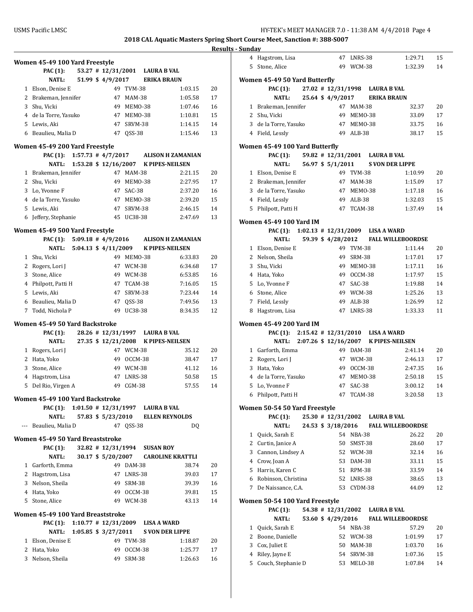|          | Women 45-49 100 Yard Freestyle            |                                      |                          |               |                                |                                               |    |
|----------|-------------------------------------------|--------------------------------------|--------------------------|---------------|--------------------------------|-----------------------------------------------|----|
|          | <b>PAC</b> (1):                           |                                      |                          |               | 53.27 # 12/31/2001 LAURA B VAL |                                               |    |
|          | NATL:                                     |                                      | 51.99 \$ 4/9/2017        |               |                                | <b>ERIKA BRAUN</b>                            |    |
|          | 1 Elson, Denise E                         |                                      |                          | 49 TVM-38     |                                | 1:03.15                                       | 20 |
|          | 2 Brakeman, Jennifer                      |                                      |                          | 47 MAM-38     |                                | 1:05.58                                       | 17 |
| 3        | Shu, Vicki                                |                                      |                          | 49 MEMO-38    |                                | 1:07.46                                       | 16 |
|          | 4 de la Torre, Yasuko                     |                                      |                          | 47 MEMO-38    |                                | 1:10.81                                       | 15 |
|          | 5 Lewis, Aki                              |                                      |                          | 47 SRVM-38    |                                | 1:14.15                                       | 14 |
|          | 6 Beaulieu, Malia D                       |                                      | 47                       | <b>OSS-38</b> |                                | 1:15.46                                       | 13 |
|          | Women 45-49 200 Yard Freestyle            |                                      |                          |               |                                |                                               |    |
|          |                                           |                                      |                          |               |                                | PAC (1): 1:57.73 # 4/7/2017 ALISON H ZAMANIAN |    |
|          |                                           |                                      |                          |               |                                | NATL: 1:53.28 \$ 12/16/2007 K PIPES-NEILSEN   |    |
|          | 1 Brakeman, Jennifer                      |                                      |                          | 47 MAM-38     |                                | 2:21.15                                       | 20 |
|          | 2 Shu, Vicki                              |                                      |                          | 49 MEMO-38    |                                | 2:27.95                                       | 17 |
|          | 3 Lo, Yvonne F                            |                                      |                          | 47 SAC-38     |                                | 2:37.20                                       | 16 |
|          | 4 de la Torre, Yasuko                     |                                      |                          | 47 MEMO-38    |                                | 2:39.20                                       | 15 |
|          | 5 Lewis, Aki                              |                                      |                          | 47 SRVM-38    |                                | 2:46.15                                       | 14 |
|          | 6 Jeffery, Stephanie                      |                                      |                          | 45 UC38-38    |                                | 2:47.69                                       | 13 |
|          | Women 45-49 500 Yard Freestyle            |                                      |                          |               |                                |                                               |    |
|          |                                           |                                      |                          |               |                                | PAC (1): 5:09.18 # 4/9/2016 ALISON H ZAMANIAN |    |
|          |                                           |                                      |                          |               |                                | NATL: 5:04.13 \$ 4/11/2009 K PIPES-NEILSEN    |    |
|          | 1 Shu, Vicki                              |                                      |                          | 49 MEMO-38    |                                | 6:33.83                                       | 20 |
|          | 2 Rogers, Lori J                          |                                      |                          | 47 WCM-38     |                                | 6:34.68                                       | 17 |
|          | 3 Stone, Alice                            |                                      |                          | 49 WCM-38     |                                | 6:53.85                                       | 16 |
|          | 4 Philpott, Patti H                       |                                      |                          | 47 TCAM-38    |                                | 7:16.05                                       | 15 |
|          | 5 Lewis, Aki                              |                                      |                          | 47 SRVM-38    |                                | 7:23.44                                       | 14 |
|          | 6 Beaulieu, Malia D                       |                                      | 47                       | $QSS-38$      |                                | 7:49.56                                       | 13 |
| 7        | Todd, Nichola P                           |                                      |                          | 49 UC38-38    |                                | 8:34.35                                       | 12 |
|          | Women 45-49 50 Yard Backstroke            |                                      |                          |               |                                |                                               |    |
|          | PAC (1):                                  |                                      |                          |               | 28.26 #12/31/1997 LAURA B VAL  |                                               |    |
|          | NATL:                                     |                                      |                          |               |                                | 27.35 \$12/21/2008 K PIPES-NEILSEN            |    |
|          | 1 Rogers, Lori J                          |                                      |                          | 47 WCM-38     |                                | 35.12                                         | 20 |
|          | 2 Hata, Yoko                              |                                      |                          | 49 OCCM-38    |                                | 38.47                                         | 17 |
|          | 3 Stone, Alice                            |                                      |                          | 49 WCM-38     |                                | 41.12                                         | 16 |
|          | 4 Hagstrom, Lisa                          |                                      |                          | 47 LNRS-38    |                                | 50.58                                         | 15 |
| 5        | Del Rio, Virgen A                         |                                      | 49                       | $CGM-38$      |                                | 57.55                                         | 14 |
|          | Women 45-49 100 Yard Backstroke           |                                      |                          |               |                                |                                               |    |
|          | PAC (1): 1:01.50 # 12/31/1997 LAURA B VAL |                                      |                          |               |                                |                                               |    |
|          | NATL:                                     |                                      | 57.83 \$ 5/23/2010       |               |                                | <b>ELLEN REYNOLDS</b>                         |    |
| $\cdots$ | Beaulieu, Malia D                         |                                      |                          | 47 QSS-38     |                                | DQ                                            |    |
|          |                                           |                                      |                          |               |                                |                                               |    |
|          | Women 45-49 50 Yard Breaststroke          |                                      |                          |               |                                |                                               |    |
|          | <b>PAC</b> (1):                           |                                      | 32.82 # 12/31/1994       |               | <b>SUSAN ROY</b>               |                                               |    |
|          | <b>NATL:</b>                              |                                      | 30.17 \$ 5/20/2007<br>49 |               |                                | <b>CAROLINE KRATTLI</b>                       |    |
|          | 1 Garforth, Emma                          |                                      |                          | DAM-38        |                                | 38.74                                         | 20 |
|          | 2 Hagstrom, Lisa                          |                                      |                          | 47 LNRS-38    |                                | 39.03                                         | 17 |
|          | 3 Nelson, Sheila                          |                                      |                          | 49 SRM-38     |                                | 39.39                                         | 16 |
|          | 4 Hata, Yoko                              |                                      |                          | 49 OCCM-38    |                                | 39.81                                         | 15 |
| 5        | Stone, Alice                              |                                      |                          | 49 WCM-38     |                                | 43.13                                         | 14 |
|          | Women 45-49 100 Yard Breaststroke         |                                      |                          |               |                                |                                               |    |
|          | <b>PAC</b> (1):                           | $1:10.77$ # $12/31/2009$ LISA A WARD |                          |               |                                |                                               |    |
|          | NATL:                                     |                                      | $1:05.85$ \$ 3/27/2011   |               |                                | <b>S VON DER LIPPE</b>                        |    |
|          | 1 Elson, Denise E                         |                                      | 49                       | <b>TVM-38</b> |                                | 1:18.87                                       | 20 |
|          | 2 Hata, Yoko                              |                                      |                          | 49 OCCM-38    |                                | 1:25.77                                       | 17 |
| 3        | Nelson, Sheila                            |                                      | 49                       | SRM-38        |                                | 1:26.63                                       | 16 |
|          |                                           |                                      |                          |               |                                |                                               |    |

|        | 4 Hagstrom, Lisa                      |                      | 47 LNRS-38               | 1:29.71                                                       | 15       |
|--------|---------------------------------------|----------------------|--------------------------|---------------------------------------------------------------|----------|
|        | 5 Stone, Alice                        |                      | 49 WCM-38                | 1:32.39                                                       | 14       |
|        |                                       |                      |                          |                                                               |          |
|        | Women 45-49 50 Yard Butterfly         |                      |                          |                                                               |          |
|        | <b>PAC</b> (1):                       |                      |                          | 27.02 #12/31/1998 LAURA B VAL<br>25.64 \$4/9/2017 ERIKA BRAUN |          |
|        | NATL:<br>1 Brakeman, Jennifer         |                      | 47 MAM-38                | 32.37                                                         | 20       |
|        | 2 Shu, Vicki                          | 49                   | MEMO-38                  | 33.09                                                         | 17       |
|        | 3 de la Torre, Yasuko                 |                      | 47 MEM0-38               | 33.75                                                         | 16       |
|        | 4 Field, Lessly                       | 49                   | $ALB-38$                 | 38.17                                                         | 15       |
|        |                                       |                      |                          |                                                               |          |
|        | Women 45-49 100 Yard Butterfly        |                      |                          |                                                               |          |
|        | <b>PAC</b> (1):                       |                      |                          | 59.82 #12/31/2001 LAURA B VAL                                 |          |
|        | <b>NATL:</b>                          | 56.97 \$ 5/1/2011    |                          | S VON DER LIPPE                                               |          |
|        | 1 Elson, Denise E                     |                      | 49 TVM-38                | 1:10.99                                                       | 20       |
|        | 2 Brakeman, Jennifer                  | 47                   | MAM-38                   | 1:15.09                                                       | 17       |
|        | 3 de la Torre, Yasuko                 |                      | 47 MEM0-38               | 1:17.18                                                       | 16       |
|        | 4 Field, Lessly                       | 49                   | ALB-38                   | 1:32.03                                                       | 15       |
| 5      | Philpott, Patti H                     | 47                   | TCAM-38                  | 1:37.49                                                       | 14       |
|        | Women 45-49 100 Yard IM               |                      |                          |                                                               |          |
|        |                                       |                      |                          | PAC (1): 1:02.13 # 12/31/2009 LISA A WARD                     |          |
|        | <b>NATL:</b>                          |                      |                          | 59.39 \$4/28/2012 FALL WILLEBOORDSE                           |          |
|        | 1 Elson, Denise E                     |                      | 49 TVM-38                | 1:11.44                                                       | 20       |
|        | 2 Nelson, Sheila                      | 49                   | <b>SRM-38</b>            | 1:17.01                                                       | 17       |
| 3      | Shu, Vicki                            | 49                   | MEMO-38                  | 1:17.11                                                       | 16       |
|        | 4 Hata, Yoko                          |                      | 49 OCCM-38               | 1:17.97                                                       | 15       |
|        | 5 Lo, Yvonne F                        | 47                   | SAC-38                   | 1:19.88                                                       | 14       |
|        | 6 Stone, Alice                        |                      | 49 WCM-38                | 1:25.26                                                       | 13       |
|        | 7 Field, Lessly                       | 49                   | ALB-38                   | 1:26.99                                                       | 12       |
| 8      | Hagstrom, Lisa                        | 47                   | LNRS-38                  | 1:33.33                                                       | 11       |
|        |                                       |                      |                          |                                                               |          |
|        |                                       |                      |                          |                                                               |          |
|        | Women 45-49 200 Yard IM               |                      |                          |                                                               |          |
|        | <b>PAC (1):</b>                       |                      |                          | 2:15.42 # 12/31/2010 LISA A WARD                              |          |
|        | <b>NATL:</b>                          |                      | 49 DAM-38                | 2:07.26 \$12/16/2007 K PIPES-NEILSEN                          |          |
|        | 1 Garforth, Emma                      |                      |                          | 2:41.14<br>2:46.13                                            | 20       |
|        | 2 Rogers, Lori J                      |                      | 47 WCM-38                | 2:47.35                                                       | 17<br>16 |
|        | 3 Hata, Yoko<br>4 de la Torre, Yasuko |                      | 49 OCCM-38<br>47 MEMO-38 | 2:50.18                                                       | 15       |
|        | 5 Lo, Yvonne F                        | 47                   | SAC-38                   | 3:00.12                                                       | 14       |
|        |                                       |                      | 47 TCAM-38               |                                                               | 13       |
|        | 6 Philpott, Patti H                   |                      |                          | 3:20.58                                                       |          |
|        | Women 50-54 50 Yard Freestyle         |                      |                          |                                                               |          |
|        | <b>PAC</b> (1):                       | 25.30 # 12/31/2002   |                          | <b>LAURA B VAL</b>                                            |          |
|        | <b>NATL:</b>                          | 24.53 \$ 3/18/2016   |                          | <b>FALL WILLEBOORDSE</b>                                      |          |
| 1      | Quick, Sarah E                        | 54                   | NBA-38                   | 26.22                                                         | 20       |
| 2      | Curtin, Janice A                      | 50                   | SMST-38                  | 28.60                                                         | 17       |
| 3      | Cannon, Lindsey A                     | 52                   | WCM-38                   | 32.14                                                         | 16       |
|        | 4 Crow, Joan A                        | 53                   | DAM-38                   | 33.11                                                         | 15       |
|        | 5 Harris, Karen C                     | 51                   | RPM-38                   | 33.59                                                         | 14       |
| 6      | Robinson, Christina                   | 52                   | LNRS-38                  | 38.65                                                         | 13       |
|        | 7 De Naissance, C.A.                  | 53                   | CYDM-38                  | 44.09                                                         | 12       |
|        | Women 50-54 100 Yard Freestyle        |                      |                          |                                                               |          |
|        | PAC (1):                              | $54.38$ # 12/31/2002 |                          | <b>LAURA B VAL</b>                                            |          |
|        | <b>NATL:</b>                          | 53.60 \$ 4/29/2016   |                          | <b>FALL WILLEBOORDSE</b>                                      |          |
| 1      | Quick, Sarah E                        | 54                   | NBA-38                   | 57.29                                                         | 20       |
| 2      | Boone, Danielle                       | 52                   | WCM-38                   | 1:01.99                                                       | 17       |
| 3      | Cox, Juliet E                         | 50                   | MAM-38                   | 1:03.70                                                       | 16       |
| 4<br>5 | Riley, Jayne E<br>Couch, Stephanie D  | 54                   | SRVM-38<br>53 MELO-38    | 1:07.36<br>1:07.84                                            | 15<br>14 |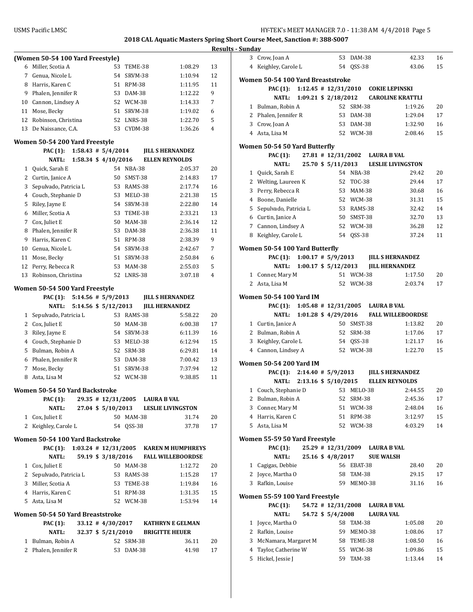|    |                                  |                          |               |                          | Resu |
|----|----------------------------------|--------------------------|---------------|--------------------------|------|
|    | (Women 50-54 100 Yard Freestyle) |                          |               |                          |      |
| 6  | Miller, Scotia A                 | 53                       | TEME-38       | 1:08.29                  | 13   |
| 7  | Genua, Nicole L                  |                          | 54 SRVM-38    | 1:10.94                  | 12   |
| 8  | Harris, Karen C                  |                          | 51 RPM-38     | 1:11.95                  | 11   |
| 9  | Phalen, Jennifer R               |                          | 53 DAM-38     | 1:12.22                  | 9    |
| 10 | Cannon, Lindsey A                |                          | 52 WCM-38     | 1:14.33                  | 7    |
| 11 | Mose, Becky                      |                          | 51 SRVM-38    | 1:19.02                  | 6    |
| 12 | Robinson, Christina              |                          | 52 LNRS-38    | 1:22.70                  | 5    |
| 13 | De Naissance, C.A.               |                          | 53 CYDM-38    | 1:36.26                  | 4    |
|    | Women 50-54 200 Yard Freestyle   |                          |               |                          |      |
|    | <b>PAC</b> (1):                  | $1:58.43$ # $5/4/2014$   |               | <b>JILL S HERNANDEZ</b>  |      |
|    | NATL:                            | 1:58.34 \$ 4/10/2016     |               | <b>ELLEN REYNOLDS</b>    |      |
| 1  | Quick, Sarah E                   |                          | 54 NBA-38     | 2:05.37                  | 20   |
| 2  | Curtin, Janice A                 |                          | 50 SMST-38    | 2:14.83                  | 17   |
| 3  | Sepulvado, Patricia L            |                          | 53 RAMS-38    | 2:17.74                  | 16   |
| 4  | Couch, Stephanie D               |                          | 53 MELO-38    | 2:21.38                  | 15   |
| 5  | Riley, Jayne E                   |                          | 54 SRVM-38    | 2:22.80                  | 14   |
| 6  | Miller, Scotia A                 |                          | 53 TEME-38    | 2:33.21                  | 13   |
| 7  | Cox, Juliet E                    |                          | 50 MAM-38     | 2:36.14                  | 12   |
| 8  | Phalen, Jennifer R               |                          | 53 DAM-38     | 2:36.38                  | 11   |
| 9  | Harris, Karen C                  |                          | 51 RPM-38     | 2:38.39                  | 9    |
| 10 | Genua, Nicole L                  |                          | 54 SRVM-38    | 2:42.67                  | 7    |
| 11 | Mose, Becky                      |                          | 51 SRVM-38    | 2:50.84                  | 6    |
| 12 | Perry, Rebecca R                 |                          | 53 MAM-38     | 2:55.03                  | 5    |
|    | 13 Robinson, Christina           |                          | 52 LNRS-38    | 3:07.18                  | 4    |
|    | Women 50-54 500 Yard Freestyle   |                          |               |                          |      |
|    | <b>PAC (1):</b>                  | $5:14.56$ # $5/9/2013$   |               | <b>JILL S HERNANDEZ</b>  |      |
|    | <b>NATL:</b>                     | 5:14.56 \$ 5/12/2013     |               | <b>JILL HERNANDEZ</b>    |      |
| 1  | Sepulvado, Patricia L            |                          | 53 RAMS-38    | 5:58.22                  | 20   |
| 2  | Cox, Juliet E                    |                          | 50 MAM-38     | 6:00.38                  | 17   |
| 3  | Riley, Jayne E                   |                          | 54 SRVM-38    | 6:11.39                  | 16   |
| 4  | Couch, Stephanie D               |                          | 53 MELO-38    | 6:12.94                  | 15   |
| 5  | Bulman, Robin A                  |                          | 52 SRM-38     | 6:29.81                  | 14   |
| 6  | Phalen, Jennifer R               |                          | 53 DAM-38     | 7:00.42                  | 13   |
| 7  | Mose, Becky                      |                          | 51 SRVM-38    | 7:37.94                  | 12   |
| 8  | Asta, Lisa M                     |                          | 52 WCM-38     | 9:38.85                  | 11   |
|    | Women 50-54 50 Yard Backstroke   |                          |               |                          |      |
|    | <b>PAC (1):</b>                  | 29.35 # 12/31/2005       |               | <b>LAURA B VAL</b>       |      |
|    | NATL:                            | 27.04 \$ 5/10/2013       |               | <b>LESLIE LIVINGSTON</b> |      |
| 1  | Cox, Juliet E                    |                          | 50 MAM-38     | 31.74                    | 20   |
| 2  | Keighley, Carole L               |                          | 54 QSS-38     | 37.78                    | 17   |
|    | Women 50-54 100 Yard Backstroke  |                          |               |                          |      |
|    | <b>PAC</b> (1):                  | $1:03.24$ # $12/31/2005$ |               | <b>KAREN M HUMPHREYS</b> |      |
|    | <b>NATL:</b>                     | 59.19 \$ 3/18/2016       |               | <b>FALL WILLEBOORDSE</b> |      |
|    | 1 Cox, Juliet E                  |                          | 50 MAM-38     | 1:12.72                  | 20   |
|    | 2 Sepulvado, Patricia L          |                          | 53 RAMS-38    | 1:15.28                  | 17   |
| 3  | Miller, Scotia A                 |                          | 53 TEME-38    | 1:19.84                  | 16   |
|    | 4 Harris, Karen C                |                          | 51 RPM-38     | 1:31.35                  | 15   |
| 5  | Asta, Lisa M                     |                          | 52 WCM-38     | 1:53.94                  | 14   |
|    | Women 50-54 50 Yard Breaststroke |                          |               |                          |      |
|    | PAC (1):                         | $33.12 \# 4/30/2017$     |               | <b>KATHRYN E GELMAN</b>  |      |
|    | <b>NATL:</b>                     | 32.37 \$ 5/21/2010       |               | <b>BRIGITTE HEUER</b>    |      |
| 1  | Bulman, Robin A                  | 52                       | <b>SRM-38</b> | 36.11                    | 20   |
| 2  | Phalen, Jennifer R               | 53                       | DAM-38        | 41.98                    | 17   |

|                | 3 Crow, Joan A                          |  | 53                       | DAM-38           |                                           | 42.33              | 16       |
|----------------|-----------------------------------------|--|--------------------------|------------------|-------------------------------------------|--------------------|----------|
| 4              | Keighley, Carole L                      |  | 54                       | QSS-38           |                                           | 43.06              | 15       |
|                |                                         |  |                          |                  |                                           |                    |          |
|                | Women 50-54 100 Yard Breaststroke       |  |                          |                  |                                           |                    |          |
|                | <b>PAC (1):</b>                         |  | $1:12.45$ # $12/31/2010$ |                  | <b>COKIE LEPINSKI</b>                     |                    |          |
|                | <b>NATL:</b>                            |  | 1:09.21 \$ 2/18/2012     |                  | <b>CAROLINE KRATTLI</b>                   |                    |          |
| 1              | Bulman, Robin A                         |  | 52                       | SRM-38           |                                           | 1:19.26            | 20       |
|                | 2 Phalen, Jennifer R                    |  |                          | 53 DAM-38        |                                           | 1:29.04            | 17       |
| 3              | Crow, Joan A                            |  |                          | 53 DAM-38        |                                           | 1:32.90            | 16       |
|                | 4 Asta, Lisa M                          |  |                          | 52 WCM-38        |                                           | 2:08.46            | 15       |
|                |                                         |  |                          |                  |                                           |                    |          |
|                | Women 50-54 50 Yard Butterfly           |  |                          |                  |                                           |                    |          |
|                | <b>PAC (1):</b>                         |  |                          |                  | 27.81 #12/31/2002 LAURA B VAL             |                    |          |
|                | NATL:                                   |  | 25.70 \$ 5/11/2013       |                  | <b>LESLIE LIVINGSTON</b>                  |                    |          |
| 1              | Quick, Sarah E                          |  |                          | 54 NBA-38        |                                           | 29.42              | 20       |
| 2              | Welting, Laureen K                      |  | 52                       | <b>TOC-38</b>    |                                           | 29.44              | 17       |
| 3              | Perry, Rebecca R                        |  | 53                       | MAM-38           |                                           | 30.68              | 16       |
|                | 4 Boone, Danielle                       |  | 52                       | WCM-38           |                                           | 31.31              | 15       |
| 5.             | Sepulvado, Patricia L                   |  |                          | 53 RAMS-38       |                                           | 32.42              | 14       |
|                | 6 Curtin, Janice A                      |  |                          | 50 SMST-38       |                                           | 32.70              | 13       |
|                | 7 Cannon, Lindsey A                     |  |                          | 52 WCM-38        |                                           | 36.28              | 12       |
|                | 8 Keighley, Carole L                    |  |                          | 54 QSS-38        |                                           | 37.24              | 11       |
|                |                                         |  |                          |                  |                                           |                    |          |
|                | Women 50-54 100 Yard Butterfly          |  |                          |                  |                                           |                    |          |
|                | <b>PAC (1):</b>                         |  |                          |                  | 1:00.17 # 5/9/2013 JILL S HERNANDEZ       |                    |          |
|                | NATL:                                   |  | $1:00.17$ \$ $5/12/2013$ |                  | <b>JILL HERNANDEZ</b>                     |                    |          |
| $\mathbf{1}$   | Conner, Mary M                          |  |                          | 51 WCM-38        |                                           | 1:17.50            | 20       |
|                | 2 Asta, Lisa M                          |  |                          | 52 WCM-38        |                                           | 2:03.74            | 17       |
|                |                                         |  |                          |                  |                                           |                    |          |
|                | Women 50-54 100 Yard IM                 |  |                          |                  |                                           |                    |          |
|                |                                         |  |                          |                  | PAC (1): 1:05.48 # 12/31/2005 LAURA B VAL |                    |          |
|                | NATL:                                   |  | $1:01.28$ \$ 4/29/2016   |                  | <b>FALL WILLEBOORDSE</b>                  |                    |          |
|                |                                         |  |                          |                  |                                           |                    |          |
|                | 1 Curtin, Janice A                      |  |                          | 50 SMST-38       |                                           | 1:13.82            | 20       |
|                | 2 Bulman, Robin A                       |  |                          | 52 SRM-38        |                                           | 1:17.06            | 17       |
|                | 3 Keighley, Carole L                    |  |                          | 54 QSS-38        |                                           | 1:21.17            | 16       |
|                | 4 Cannon, Lindsey A                     |  |                          | 52 WCM-38        |                                           | 1:22.70            | 15       |
|                |                                         |  |                          |                  |                                           |                    |          |
|                | Women 50-54 200 Yard IM                 |  |                          |                  |                                           |                    |          |
|                | <b>PAC (1):</b>                         |  | $2:14.40 \# 5/9/2013$    |                  | <b>JILL S HERNANDEZ</b>                   |                    |          |
|                | NATL:                                   |  |                          |                  | 2:13.16 \$5/10/2015 ELLEN REYNOLDS        |                    |          |
| 1              | Couch, Stephanie D                      |  |                          | 53 MELO-38       |                                           | 2:44.55            | 20       |
| $\overline{c}$ | Bulman, Robin A                         |  | 52                       | <b>SRM-38</b>    |                                           | 2:45.36            | 17       |
| 3              | Conner, Mary M                          |  | 51                       | WCM-38           |                                           | 2:48.04            | 16       |
| 4              | Harris, Karen C                         |  | 51                       | RPM-38           |                                           | 3:12.97            | 15       |
| 5              | Asta, Lisa M                            |  |                          | 52 WCM-38        |                                           | 4:03.29            | 14       |
|                |                                         |  |                          |                  |                                           |                    |          |
|                | Women 55-59 50 Yard Freestyle           |  |                          |                  |                                           |                    |          |
|                | <b>PAC</b> (1):                         |  | 25.29 # 12/31/2009       |                  | LAURA B VAL                               |                    |          |
|                | <b>NATL:</b>                            |  | 25.16 \$ 4/8/2017        |                  | <b>SUE WALSH</b>                          |                    |          |
| $\mathbf{1}$   | Cagigas, Debbie                         |  |                          | 56 EBAT-38       |                                           | 28.40              | 20       |
| 2              | Joyce, Martha O                         |  | 58                       | TAM-38           |                                           | 29.15              | 17       |
| 3              | Rafkin, Louise                          |  | 59                       | MEMO-38          |                                           | 31.16              | 16       |
|                | Women 55-59 100 Yard Freestyle          |  |                          |                  |                                           |                    |          |
|                | <b>PAC</b> (1):                         |  | 54.72 # 12/31/2008       |                  | <b>LAURA B VAL</b>                        |                    |          |
|                | <b>NATL:</b>                            |  | 54.72 \$ 5/4/2008        |                  | <b>LAURA VAL</b>                          |                    |          |
| 1              | Joyce, Martha O                         |  | 58                       | TAM-38           |                                           | 1:05.08            | 20       |
|                |                                         |  | 59                       |                  |                                           |                    |          |
|                | 2 Rafkin, Louise                        |  |                          | MEMO-38          |                                           | 1:08.06            | 17       |
| 3              | McNamara, Margaret M                    |  | 58                       | TEME-38          |                                           | 1:08.50            | 16       |
| 4<br>5         | Taylor, Catherine W<br>Hickel, Jessie J |  | 55<br>59                 | WCM-38<br>TAM-38 |                                           | 1:09.86<br>1:13.44 | 15<br>14 |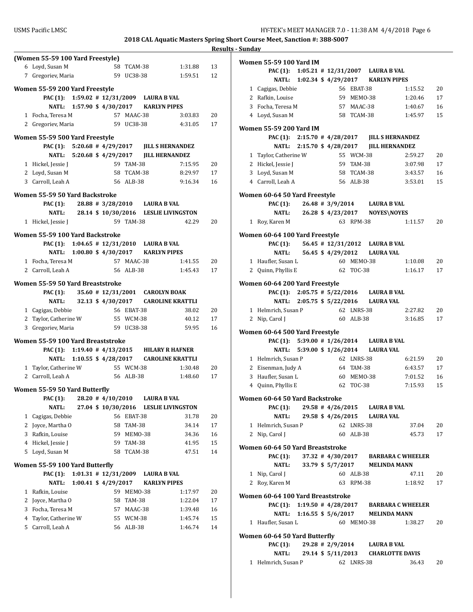### **Results - Sunday**

|   | (Women 55-59 100 Yard Freestyle)          |                                        |    |               |                               |                                              |    |
|---|-------------------------------------------|----------------------------------------|----|---------------|-------------------------------|----------------------------------------------|----|
|   | 6 Loyd, Susan M                           |                                        |    | 58 TCAM-38    |                               | 1:31.88                                      | 13 |
|   | 7 Gregoriev, Maria                        |                                        |    | 59 UC38-38    |                               | 1:59.51                                      | 12 |
|   | Women 55-59 200 Yard Freestyle            |                                        |    |               |                               |                                              |    |
|   | PAC (1): 1:59.02 # 12/31/2009 LAURA B VAL |                                        |    |               |                               |                                              |    |
|   | NATL:                                     | 1:57.90 \$4/30/2017 KARLYN PIPES       |    |               |                               |                                              |    |
|   | 1 Focha, Teresa M                         |                                        |    | 57 MAAC-38    |                               | 3:03.83                                      | 20 |
|   | 2 Gregoriev, Maria                        |                                        |    | 59 UC38-38    |                               | 4:31.05                                      | 17 |
|   |                                           |                                        |    |               |                               |                                              |    |
|   | Women 55-59 500 Yard Freestyle            |                                        |    |               |                               |                                              |    |
|   |                                           |                                        |    |               |                               | PAC (1): 5:20.68 #4/29/2017 JILL SHERNANDEZ  |    |
|   |                                           |                                        |    |               |                               | NATL: 5:20.68 \$4/29/2017 JILL HERNANDEZ     |    |
|   | 1 Hickel, Jessie J                        |                                        |    | 59 TAM-38     |                               | 7:15.95                                      | 20 |
|   | 2 Loyd, Susan M                           |                                        |    |               | 58 TCAM-38                    | 8:29.97                                      | 17 |
|   | 3 Carroll, Leah A                         |                                        |    | 56 ALB-38     |                               | 9:16.34                                      | 16 |
|   | Women 55-59 50 Yard Backstroke            |                                        |    |               |                               |                                              |    |
|   | PAC (1):                                  |                                        |    |               | 28.88 # 3/28/2010 LAURA B VAL |                                              |    |
|   |                                           |                                        |    |               |                               | NATL: 28.14 \$ 10/30/2016 LESLIE LIVINGSTON  |    |
|   | 1 Hickel, Jessie J                        |                                        |    | 59 TAM-38     |                               | 42.29                                        | 20 |
|   | Women 55-59 100 Yard Backstroke           |                                        |    |               |                               |                                              |    |
|   | PAC (1): 1:04.65 # 12/31/2010 LAURA B VAL |                                        |    |               |                               |                                              |    |
|   |                                           | NATL: 1:00.80 \$4/30/2017 KARLYN PIPES |    |               |                               |                                              |    |
|   | 1 Focha, Teresa M                         |                                        |    | 57 MAAC-38    |                               | 1:41.55                                      | 20 |
|   | 2 Carroll, Leah A                         |                                        |    | 56 ALB-38     |                               | 1:45.43                                      | 17 |
|   |                                           |                                        |    |               |                               |                                              |    |
|   | Women 55-59 50 Yard Breaststroke          |                                        |    |               |                               |                                              |    |
|   | <b>PAC (1):</b>                           |                                        |    |               |                               | 35.60 # 12/31/2001 CAROLYN BOAK              |    |
|   | NATL:                                     |                                        |    |               |                               | 32.13 \$4/30/2017 CAROLINE KRATTLI           |    |
|   | 1 Cagigas, Debbie                         |                                        |    | 56 EBAT-38    |                               | 38.02                                        | 20 |
|   | 2 Taylor, Catherine W                     |                                        |    | 55 WCM-38     |                               | 40.12                                        | 17 |
|   | 3 Gregoriev, Maria                        |                                        |    | 59 UC38-38    |                               | 59.95                                        | 16 |
|   | Women 55-59 100 Yard Breaststroke         |                                        |    |               |                               |                                              |    |
|   |                                           |                                        |    |               |                               | PAC (1): 1:19.40 # 4/13/2015 HILARY R HAFNER |    |
|   |                                           |                                        |    |               |                               | NATL: 1:10.55 \$4/28/2017 CAROLINE KRATTLI   |    |
|   | 1 Taylor, Catherine W                     |                                        |    | 55 WCM-38     |                               | 1:30.48                                      | 20 |
|   | 2 Carroll, Leah A                         |                                        |    | 56 ALB-38     |                               | 1:48.60                                      | 17 |
|   | Women 55-59 50 Yard Butterfly             |                                        |    |               |                               |                                              |    |
|   | PAC (1): 28.20 #4/10/2010 LAURA B VAL     |                                        |    |               |                               |                                              |    |
|   | <b>NATL:</b>                              |                                        |    |               |                               | 27.04 \$10/30/2016 LESLIE LIVINGSTON         |    |
| 1 | Cagigas, Debbie                           |                                        | 56 | EBAT-38       |                               | 31.78                                        | 20 |
|   | 2 Joyce, Martha O                         |                                        | 58 | TAM-38        |                               | 34.14                                        | 17 |
| 3 | Rafkin, Louise                            |                                        |    | 59 MEMO-38    |                               | 34.36                                        | 16 |
| 4 | Hickel, Jessie J                          |                                        |    | 59 TAM-38     |                               | 41.95                                        | 15 |
| 5 | Loyd, Susan M                             |                                        | 58 | TCAM-38       |                               | 47.51                                        | 14 |
|   |                                           |                                        |    |               |                               |                                              |    |
|   | Women 55-59 100 Yard Butterfly            |                                        |    |               |                               |                                              |    |
|   | <b>PAC</b> (1):                           | $1:01.31$ # $12/31/2009$               |    |               | <b>LAURA B VAL</b>            |                                              |    |
|   | NATL:                                     | $1:00.41$ \$ $4/29/2017$               |    |               |                               | <b>KARLYN PIPES</b>                          |    |
| 1 | Rafkin, Louise                            |                                        | 59 | MEMO-38       |                               | 1:17.97                                      | 20 |
| 2 | Joyce, Martha O                           |                                        | 58 | <b>TAM-38</b> |                               | 1:22.04                                      | 17 |
| 3 | Focha, Teresa M                           |                                        |    | 57 MAAC-38    |                               | 1:39.48                                      | 16 |
| 4 | Taylor, Catherine W                       |                                        |    | 55 WCM-38     |                               | 1:45.74                                      | 15 |
| 5 | Carroll, Leah A                           |                                        | 56 | ALB-38        |                               | 1:46.74                                      | 14 |
|   |                                           |                                        |    |               |                               |                                              |    |

| Women 55-59 100 Yard IM                                    |                            |                  |            |                                                |         |    |
|------------------------------------------------------------|----------------------------|------------------|------------|------------------------------------------------|---------|----|
|                                                            |                            |                  |            | PAC (1): 1:05.21 # 12/31/2007 LAURA B VAL      |         |    |
|                                                            |                            |                  |            | NATL: 1:02.34 \$4/29/2017 KARLYN PIPES         |         |    |
| 1 Cagigas, Debbie                                          |                            |                  | 56 EBAT-38 |                                                | 1:15.52 | 20 |
| 2 Rafkin, Louise                                           |                            |                  | 59 MEMO-38 |                                                | 1:20.46 | 17 |
| 3 Focha, Teresa M                                          |                            |                  | 57 MAAC-38 |                                                | 1:40.67 | 16 |
| 4 Loyd, Susan M                                            |                            |                  | 58 TCAM-38 |                                                | 1:45.97 | 15 |
|                                                            |                            |                  |            |                                                |         |    |
| Women 55-59 200 Yard IM<br>PAC (1): $2:15.70 \# 4/28/2017$ |                            |                  |            |                                                |         |    |
|                                                            | NATL: 2:15.70 \$ 4/28/2017 |                  |            | <b>JILL S HERNANDEZ</b>                        |         |    |
|                                                            |                            |                  |            | <b>JILL HERNANDEZ</b>                          |         |    |
| 1 Taylor, Catherine W                                      |                            |                  | 55 WCM-38  |                                                | 2:59.27 | 20 |
| 2 Hickel, Jessie J                                         |                            |                  | 59 TAM-38  |                                                | 3:07.98 | 17 |
| 3 Loyd, Susan M                                            |                            |                  | 58 TCAM-38 |                                                | 3:43.57 | 16 |
| 4 Carroll, Leah A                                          |                            |                  | 56 ALB-38  |                                                | 3:53.01 | 15 |
| Women 60-64 50 Yard Freestyle                              |                            |                  |            |                                                |         |    |
| <b>PAC</b> (1):                                            |                            |                  |            | 26.48 # 3/9/2014 LAURA B VAL                   |         |    |
|                                                            |                            |                  |            | NATL: 26.28 \$4/23/2017 NOYES\NOYES            |         |    |
| 1 Roy, Karen M                                             |                            |                  | 63 RPM-38  |                                                | 1:11.57 | 20 |
| Women 60-64 100 Yard Freestyle                             |                            |                  |            |                                                |         |    |
| <b>PAC</b> (1):                                            |                            |                  |            | 56.45 #12/31/2012 LAURA B VAL                  |         |    |
| <b>NATL:</b>                                               |                            |                  |            | 56.45 \$4/29/2012 LAURA VAL                    |         |    |
| 1 Haufler, Susan L                                         |                            |                  | 60 MEMO-38 |                                                | 1:10.08 | 20 |
| 2 Quinn, Phyllis E                                         |                            |                  | 62 TOC-38  |                                                | 1:16.17 | 17 |
|                                                            |                            |                  |            |                                                |         |    |
| Women 60-64 200 Yard Freestyle                             |                            |                  |            |                                                |         |    |
|                                                            |                            |                  |            | PAC (1): 2:05.75 # 5/22/2016 LAURA B VAL       |         |    |
| <b>NATL:</b>                                               |                            |                  |            | 2:05.75 \$ 5/22/2016 LAURA VAL                 |         |    |
| 1 Helmrich, Susan P                                        |                            |                  | 62 LNRS-38 |                                                | 2:27.82 | 20 |
| 2 Nip, Carol J                                             |                            |                  | 60 ALB-38  |                                                | 3:16.85 | 17 |
| Women 60-64 500 Yard Freestyle                             |                            |                  |            |                                                |         |    |
|                                                            |                            |                  |            | PAC (1): 5:39.00 # 1/26/2014 LAURA B VAL       |         |    |
| NATL:                                                      |                            |                  |            | 5:39.00 \$1/26/2014 LAURA VAL                  |         |    |
| 1 Helmrich, Susan P                                        |                            |                  | 62 LNRS-38 |                                                | 6:21.59 | 20 |
| 2 Eisenman, Judy A                                         |                            |                  | 64 TAM-38  |                                                | 6:43.57 | 17 |
| 3 Haufler. Susan L                                         |                            |                  | 60 MEMO-38 |                                                | 7:01.52 | 16 |
| 4 Quinn, Phyllis E                                         |                            |                  | 62 TOC-38  |                                                | 7:15.93 | 15 |
|                                                            |                            |                  |            |                                                |         |    |
| Women 60-64 50 Yard Backstroke                             |                            |                  |            |                                                |         |    |
| <b>PAC</b> (1):                                            |                            |                  |            | $29.58 \# 4/26/2015$ LAURA B VAL               |         |    |
| <b>NATL:</b>                                               |                            |                  |            | 29.58 \$4/26/2015 LAURA VAL                    |         |    |
| 1 Helmrich, Susan P                                        |                            |                  | 62 LNRS-38 |                                                | 37.04   | 20 |
| 2 Nip, Carol J                                             |                            |                  | 60 ALB-38  |                                                | 45.73   | 17 |
| Women 60-64 50 Yard Breaststroke                           |                            |                  |            |                                                |         |    |
| <b>PAC (1):</b>                                            |                            |                  |            | 37.32 #4/30/2017 BARBARA C WHEELER             |         |    |
| <b>NATL:</b>                                               |                            |                  |            | 33.79 \$5/7/2017 MELINDA MANN                  |         |    |
| 1 Nip, Carol J                                             |                            |                  | 60 ALB-38  |                                                | 47.11   | 20 |
| 2 Roy, Karen M                                             |                            |                  | 63 RPM-38  |                                                | 1:18.92 | 17 |
|                                                            |                            |                  |            |                                                |         |    |
| Women 60-64 100 Yard Breaststroke                          |                            |                  |            |                                                |         |    |
|                                                            |                            |                  |            | PAC (1): 1:19.50 # 4/28/2017 BARBARA C WHEELER |         |    |
| NATL:                                                      |                            |                  |            | 1:16.55 \$ 5/6/2017 MELINDA MANN               |         |    |
| 1 Haufler, Susan L                                         |                            |                  | 60 MEMO-38 |                                                | 1:38.27 | 20 |
| Women 60-64 50 Yard Butterfly                              |                            |                  |            |                                                |         |    |
| <b>PAC</b> (1):                                            |                            | 29.28 # 2/9/2014 |            | <b>LAURA B VAL</b>                             |         |    |
| NATL:                                                      |                            |                  |            | 29.14 \$5/11/2013 CHARLOTTE DAVIS              |         |    |

1 Helmrich, Susan P 62 LNRS-38 36.43 20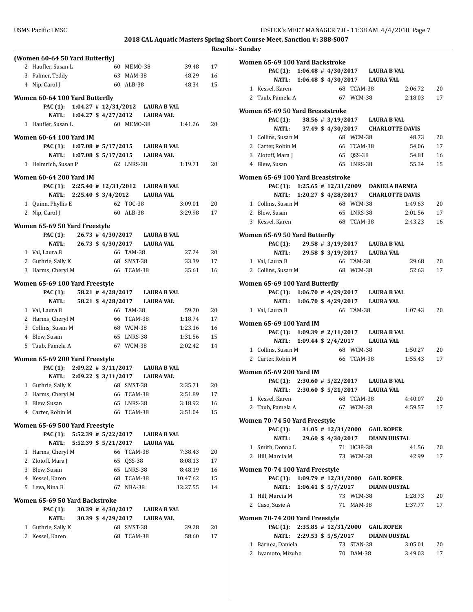|                                 |  |                                             |            |                                           | 2018 CAL Aquatic Masters Spring S | Result |
|---------------------------------|--|---------------------------------------------|------------|-------------------------------------------|-----------------------------------|--------|
| (Women 60-64 50 Yard Butterfly) |  |                                             |            |                                           |                                   |        |
| 2 Haufler, Susan L              |  |                                             | 60 MEMO-38 |                                           | 39.48                             | 17     |
| 3 Palmer, Teddy                 |  |                                             | 63 MAM-38  |                                           | 48.29                             | 16     |
| 4 Nip, Carol J                  |  |                                             | 60 ALB-38  |                                           | 48.34                             | 15     |
| Women 60-64 100 Yard Butterfly  |  |                                             |            |                                           |                                   |        |
|                                 |  |                                             |            | PAC (1): 1:04.27 # 12/31/2012 LAURA B VAL |                                   |        |
|                                 |  |                                             |            | NATL: 1:04.27 \$ 4/27/2012 LAURA VAL      |                                   |        |
| 1 Haufler, Susan L              |  |                                             | 60 MEMO-38 |                                           | 1:41.26                           | 20     |
| <b>Women 60-64 100 Yard IM</b>  |  |                                             |            |                                           |                                   |        |
|                                 |  |                                             |            | PAC (1): 1:07.08 # 5/17/2015 LAURA B VAL  |                                   |        |
|                                 |  |                                             |            | NATL: 1:07.08 \$5/17/2015 LAURA VAL       |                                   |        |
| 1 Helmrich, Susan P             |  |                                             | 62 LNRS-38 |                                           | 1:19.71                           | 20     |
|                                 |  |                                             |            |                                           |                                   |        |
| <b>Women 60-64 200 Yard IM</b>  |  |                                             |            | PAC (1): 2:25.40 # 12/31/2012 LAURA B VAL |                                   |        |
|                                 |  |                                             |            | NATL: 2:25.40 \$ 3/4/2012 LAURA VAL       |                                   |        |
| 1 Quinn, Phyllis E              |  |                                             | 62 TOC-38  |                                           | 3:09.01                           | 20     |
| 2 Nip, Carol J                  |  |                                             | 60 ALB-38  |                                           | 3:29.98                           | 17     |
|                                 |  |                                             |            |                                           |                                   |        |
| Women 65-69 50 Yard Freestyle   |  |                                             |            |                                           |                                   |        |
|                                 |  |                                             |            | PAC (1): 26.73 # 4/30/2017 LAURA B VAL    |                                   |        |
|                                 |  |                                             |            | NATL: 26.73 \$ 4/30/2017 LAURA VAL        |                                   |        |
| 1 Val, Laura B                  |  |                                             | 66 TAM-38  |                                           | 27.24                             | 20     |
| 2 Guthrie, Sally K              |  |                                             | 68 SMST-38 |                                           | 33.39                             | 17     |
| 3 Harms, Cheryl M               |  |                                             | 66 TCAM-38 |                                           | 35.61                             | 16     |
| Women 65-69 100 Yard Freestyle  |  |                                             |            |                                           |                                   |        |
| PAC (1):                        |  |                                             |            | 58.21 # 4/28/2017 LAURA B VAL             |                                   |        |
|                                 |  |                                             |            | NATL: 58.21 \$ 4/28/2017 LAURA VAL        |                                   |        |
| 1 Val, Laura B                  |  |                                             | 66 TAM-38  |                                           | 59.70                             | 20     |
| 2 Harms, Cheryl M               |  | 66 TCAM-38                                  |            |                                           | 1:18.74                           | 17     |
| 3 Collins, Susan M              |  | 68 WCM-38                                   |            |                                           | 1:23.16                           | 16     |
| 4 Blew, Susan                   |  |                                             |            | 65 LNRS-38                                | 1:31.56                           | 15     |
| 5 Taub, Pamela A                |  |                                             |            | 67 WCM-38                                 | 2:02.42                           | 14     |
| Women 65-69 200 Yard Freestyle  |  |                                             |            |                                           |                                   |        |
|                                 |  |                                             |            | PAC (1): 2:09.22 # 3/11/2017 LAURA B VAL  |                                   |        |
|                                 |  |                                             |            | NATL: 2:09.22 \$ 3/11/2017 LAURA VAL      |                                   |        |
| 1 Guthrie, Sally K 68 SMST-38   |  |                                             |            |                                           | 2:35.71                           | 20     |
| 2 Harms, Cheryl M               |  |                                             | 66 TCAM-38 |                                           | 2:51.89                           | 17     |
| 3 Blew, Susan                   |  |                                             | 65 LNRS-38 |                                           | 3:18.92                           | 16     |
| 4 Carter, Robin M               |  |                                             | 66 TCAM-38 |                                           | 3:51.04                           | 15     |
| Women 65-69 500 Yard Freestyle  |  |                                             |            |                                           |                                   |        |
| <b>PAC</b> (1):                 |  | $5:52.39$ # $5/22/2017$                     |            | <b>LAURA B VAL</b>                        |                                   |        |
| <b>NATL:</b>                    |  | 5:52.39 \$ 5/21/2017                        |            | <b>LAURA VAL</b>                          |                                   |        |
| 1 Harms, Cheryl M               |  |                                             | 66 TCAM-38 |                                           | 7:38.43                           | 20     |
| 2 Zlotoff, Mara J               |  |                                             | 65 QSS-38  |                                           | 8:08.13                           | 17     |
| 3 Blew, Susan                   |  |                                             | 65 LNRS-38 |                                           | 8:48.19                           | 16     |
| 4 Kessel, Karen                 |  |                                             | 68 TCAM-38 |                                           | 10:47.62                          | 15     |
| 5 Leva, Nina B                  |  |                                             | 67 NBA-38  |                                           | 12:27.55                          | 14     |
|                                 |  |                                             |            |                                           |                                   |        |
|                                 |  |                                             |            |                                           |                                   |        |
| Women 65-69 50 Yard Backstroke  |  |                                             |            | <b>LAURA B VAL</b>                        |                                   |        |
| <b>PAC</b> (1):<br><b>NATL:</b> |  | $30.39$ # $4/30/2017$<br>30.39 \$ 4/29/2017 |            | <b>LAURA VAL</b>                          |                                   |        |
| 1 Guthrie, Sally K              |  | 68                                          | SMST-38    |                                           | 39.28                             | 20     |

| ts - Sunday |                                   |  |            |            |                                          |                                              |    |
|-------------|-----------------------------------|--|------------|------------|------------------------------------------|----------------------------------------------|----|
|             | Women 65-69 100 Yard Backstroke   |  |            |            |                                          |                                              |    |
|             |                                   |  |            |            | PAC (1): 1:06.48 # 4/30/2017 LAURA B VAL |                                              |    |
|             |                                   |  |            |            | NATL: 1:06.48 \$ 4/30/2017 LAURA VAL     |                                              |    |
|             | 1 Kessel, Karen                   |  |            | 68 TCAM-38 |                                          | 2:06.72                                      | 20 |
|             | 2 Taub, Pamela A                  |  |            |            |                                          | 67 WCM-38 2:18.03                            | 17 |
|             | Women 65-69 50 Yard Breaststroke  |  |            |            |                                          |                                              |    |
|             |                                   |  |            |            | PAC (1): 38.56 # 3/19/2017 LAURA B VAL   |                                              |    |
|             |                                   |  |            |            |                                          | NATL: 37.49 \$4/30/2017 CHARLOTTE DAVIS      |    |
|             | 1 Collins, Susan M                |  |            | 68 WCM-38  |                                          | 48.73                                        | 20 |
|             | 2 Carter, Robin M                 |  | 66 TCAM-38 |            |                                          | 54.06                                        | 17 |
|             | 3 Zlotoff, Mara J                 |  |            | 65 QSS-38  |                                          | 54.81                                        | 16 |
|             | 4 Blew, Susan                     |  |            |            | 65 LNRS-38                               | 55.34                                        | 15 |
|             | Women 65-69 100 Yard Breaststroke |  |            |            |                                          |                                              |    |
|             |                                   |  |            |            |                                          | PAC (1): 1:25.65 # 12/31/2009 DANIELA BARNEA |    |
|             |                                   |  |            |            |                                          | NATL: 1:20.27 \$4/28/2017 CHARLOTTE DAVIS    |    |
|             | 1 Collins, Susan M                |  | 68 WCM-38  |            |                                          | 1:49.63                                      | 20 |
|             | 2 Blew, Susan                     |  |            |            | 65 LNRS-38                               | 2:01.56                                      | 17 |
|             | 3 Kessel. Karen                   |  |            |            |                                          | 68 TCAM-38 2:43.23                           | 16 |
|             | Women 65-69 50 Yard Butterfly     |  |            |            |                                          |                                              |    |
|             |                                   |  |            |            | PAC (1): 29.58 # 3/19/2017 LAURA B VAL   |                                              |    |
|             |                                   |  |            |            | NATL: 29.58 \$3/19/2017 LAURA VAL        |                                              |    |
|             | 1 Val. Laura B                    |  |            | 66 TAM-38  |                                          | 29.68                                        | 20 |
|             | 2 Collins, Susan M                |  |            | 68 WCM-38  |                                          | 52.63                                        | 17 |
|             |                                   |  |            |            |                                          |                                              |    |
|             | Women 65-69 100 Yard Butterfly    |  |            |            |                                          |                                              |    |
|             |                                   |  |            |            | PAC (1): 1:06.70 # 4/29/2017 LAURA B VAL |                                              |    |
|             |                                   |  |            | 66 TAM-38  | NATL: 1:06.70 \$4/29/2017 LAURA VAL      |                                              | 20 |
|             | 1 Val, Laura B                    |  |            |            |                                          | 1:07.43                                      |    |
|             | Women 65-69 100 Yard IM           |  |            |            |                                          |                                              |    |
|             |                                   |  |            |            | PAC (1): 1:09.39 # 2/11/2017 LAURA B VAL |                                              |    |
|             |                                   |  |            |            | NATL: 1:09.44 \$ 2/4/2017 LAURA VAL      |                                              |    |
|             | 1 Collins, Susan M                |  | 68 WCM-38  |            |                                          | 1:50.27                                      | 20 |
|             | 2 Carter, Robin M                 |  |            | 66 TCAM-38 |                                          | 1:55.43                                      | 17 |
|             | <b>Women 65-69 200 Yard IM</b>    |  |            |            |                                          |                                              |    |
|             |                                   |  |            |            | PAC (1): 2:30.60 # 5/22/2017 LAURA B VAL |                                              |    |
|             |                                   |  |            |            | NATL: 2:30.60 \$ 5/21/2017 LAURA VAL     |                                              |    |
|             | 1 Kessel, Karen                   |  |            |            | 68 TCAM-38                               | 4:40.07                                      | 20 |
|             | 2 Taub, Pamela A                  |  |            |            | 67 WCM-38                                | 4:59.57                                      | 17 |
|             | Women 70-74 50 Yard Freestyle     |  |            |            |                                          |                                              |    |
|             | PAC (1):                          |  |            |            | 31.05 # 12/31/2000 GAIL ROPER            |                                              |    |
|             | <b>NATL:</b>                      |  |            |            | 29.60 \$4/30/2017 DIANN UUSTAL           |                                              |    |
|             | 1 Smith, Donna L                  |  |            | 71 UC38-38 |                                          | 41.56                                        | 20 |
|             | 2 Hill, Marcia M                  |  |            | 73 WCM-38  |                                          | 42.99                                        | 17 |
|             |                                   |  |            |            |                                          |                                              |    |
|             | Women 70-74 100 Yard Freestyle    |  |            |            |                                          |                                              |    |
|             | <b>PAC (1):</b>                   |  |            |            | 1:09.79 # 12/31/2000 GAIL ROPER          |                                              |    |
|             | <b>NATL:</b>                      |  |            |            | 1:06.41 \$5/7/2017 DIANN UUSTAL          |                                              |    |
|             | 1 Hill, Marcia M                  |  |            | 73 WCM-38  |                                          | 1:28.73                                      | 20 |
|             | 2 Caso, Susie A                   |  |            | 71 MAM-38  |                                          | 1:37.77                                      | 17 |
|             | Women 70-74 200 Yard Freestyle    |  |            |            |                                          |                                              |    |
|             |                                   |  |            |            | PAC (1): 2:35.85 # 12/31/2000 GAIL ROPER |                                              |    |
|             |                                   |  |            |            | NATL: 2:29.53 \$ 5/5/2017 DIANN UUSTAL   |                                              |    |
|             | 1 Barnea, Daniela                 |  |            | 73 STAN-38 |                                          | 3:05.01                                      | 20 |
|             | 2 Iwamoto, Mizuho                 |  |            | 70 DAM-38  |                                          | 3:49.03                                      | 17 |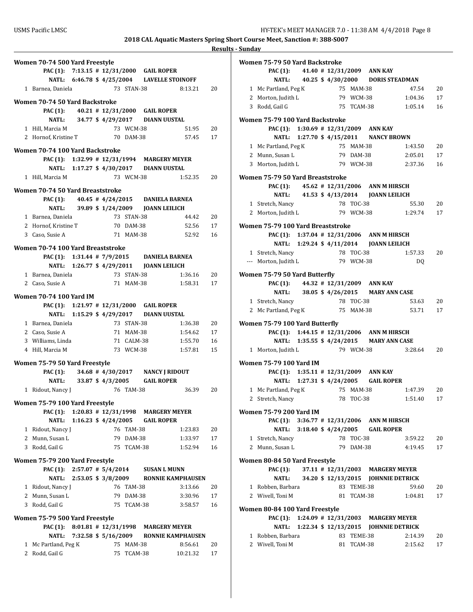| Women 70-74 500 Yard Freestyle           |  |    |                        |                                                                                |                                             |          |
|------------------------------------------|--|----|------------------------|--------------------------------------------------------------------------------|---------------------------------------------|----------|
|                                          |  |    |                        | PAC (1): 7:13.15 # 12/31/2000 GAIL ROPER                                       |                                             |          |
|                                          |  |    |                        | NATL: 6:46.78 \$4/25/2004 LAVELLE STOINOFF                                     |                                             |          |
| 1 Barnea, Daniela                        |  |    | 73 STAN-38             |                                                                                | 8:13.21                                     | 20       |
|                                          |  |    |                        |                                                                                |                                             |          |
| Women 70-74 50 Yard Backstroke           |  |    |                        |                                                                                |                                             |          |
|                                          |  |    |                        | PAC (1): 40.21 # 12/31/2000 GAIL ROPER<br>NATL: 34.77 \$4/29/2017 DIANN UUSTAL |                                             |          |
|                                          |  |    |                        |                                                                                |                                             |          |
| 1 Hill, Marcia M<br>2 Hornof, Kristine T |  |    | 73 WCM-38<br>70 DAM-38 |                                                                                | 51.95<br>57.45                              | 20<br>17 |
|                                          |  |    |                        |                                                                                |                                             |          |
| Women 70-74 100 Yard Backstroke          |  |    |                        |                                                                                |                                             |          |
|                                          |  |    |                        | PAC (1): 1:32.99 # 12/31/1994 MARGERY MEYER                                    |                                             |          |
|                                          |  |    |                        | NATL: 1:17.27 \$4/30/2017 DIANN UUSTAL                                         |                                             |          |
| 1 Hill, Marcia M                         |  |    | 73 WCM-38              |                                                                                | 1:52.35                                     | 20       |
| Women 70-74 50 Yard Breaststroke         |  |    |                        |                                                                                |                                             |          |
| PAC (1):                                 |  |    |                        | 40.45 # $4/24/2015$ DANIELA BARNEA                                             |                                             |          |
| NATL:                                    |  |    |                        | 39.89 \$1/24/2009 JOANN LEILICH                                                |                                             |          |
| 1 Barnea, Daniela                        |  |    | 73 STAN-38             |                                                                                | 44.42                                       | 20       |
| 2 Hornof, Kristine T                     |  |    | 70 DAM-38              |                                                                                | 52.56                                       | 17       |
| 3 Caso, Susie A                          |  |    | 71 MAM-38              |                                                                                | 52.92                                       | 16       |
|                                          |  |    |                        |                                                                                |                                             |          |
| Women 70-74 100 Yard Breaststroke        |  |    |                        |                                                                                |                                             |          |
|                                          |  |    |                        | PAC (1): 1:31.44 # 7/9/2015 DANIELA BARNEA                                     |                                             |          |
|                                          |  |    |                        |                                                                                |                                             |          |
| 1 Barnea, Daniela                        |  |    | 73 STAN-38             |                                                                                | 1:36.16                                     | 20       |
| 2 Caso, Susie A                          |  |    | 71 MAM-38              |                                                                                | 1:58.31                                     | 17       |
| <b>Women 70-74 100 Yard IM</b>           |  |    |                        |                                                                                |                                             |          |
|                                          |  |    |                        | PAC (1): 1:21.97 # 12/31/2000 GAIL ROPER                                       |                                             |          |
|                                          |  |    |                        | NATL: 1:15.29 \$4/29/2017 DIANN UUSTAL                                         |                                             |          |
| 1 Barnea, Daniela                        |  |    | 73 STAN-38             |                                                                                | 1:36.38                                     | 20       |
| 2 Caso, Susie A                          |  |    | 71 MAM-38              |                                                                                | 1:54.62                                     | 17       |
| 3 Williams, Linda                        |  |    | 71 CALM-38             |                                                                                | 1:55.70                                     | 16       |
| 4 Hill, Marcia M                         |  |    | 73 WCM-38              |                                                                                | 1:57.81                                     | 15       |
| Women 75-79 50 Yard Freestyle            |  |    |                        |                                                                                |                                             |          |
| <b>PAC (1):</b>                          |  |    |                        | 34.68 #4/30/2017 NANCY J RIDOUT                                                |                                             |          |
|                                          |  |    |                        | NATL: 33.87 \$4/3/2005 GAIL ROPER                                              |                                             |          |
| 1 Ridout, Nancy J                        |  |    | 76 TAM-38              |                                                                                | 36.39                                       | 20       |
|                                          |  |    |                        |                                                                                |                                             |          |
| Women 75-79 100 Yard Freestyle           |  |    |                        |                                                                                |                                             |          |
|                                          |  |    |                        | PAC (1): 1:20.83 # 12/31/1998 MARGERY MEYER                                    |                                             |          |
| <b>NATL:</b>                             |  |    |                        | 1:16.23 \$4/24/2005 GAIL ROPER                                                 |                                             |          |
| 1 Ridout, Nancy J                        |  |    | 76 TAM-38              |                                                                                | 1:23.83                                     | 20       |
| 2 Munn, Susan L                          |  |    | 79 DAM-38              |                                                                                | 1:33.97                                     | 17       |
| 3 Rodd, Gail G                           |  |    | 75 TCAM-38             |                                                                                | 1:52.94                                     | 16       |
| Women 75-79 200 Yard Freestyle           |  |    |                        |                                                                                |                                             |          |
|                                          |  |    |                        | PAC (1): 2:57.07 # 5/4/2014 SUSAN L MUNN                                       |                                             |          |
|                                          |  |    |                        |                                                                                | NATL: 2:53.05 \$ 3/8/2009 RONNIE KAMPHAUSEN |          |
| 1 Ridout, Nancy J                        |  |    | 76 TAM-38              |                                                                                | 3:13.66                                     | 20       |
| 2 Munn, Susan L                          |  |    | 79 DAM-38              |                                                                                | 3:30.96                                     | 17       |
| 3 Rodd, Gail G                           |  |    | 75 TCAM-38             |                                                                                | 3:58.57                                     | 16       |
|                                          |  |    |                        |                                                                                |                                             |          |
| Women 75-79 500 Yard Freestyle           |  |    |                        | PAC (1): 8:01.81 # 12/31/1998 MARGERY MEYER                                    |                                             |          |
| NATL:                                    |  |    |                        |                                                                                | 7:32.58 \$ 5/16/2009 RONNIE KAMPHAUSEN      |          |
| 1 Mc Partland, Peg K                     |  |    | 75 MAM-38              |                                                                                | 8:56.61                                     | 20       |
| 2 Rodd, Gail G                           |  | 75 | TCAM-38                |                                                                                | 10:21.32                                    | 17       |
|                                          |  |    |                        |                                                                                |                                             |          |

| Women 75-79 50 Yard Backstroke             |  |                        |            |                                         |                                        |    |
|--------------------------------------------|--|------------------------|------------|-----------------------------------------|----------------------------------------|----|
| PAC (1): 41.40 # 12/31/2009 ANN KAY        |  |                        |            |                                         |                                        |    |
|                                            |  |                        |            |                                         | NATL: 40.25 \$4/30/2000 DORIS STEADMAN |    |
| 1 Mc Partland, Peg K                       |  | 75 MAM-38              |            |                                         | 47.54                                  | 20 |
| 2 Morton, Judith L 79 WCM-38               |  |                        |            |                                         | 1:04.36                                | 17 |
| 3 Rodd, Gail G                             |  |                        |            | 75 TCAM-38                              | 1:05.14                                | 16 |
| Women 75-79 100 Yard Backstroke            |  |                        |            |                                         |                                        |    |
| PAC (1): 1:30.69 # 12/31/2009 ANN KAY      |  |                        |            |                                         |                                        |    |
|                                            |  |                        |            | NATL: 1:27.70 \$ 4/15/2011 NANCY BROWN  |                                        |    |
| 1 Mc Partland, Peg K                       |  |                        | 75 MAM-38  |                                         | 1:43.50                                | 20 |
| 2 Munn, Susan L                            |  |                        | 79 DAM-38  |                                         | 2:05.01                                | 17 |
| 3 Morton, Judith L                         |  | 79 WCM-38              |            |                                         | 2:37.36                                | 16 |
|                                            |  |                        |            |                                         |                                        |    |
| Women 75-79 50 Yard Breaststroke           |  |                        |            |                                         |                                        |    |
| PAC (1): 45.62 # 12/31/2006 ANN M HIRSCH   |  |                        |            |                                         |                                        |    |
|                                            |  |                        |            | NATL: 41.53 \$4/13/2014 JOANN LEILICH   |                                        |    |
| 1 Stretch, Nancy                           |  |                        | 78 TOC-38  |                                         | 55.30                                  | 20 |
| 2 Morton, Judith L                         |  |                        |            |                                         | 79 WCM-38 1:29.74                      | 17 |
| Women 75-79 100 Yard Breaststroke          |  |                        |            |                                         |                                        |    |
| PAC (1): 1:37.04 # 12/31/2006 ANN M HIRSCH |  |                        |            |                                         |                                        |    |
|                                            |  |                        |            | NATL: 1:29.24 \$4/11/2014 JOANN LEILICH |                                        |    |
| 1 Stretch, Nancy                           |  |                        | 78 TOC-38  |                                         | 1:57.33                                | 20 |
| --- Morton, Judith L 79 WCM-38             |  |                        |            |                                         | DQ                                     |    |
|                                            |  |                        |            |                                         |                                        |    |
| Women 75-79 50 Yard Butterfly              |  |                        |            |                                         |                                        |    |
| PAC (1): 44.32 # 12/31/2009 ANN KAY        |  |                        |            |                                         |                                        |    |
|                                            |  |                        |            | NATL: 38.05 \$4/26/2015 MARY ANN CASE   |                                        |    |
| 1 Stretch, Nancy                           |  |                        | 78 TOC-38  |                                         | 53.63                                  | 20 |
| 2 Mc Partland, Peg K 75 MAM-38             |  |                        |            |                                         | 53.71                                  | 17 |
| Women 75-79 100 Yard Butterfly             |  |                        |            |                                         |                                        |    |
| PAC (1): 1:44.15 # 12/31/2006 ANN M HIRSCH |  |                        |            |                                         |                                        |    |
|                                            |  |                        |            | NATL: 1:35.55 \$4/24/2015 MARY ANN CASE |                                        |    |
| 1 Morton, Judith L                         |  |                        | 79 WCM-38  |                                         | 3:28.64                                | 20 |
|                                            |  |                        |            |                                         |                                        |    |
| <b>Women 75-79 100 Yard IM</b>             |  |                        |            |                                         |                                        |    |
| PAC (1): 1:35.11 # 12/31/2009 ANN KAY      |  |                        |            |                                         |                                        |    |
|                                            |  |                        |            | NATL: 1:27.31 \$ 4/24/2005 GAIL ROPER   |                                        |    |
| 1 Mc Partland, Peg K 75 MAM-38             |  |                        |            |                                         | 1:47.39                                | 20 |
| 2 Stretch, Nancy                           |  | 78 TOC-38              |            |                                         | 1:51.40                                | 17 |
| <b>Women 75-79 200 Yard IM</b>             |  |                        |            |                                         |                                        |    |
| PAC (1): 3:36.77 # 12/31/2006 ANN M HIRSCH |  |                        |            |                                         |                                        |    |
| <b>NATL:</b>                               |  |                        |            | 3:18.40 \$4/24/2005 GAIL ROPER          |                                        |    |
| 1 Stretch, Nancy                           |  |                        | 78 TOC-38  |                                         | 3:59.22                                | 20 |
| 2 Munn. Susan L                            |  |                        | 79 DAM-38  |                                         | 4:19.45                                | 17 |
|                                            |  |                        |            |                                         |                                        |    |
| Women 80-84 50 Yard Freestyle              |  |                        |            |                                         |                                        |    |
| PAC (1):                                   |  | $37.11$ # $12/31/2003$ |            |                                         | <b>MARGERY MEYER</b>                   |    |
| <b>NATL:</b>                               |  |                        |            |                                         | 34.20 \$12/13/2015 JOHNNIE DETRICK     |    |
| 1 Robben, Barbara                          |  |                        | 83 TEME-38 |                                         | 59.60                                  | 20 |
| 2 Wivell, Toni M                           |  |                        | 81 TCAM-38 |                                         | 1:04.81                                | 17 |
| Women 80-84 100 Yard Freestyle             |  |                        |            |                                         |                                        |    |
| <b>PAC</b> (1):                            |  |                        |            |                                         | 1:24.09 # 12/31/2003 MARGERY MEYER     |    |
| NATL:                                      |  |                        |            |                                         | 1:22.34 \$12/13/2015 JOHNNIE DETRICK   |    |
| 1 Robben, Barbara                          |  |                        | 83 TEME-38 |                                         | 2:14.39                                | 20 |
| 2 Wivell, Toni M                           |  |                        | 81 TCAM-38 |                                         | 2:15.62                                | 17 |
|                                            |  |                        |            |                                         |                                        |    |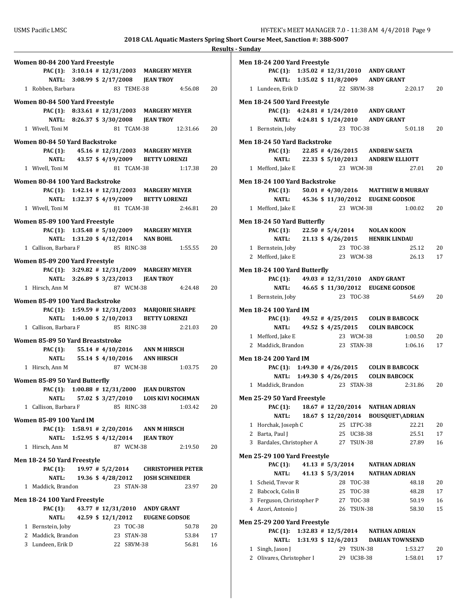| Women 80-84 200 Yard Freestyle                                                   |                                                |
|----------------------------------------------------------------------------------|------------------------------------------------|
| PAC (1): 3:10.14 # 12/31/2003 MARGERY MEYER                                      |                                                |
| NATL: 3:08.99 \$ 2/17/2008 JEAN TROY                                             |                                                |
| 1 Robben, Barbara                                                                | 83 TEME-38<br>4:56.08<br>20                    |
| Women 80-84 500 Yard Freestyle                                                   |                                                |
| PAC (1): 8:33.61 # 12/31/2003 MARGERY MEYER                                      |                                                |
| NATL: 8:26.37 \$ 3/30/2008 JEAN TROY                                             |                                                |
| 1 Wivell, Toni M                                                                 | 81 TCAM-38<br>12:31.66<br>20                   |
| Women 80-84 50 Yard Backstroke                                                   |                                                |
| PAC (1): 45.16 # 12/31/2003 MARGERY MEYER                                        |                                                |
| NATL: 43.57 \$4/19/2009 BETTY LORENZI                                            |                                                |
| 1 Wivell, Toni M                                                                 | 81 TCAM-38<br>20<br>1:17.38                    |
| Women 80-84 100 Yard Backstroke                                                  |                                                |
| PAC (1): 1:42.14 # 12/31/2003 MARGERY MEYER                                      |                                                |
| NATL: 1:32.37 \$ 4/19/2009 BETTY LORENZI                                         |                                                |
| 1 Wivell, Toni M                                                                 | 81 TCAM-38<br>2:46.81<br>20                    |
| Women 85-89 100 Yard Freestyle                                                   |                                                |
| PAC (1): 1:35.48 # 5/10/2009 MARGERY MEYER                                       |                                                |
| NATL: 1:31.20 \$ 4/12/2014 NAN BOHL                                              |                                                |
| 1 Callison, Barbara F                                                            | 85 RINC-38<br>1:55.55<br>20                    |
| Women 85-89 200 Yard Freestyle                                                   |                                                |
| PAC (1): 3:29.82 # 12/31/2009 MARGERY MEYER                                      |                                                |
| NATL: 3:26.89 \$ 3/23/2013 JEAN TROY                                             |                                                |
| 1 Hirsch, Ann M                                                                  | 87 WCM-38<br>4:24.48<br>20                     |
|                                                                                  |                                                |
| Women 85-89 100 Yard Backstroke<br>PAC (1): 1:59.59 # 12/31/2003 MARJORIE SHARPE |                                                |
| NATL: 1:40.00 \$ 2/10/2013 BETTY LORENZI                                         |                                                |
| 1 Callison, Barbara F                                                            | 85 RINC-38<br>2:21.03<br>20                    |
|                                                                                  |                                                |
| Women 85-89 50 Yard Breaststroke<br><b>PAC</b> (1):                              | 55.14 #4/10/2016 ANN M HIRSCH                  |
| NATL: 55.14 \$4/10/2016 ANN HIRSCH                                               |                                                |
| 1 Hirsch, Ann M                                                                  | 87 WCM-38<br>1:03.75<br>20                     |
|                                                                                  |                                                |
| Women 85-89 50 Yard Butterfly                                                    | 1:00.88 # 12/31/2000 JEAN DURSTON              |
| <b>PAC (1):</b><br>57.02 \$ 3/27/2010<br><b>NATL:</b>                            | <b>LOIS KIVI NOCHMAN</b>                       |
| 1 Callison, Barbara F                                                            | 85 RINC-38<br>1:03.42<br>20                    |
|                                                                                  |                                                |
| <b>Women 85-89 100 Yard IM</b>                                                   |                                                |
| PAC (1): 1:58.91 # 2/20/2016 ANN M HIRSCH<br>NATL: 1:52.95 \$4/12/2014           |                                                |
| 1 Hirsch, Ann M                                                                  | <b>JEAN TROY</b><br>87 WCM-38<br>2:19.50<br>20 |
|                                                                                  |                                                |
| Men 18-24 50 Yard Freestyle                                                      |                                                |
| <b>PAC (1):</b><br>$19.97 \# 5/2/2014$                                           | <b>CHRISTOPHER PETER</b>                       |
| <b>NATL:</b>                                                                     | 19.36 \$4/28/2012 JOSH SCHNEIDER               |
| 1 Maddick, Brandon                                                               | 23 STAN-38<br>23.97<br>20                      |
| Men 18-24 100 Yard Freestyle                                                     |                                                |
| <b>PAC</b> (1):                                                                  | 43.77 # 12/31/2010 ANDY GRANT                  |
| <b>NATL:</b>                                                                     | 42.59 \$12/1/2012 EUGENE GODSOE<br>23 TOC-38   |
| 1 Bernstein, Joby<br>2 Maddick, Brandon                                          | 50.78<br>20<br>23 STAN-38<br>53.84<br>17       |
| 3 Lundeen, Erik D                                                                | 22 SRVM-38<br>56.81<br>16                      |
|                                                                                  |                                                |

|              | Men 18-24 200 Yard Freestyle                                            |  |                        |                        |                                         |                                            |          |
|--------------|-------------------------------------------------------------------------|--|------------------------|------------------------|-----------------------------------------|--------------------------------------------|----------|
|              | PAC (1): 1:35.02 # 12/31/2010 ANDY GRANT                                |  |                        |                        |                                         |                                            |          |
|              |                                                                         |  |                        |                        | NATL: 1:35.02 \$ 11/8/2009 ANDY GRANT   |                                            |          |
|              | 1 Lundeen, Erik D                                                       |  |                        | 22 SRVM-38             |                                         | 2:20.17                                    | 20       |
|              |                                                                         |  |                        |                        |                                         |                                            |          |
|              | Men 18-24 500 Yard Freestyle<br>PAC (1): 4:24.81 # 1/24/2010 ANDY GRANT |  |                        |                        |                                         |                                            |          |
|              |                                                                         |  |                        |                        | NATL: 4:24.81 \$1/24/2010 ANDY GRANT    |                                            |          |
|              | 1 Bernstein, Joby                                                       |  |                        | 23 TOC-38              |                                         | 5:01.18                                    | 20       |
|              |                                                                         |  |                        |                        |                                         |                                            |          |
|              | Men 18-24 50 Yard Backstroke                                            |  |                        |                        |                                         |                                            |          |
|              | PAC (1): 22.85 #4/26/2015 ANDREW SAETA                                  |  |                        |                        |                                         |                                            |          |
|              |                                                                         |  |                        |                        | NATL: 22.33 \$ 5/10/2013 ANDREW ELLIOTT |                                            |          |
|              | 1 Mefford, Jake E                                                       |  |                        | 23 WCM-38              |                                         | 27.01                                      | 20       |
|              | Men 18-24 100 Yard Backstroke                                           |  |                        |                        |                                         |                                            |          |
|              |                                                                         |  |                        |                        |                                         | PAC (1): 50.01 #4/30/2016 MATTHEW R MURRAY |          |
|              |                                                                         |  |                        |                        | NATL: 45.36 \$11/30/2012 EUGENE GODSOE  |                                            |          |
|              | 1 Mefford, Jake E                                                       |  |                        | 23 WCM-38              |                                         | 1:00.02                                    | 20       |
|              |                                                                         |  |                        |                        |                                         |                                            |          |
|              | Men 18-24 50 Yard Butterfly                                             |  |                        |                        |                                         |                                            |          |
|              | PAC (1): 22.50 # 5/4/2014 NOLAN KOON                                    |  |                        |                        |                                         |                                            |          |
|              |                                                                         |  |                        |                        | NATL: 21.13 \$4/26/2015 HENRIK LINDAU   |                                            |          |
|              | 1 Bernstein, Joby<br>2 Mefford, Jake E                                  |  |                        | 23 TOC-38<br>23 WCM-38 |                                         | 25.12<br>26.13                             | 20<br>17 |
|              |                                                                         |  |                        |                        |                                         |                                            |          |
|              | Men 18-24 100 Yard Butterfly                                            |  |                        |                        |                                         |                                            |          |
|              | PAC (1): 49.03 # 12/31/2010 ANDY GRANT                                  |  |                        |                        |                                         |                                            |          |
|              | <b>NATL:</b>                                                            |  |                        |                        | 46.65 \$11/30/2012 EUGENE GODSOE        |                                            |          |
|              | 1 Bernstein, Joby                                                       |  |                        | 23 TOC-38              |                                         | 54.69                                      | 20       |
|              | <b>Men 18-24 100 Yard IM</b>                                            |  |                        |                        |                                         |                                            |          |
|              | PAC (1): 49.52 #4/25/2015 COLIN B BABCOCK                               |  |                        |                        |                                         |                                            |          |
|              |                                                                         |  |                        |                        | NATL: 49.52 \$4/25/2015 COLIN BABCOCK   |                                            |          |
|              | 1 Mefford, Jake E                                                       |  |                        | 23 WCM-38              |                                         | 1:00.50                                    | 20       |
|              | 2 Maddick, Brandon                                                      |  |                        | 23 STAN-38             |                                         | 1:06.16                                    | 17       |
|              |                                                                         |  |                        |                        |                                         |                                            |          |
|              | <b>Men 18-24 200 Yard IM</b>                                            |  |                        |                        |                                         |                                            |          |
|              | PAC (1): 1:49.30 # 4/26/2015 COLIN B BABCOCK                            |  |                        |                        |                                         |                                            |          |
|              | NATL: 1:49.30 \$ 4/26/2015                                              |  |                        |                        | <b>COLIN BABCOCK</b>                    |                                            |          |
|              | 1 Maddick, Brandon                                                      |  |                        | 23 STAN-38             |                                         | 2:31.86                                    | 20       |
|              | Men 25-29 50 Yard Freestyle                                             |  |                        |                        |                                         |                                            |          |
|              | PAC (1):                                                                |  | 18.67 # 12/20/2014     |                        | <b>NATHAN ADRIAN</b>                    |                                            |          |
|              | <b>NATL:</b>                                                            |  |                        |                        |                                         | 18.67 \$12/20/2014 BOUSQUET\ADRIAN         |          |
|              | 1 Horchak, Joseph C                                                     |  |                        | 25 LTPC-38             |                                         | 22.21                                      | 20       |
|              | 2 Barta, Paul J                                                         |  |                        | 25 UC38-38             |                                         | 25.51                                      | 17       |
|              | 3 Bardales, Christopher A                                               |  |                        | 27 TSUN-38             |                                         | 27.89                                      | 16       |
|              | Men 25-29 100 Yard Freestyle                                            |  |                        |                        |                                         |                                            |          |
|              | PAC (1):                                                                |  | $41.13 \# 5/3/2014$    |                        | <b>NATHAN ADRIAN</b>                    |                                            |          |
|              | <b>NATL:</b>                                                            |  | 41.13 \$ 5/3/2014      |                        | <b>NATHAN ADRIAN</b>                    |                                            |          |
|              | 1 Scheid, Trevor R                                                      |  |                        | 28 TOC-38              |                                         | 48.18                                      | 20       |
|              | 2 Babcock, Colin B                                                      |  |                        | 25 TOC-38              |                                         | 48.28                                      | 17       |
|              | 3 Ferguson, Christopher P                                               |  |                        | 27 TOC-38              |                                         | 50.19                                      | 16       |
|              | 4 Azori, Antonio J                                                      |  |                        | 26 TSUN-38             |                                         | 58.30                                      | 15       |
|              |                                                                         |  |                        |                        |                                         |                                            |          |
|              | Men 25-29 200 Yard Freestyle                                            |  |                        |                        |                                         |                                            |          |
|              | <b>PAC</b> (1):                                                         |  | $1:32.83 \# 12/5/2014$ |                        | <b>NATHAN ADRIAN</b>                    |                                            |          |
|              | <b>NATL:</b>                                                            |  | 1:31.93 \$ 12/6/2013   |                        |                                         | <b>DARIAN TOWNSEND</b>                     |          |
|              | 1 Singh, Jason J                                                        |  |                        | 29 TSUN-38             |                                         | 1:53.27                                    | 20       |
| $\mathbf{2}$ | Olivares, Christopher I                                                 |  | 29                     | UC38-38                |                                         | 1:58.01                                    | 17       |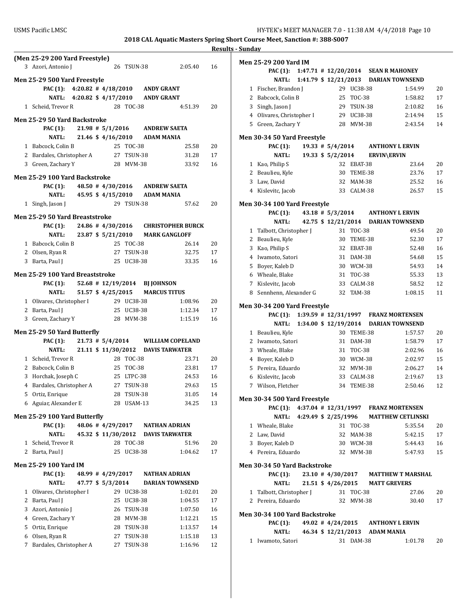### **2018 CAL Aquatic Masters Spring Short Course Meet, Sanction #: 388-S007 Results - Sunday**

|              |                                                                               |  |                      |                        |                                                      |                          | <u>Rest</u> |
|--------------|-------------------------------------------------------------------------------|--|----------------------|------------------------|------------------------------------------------------|--------------------------|-------------|
|              | (Men 25-29 200 Yard Freestyle)<br>3 Azori, Antonio J                          |  |                      | 26 TSUN-38             |                                                      | 2:05.40                  | 16          |
|              |                                                                               |  |                      |                        |                                                      |                          |             |
|              | <b>Men 25-29 500 Yard Freestyle</b><br>PAC (1): 4:20.82 #4/18/2010 ANDY GRANT |  |                      |                        |                                                      |                          |             |
|              | <b>NATL:</b>                                                                  |  | 4:20.82 $$4/17/2010$ |                        | <b>ANDY GRANT</b>                                    |                          |             |
|              | 1 Scheid, Trevor R                                                            |  |                      | 28 TOC-38              |                                                      | 4:51.39                  | 20          |
|              |                                                                               |  |                      |                        |                                                      |                          |             |
|              | Men 25-29 50 Yard Backstroke                                                  |  |                      |                        |                                                      |                          |             |
|              | <b>PAC</b> (1):                                                               |  | $21.98 \pm 5/1/2016$ |                        | <b>ANDREW SAETA</b>                                  |                          |             |
|              | <b>NATL:</b>                                                                  |  | 21.46 \$4/16/2010    |                        | <b>ADAM MANIA</b>                                    |                          |             |
|              | 1 Babcock, Colin B                                                            |  |                      | 25 TOC-38              |                                                      | 25.58                    | 20          |
|              | 2 Bardales, Christopher A 27 TSUN-38                                          |  |                      |                        |                                                      | 31.28                    | 17          |
|              | 3 Green, Zachary Y                                                            |  |                      | 28 MVM-38              |                                                      | 33.92                    | 16          |
|              | Men 25-29 100 Yard Backstroke                                                 |  |                      |                        |                                                      |                          |             |
|              | <b>PAC (1):</b>                                                               |  |                      |                        | 48.50 # 4/30/2016 ANDREW SAETA                       |                          |             |
|              | NATL:                                                                         |  | 45.95 \$ 4/15/2010   |                        | <b>ADAM MANIA</b>                                    |                          |             |
| $\mathbf{1}$ | Singh, Jason J                                                                |  |                      | 29 TSUN-38             |                                                      | 57.62                    | 20          |
|              | Men 25-29 50 Yard Breaststroke                                                |  |                      |                        |                                                      |                          |             |
|              | <b>PAC (1):</b>                                                               |  | 24.86 # 4/30/2016    |                        |                                                      | <b>CHRISTOPHER BURCK</b> |             |
|              | <b>NATL:</b>                                                                  |  | 23.87 \$ 5/21/2010   |                        | <b>MARK GANGLOFF</b>                                 |                          |             |
|              | 1 Babcock, Colin B                                                            |  |                      | 25 TOC-38              |                                                      | 26.14                    | 20          |
|              | 2 Olsen, Ryan R                                                               |  |                      | 27 TSUN-38             |                                                      | 32.75                    | 17          |
|              | 3 Barta, Paul J                                                               |  |                      | 25 UC38-38             |                                                      | 33.35                    | 16          |
|              |                                                                               |  |                      |                        |                                                      |                          |             |
|              | Men 25-29 100 Yard Breaststroke                                               |  |                      |                        |                                                      |                          |             |
|              | PAC (1):<br><b>NATL:</b>                                                      |  | 51.57 \$ 4/25/2015   |                        | 52.68 # 12/19/2014 BJ JOHNSON<br><b>MARCUS TITUS</b> |                          |             |
|              | 1 Olivares, Christopher I                                                     |  |                      | 29 UC38-38             |                                                      | 1:08.96                  | 20          |
|              | 2 Barta, Paul J                                                               |  |                      | 25 UC38-38             |                                                      | 1:12.34                  | 17          |
|              | 3 Green, Zachary Y                                                            |  |                      | 28 MVM-38              |                                                      | 1:15.19                  | 16          |
|              |                                                                               |  |                      |                        |                                                      |                          |             |
|              | Men 25-29 50 Yard Butterfly                                                   |  |                      |                        |                                                      |                          |             |
|              | <b>PAC</b> (1):                                                               |  | $21.73$ # $5/4/2014$ |                        |                                                      | <b>WILLIAM COPELAND</b>  |             |
|              | <b>NATL:</b>                                                                  |  |                      |                        | 21.11 \$11/30/2012 DAVIS TARWATER                    |                          |             |
|              | 1 Scheid, Trevor R                                                            |  |                      | 28 TOC-38<br>25 TOC-38 |                                                      | 23.71<br>23.81           | 20<br>17    |
| 3            | 2 Babcock, Colin B<br>Horchak, Joseph C                                       |  |                      | 25 LTPC-38             |                                                      | 24.53                    | 16          |
|              | 4 Bardales, Christopher A                                                     |  |                      | 27 TSUN-38             |                                                      | 29.63                    | 15          |
|              | 5 Ortiz, Enrique                                                              |  |                      | 28 TSUN-38             |                                                      | 31.05                    | 14          |
|              | 6 Aguiar, Alexander E                                                         |  |                      | 28 USAM-13             |                                                      | 34.25                    | 13          |
|              |                                                                               |  |                      |                        |                                                      |                          |             |
|              | Men 25-29 100 Yard Butterfly                                                  |  |                      |                        |                                                      |                          |             |
|              | <b>PAC</b> (1):                                                               |  | 48.06 # 4/29/2017    |                        | <b>NATHAN ADRIAN</b>                                 |                          |             |
|              | <b>NATL:</b>                                                                  |  | 45.32 \$ 11/30/2012  |                        | <b>DAVIS TARWATER</b>                                |                          |             |
| 1            | Scheid, Trevor R                                                              |  |                      | 28 TOC-38              |                                                      | 51.96                    | 20          |
|              | 2 Barta, Paul J                                                               |  | 25                   | UC38-38                |                                                      | 1:04.62                  | 17          |
|              | Men 25-29 100 Yard IM                                                         |  |                      |                        |                                                      |                          |             |
|              | <b>PAC</b> (1):                                                               |  | 48.99 # 4/29/2017    |                        | <b>NATHAN ADRIAN</b>                                 |                          |             |
|              | <b>NATL:</b>                                                                  |  | 47.77 \$ 5/3/2014    |                        |                                                      | <b>DARIAN TOWNSEND</b>   |             |
| 1            | Olivares, Christopher I                                                       |  |                      | 29 UC38-38             |                                                      | 1:02.01                  | 20          |
|              | 2 Barta, Paul J                                                               |  |                      | 25 UC38-38             |                                                      | 1:04.55                  | 17          |
| 3            | Azori, Antonio J                                                              |  |                      | 26 TSUN-38             |                                                      | 1:07.50                  | 16          |
|              | 4 Green, Zachary Y                                                            |  |                      | 28 MVM-38              |                                                      | 1:12.21                  | 15          |
| 5            | Ortiz, Enrique                                                                |  |                      | 28 TSUN-38             |                                                      | 1:13.57                  | 14          |
| 6            | Olsen, Ryan R                                                                 |  |                      | 27 TSUN-38             |                                                      | 1:15.18                  | 13          |
| 7            | Bardales, Christopher A                                                       |  | 27                   | TSUN-38                |                                                      | 1:16.96                  | 12          |
|              |                                                                               |  |                      |                        |                                                      |                          |             |

|              | Men 25-29 200 Yard IM              |                                      |                       |               |                                               |    |
|--------------|------------------------------------|--------------------------------------|-----------------------|---------------|-----------------------------------------------|----|
|              | <b>PAC</b> (1):                    | $1:47.71$ # $12/20/2014$             |                       |               | <b>SEAN R MAHONEY</b>                         |    |
|              | NATL:                              |                                      | 1:41.79 \$ 12/21/2013 |               | <b>DARIAN TOWNSEND</b>                        |    |
| $\mathbf{1}$ | Fischer, Brandon J                 |                                      |                       | 29 UC38-38    | 1:54.99                                       | 20 |
| 2            | Babcock, Colin B                   |                                      | 25                    | TOC-38        | 1:58.82                                       | 17 |
| 3            | Singh, Jason J                     |                                      |                       | 29 TSUN-38    | 2:10.82                                       | 16 |
|              | 4 Olivares, Christopher I          |                                      |                       | 29 UC38-38    | 2:14.94                                       | 15 |
|              | 5 Green, Zachary Y                 |                                      |                       | 28 MVM-38     | 2:43.54                                       | 14 |
|              | <b>Men 30-34 50 Yard Freestyle</b> |                                      |                       |               |                                               |    |
|              | PAC (1):                           |                                      | $19.33 \pm 5/4/2014$  |               | <b>ANTHONY L ERVIN</b>                        |    |
|              | <b>NATL:</b>                       |                                      | 19.33 \$ 5/2/2014     |               | <b>ERVIN\ERVIN</b>                            |    |
|              | 1 Kao, Philip S                    |                                      |                       | 32 EBAT-38    | 23.64                                         | 20 |
|              | 2 Beaulieu, Kyle                   |                                      |                       | 30 TEME-38    | 23.76                                         | 17 |
|              | 3 Law, David                       |                                      |                       | 32 MAM-38     | 25.52                                         | 16 |
|              | 4 Kislevitc, Jacob                 |                                      |                       | 33 CALM-38    | 26.57                                         | 15 |
|              |                                    |                                      |                       |               |                                               |    |
|              | Men 30-34 100 Yard Freestyle       |                                      |                       |               |                                               |    |
|              | PAC (1):                           |                                      | $43.18$ # $5/3/2014$  |               | <b>ANTHONY L ERVIN</b>                        |    |
|              | <b>NATL:</b>                       |                                      |                       |               | 42.75 \$12/21/2014 DARIAN TOWNSEND            |    |
| 1            | Talbott, Christopher J             |                                      | 31                    | <b>TOC-38</b> | 49.54                                         | 20 |
|              | 2 Beaulieu, Kyle                   |                                      | 30                    | TEME-38       | 52.30                                         | 17 |
| 3            | Kao, Philip S                      |                                      |                       | 32 EBAT-38    | 52.48                                         | 16 |
|              | 4 Iwamoto, Satori                  |                                      |                       | 31 DAM-38     | 54.68                                         | 15 |
| 5            | Boyer, Kaleb D                     |                                      |                       | 30 WCM-38     | 54.93                                         | 14 |
|              | 6 Wheale, Blake                    |                                      |                       | 31 TOC-38     | 55.33                                         | 13 |
|              | 7 Kislevitc, Jacob                 |                                      |                       | 33 CALM-38    | 58.52                                         | 12 |
| 8            | Sennhenn, Alexander G              |                                      |                       | 32 TAM-38     | 1:08.15                                       | 11 |
|              | Men 30-34 200 Yard Freestyle       |                                      |                       |               |                                               |    |
|              | <b>PAC</b> (1):                    |                                      |                       |               | 1:39.59 # 12/31/1997 FRANZ MORTENSEN          |    |
|              | NATL:                              | 1:34.00 \$ 12/19/2014                |                       |               | <b>DARIAN TOWNSEND</b>                        |    |
| 1            | Beaulieu, Kyle                     |                                      | 30                    | TEME-38       | 1:57.57                                       | 20 |
|              | 2 Iwamoto, Satori                  |                                      | 31                    | DAM-38        | 1:58.79                                       | 17 |
| 3            | Wheale, Blake                      |                                      | 31                    | TOC-38        | 2:02.96                                       | 16 |
|              | 4 Bover, Kaleb D                   |                                      |                       | 30 WCM-38     | 2:02.97                                       | 15 |
|              | 5 Pereira, Eduardo                 |                                      |                       | 32 MVM-38     | 2:06.27                                       | 14 |
|              | 6 Kislevitc, Jacob                 |                                      |                       | 33 CALM-38    | 2:19.67                                       | 13 |
|              | 7 Wilson, Fletcher                 |                                      | 34                    | TEME-38       | 2:50.46                                       | 12 |
|              |                                    |                                      |                       |               |                                               |    |
|              | Men 30-34 500 Yard Freestyle       |                                      |                       |               |                                               |    |
|              |                                    |                                      |                       |               | PAC (1): 4:37.04 # 12/31/1997 FRANZ MORTENSEN |    |
|              |                                    |                                      |                       |               | NATL: 4:29.49 \$ 2/25/1996 MATTHEW CETLINSKI  |    |
|              | 1 Wheale, Blake                    |                                      |                       | 31 TOC-38     | 5:35.54                                       | 20 |
|              | 2 Law, David                       |                                      |                       | 32 MAM-38     | 5:42.15                                       | 17 |
|              | 3 Boyer, Kaleb D                   |                                      |                       | 30 WCM-38     | 5:44.43                                       | 16 |
|              | 4 Pereira, Eduardo                 |                                      |                       | 32 MVM-38     | 5:47.93                                       | 15 |
|              | Men 30-34 50 Yard Backstroke       |                                      |                       |               |                                               |    |
|              | <b>PAC</b> (1):                    |                                      |                       |               | 23.10 #4/30/2017 MATTHEW T MARSHAL            |    |
|              | <b>NATL:</b>                       |                                      |                       |               | 21.51 \$4/26/2015 MATT GREVERS                |    |
| $\mathbf{1}$ | Talbott, Christopher J             |                                      |                       | 31 TOC-38     | 27.06                                         | 20 |
|              | 2 Pereira, Eduardo                 |                                      |                       | 32 MVM-38     | 30.40                                         | 17 |
|              |                                    |                                      |                       |               |                                               |    |
|              | Men 30-34 100 Yard Backstroke      |                                      |                       |               |                                               |    |
|              | <b>PAC</b> (1):                    |                                      |                       |               | 49.02 #4/24/2015 ANTHONY LERVIN               |    |
|              |                                    | NATL: 46.34 \$ 12/21/2013 ADAM MANIA |                       |               |                                               |    |
|              | 1 Iwamoto, Satori                  |                                      |                       | 31 DAM-38     | 1:01.78                                       | 20 |
|              |                                    |                                      |                       |               |                                               |    |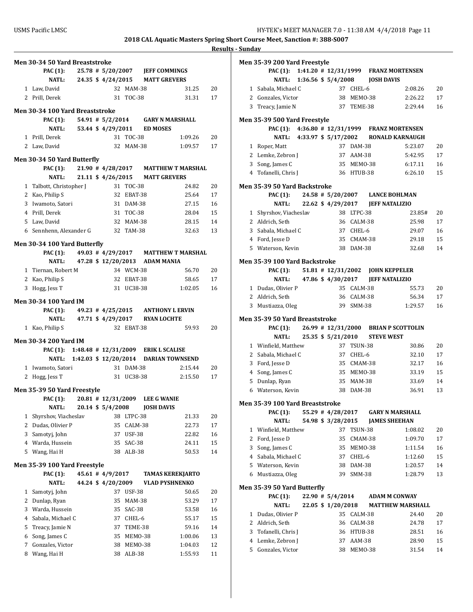|   | <b>Men 30-34 50 Yard Breaststroke</b>   |  |                     |               |                                              |         |    |
|---|-----------------------------------------|--|---------------------|---------------|----------------------------------------------|---------|----|
|   | <b>PAC</b> (1):                         |  | 25.78 # 5/20/2007   |               | <b>JEFF COMMINGS</b>                         |         |    |
|   | <b>NATL:</b>                            |  | 24.35 \$ 4/24/2015  |               | <b>MATT GREVERS</b>                          |         |    |
|   | 1 Law, David                            |  |                     | 32 MAM-38     |                                              | 31.25   | 20 |
|   | 2 Prill, Derek                          |  |                     | 31 TOC-38     |                                              | 31.31   | 17 |
|   |                                         |  |                     |               |                                              |         |    |
|   | Men 30-34 100 Yard Breaststroke         |  |                     |               |                                              |         |    |
|   | PAC (1): $54.91 \# 5/2/2014$            |  |                     |               | <b>GARY N MARSHALL</b>                       |         |    |
|   | NATL:                                   |  |                     |               | 53.44 \$4/29/2011 ED MOSES                   |         |    |
|   | 1 Prill, Derek                          |  |                     | 31 TOC-38     |                                              | 1:09.26 | 20 |
|   | 2 Law. David                            |  |                     | 32 MAM-38     |                                              | 1:09.57 | 17 |
|   | Men 30-34 50 Yard Butterfly             |  |                     |               |                                              |         |    |
|   | <b>PAC (1):</b>                         |  |                     |               | 21.90 #4/28/2017 MATTHEW T MARSHAL           |         |    |
|   | NATL:                                   |  | 21.11 \$ 4/26/2015  |               | <b>MATT GREVERS</b>                          |         |    |
|   | 1 Talbott, Christopher J                |  |                     | 31 TOC-38     |                                              | 24.82   | 20 |
|   | 2 Kao, Philip S                         |  |                     | 32 EBAT-38    |                                              | 25.64   | 17 |
|   | 3 Iwamoto, Satori                       |  |                     | 31 DAM-38     |                                              | 27.15   | 16 |
|   | 4 Prill, Derek                          |  |                     |               |                                              |         |    |
|   |                                         |  |                     | 31 TOC-38     |                                              | 28.04   | 15 |
|   | 5 Law, David                            |  |                     | 32 MAM-38     |                                              | 28.15   | 14 |
|   | 6 Sennhenn, Alexander G                 |  |                     | 32 TAM-38     |                                              | 32.63   | 13 |
|   | Men 30-34 100 Yard Butterfly            |  |                     |               |                                              |         |    |
|   | <b>PAC (1):</b>                         |  |                     |               | 49.03 # 4/29/2017 MATTHEW T MARSHAL          |         |    |
|   | <b>NATL:</b>                            |  | 47.28 \$ 12/20/2013 |               | <b>ADAM MANIA</b>                            |         |    |
|   | 1 Tiernan, Robert M                     |  |                     | 34 WCM-38     |                                              | 56.70   | 20 |
|   | 2 Kao, Philip S                         |  |                     | 32 EBAT-38    |                                              | 58.65   | 17 |
|   | 3 Hogg, Jess T                          |  |                     | 31 UC38-38    |                                              | 1:02.05 | 16 |
|   |                                         |  |                     |               |                                              |         |    |
|   | Men 30-34 100 Yard IM                   |  |                     |               |                                              |         |    |
|   |                                         |  |                     |               |                                              |         |    |
|   | PAC (1): $49.23 \pm 4/25/2015$          |  |                     |               | <b>ANTHONY L ERVIN</b>                       |         |    |
|   | NATL: 47.71 \$ 4/29/2017                |  |                     |               | <b>RYAN LOCHTE</b>                           |         |    |
|   | 1 Kao, Philip S                         |  |                     | 32 EBAT-38    |                                              | 59.93   | 20 |
|   |                                         |  |                     |               |                                              |         |    |
|   | Men 30-34 200 Yard IM                   |  |                     |               |                                              |         |    |
|   |                                         |  |                     |               | PAC (1): 1:48.48 # 12/31/2009 ERIK L SCALISE |         |    |
|   |                                         |  |                     |               | NATL: 1:42.03 \$ 12/20/2014 DARIAN TOWNSEND  |         |    |
|   | 1 Iwamoto, Satori                       |  |                     | 31 DAM-38     |                                              | 2:15.44 | 20 |
|   | 2 Hogg, Jess T                          |  |                     | 31 UC38-38    |                                              | 2:15.50 | 17 |
|   | Men 35-39 50 Yard Freestyle             |  |                     |               |                                              |         |    |
|   | PAC (1): 20.81 # 12/31/2009 LEE G WANIE |  |                     |               |                                              |         |    |
|   | NATL:                                   |  | 20.14 \$ 5/4/2008   |               | <b>JOSH DAVIS</b>                            |         |    |
| 1 | Shyrshov, Viacheslav                    |  | 38                  | LTPC-38       |                                              | 21.33   | 20 |
| 2 | Dudas, Olivier P                        |  | 35                  | CALM-38       |                                              | 22.73   | 17 |
| 3 | Samotyj, John                           |  | 37                  | <b>USF-38</b> |                                              | 22.82   | 16 |
| 4 | Warda, Hussein                          |  | 35                  | SAC-38        |                                              | 24.11   | 15 |
| 5 |                                         |  |                     |               |                                              |         |    |
|   | Wang, Hai H                             |  | 38                  | ALB-38        |                                              | 50.53   | 14 |
|   | <b>Men 35-39 100 Yard Freestyle</b>     |  |                     |               |                                              |         |    |
|   | <b>PAC</b> (1):                         |  | 45.61 # 4/9/2017    |               | <b>TAMAS KEREKJARTO</b>                      |         |    |
|   | <b>NATL:</b>                            |  | 44.24 \$4/20/2009   |               | <b>VLAD PYSHNENKO</b>                        |         |    |
| 1 | Samotyj, John                           |  | 37                  | <b>USF-38</b> |                                              | 50.65   | 20 |
| 2 | Dunlap, Ryan                            |  | 35                  | MAM-38        |                                              | 53.29   | 17 |
| 3 | Warda, Hussein                          |  | 35                  | SAC-38        |                                              | 53.58   | 16 |
| 4 | Sabala, Michael C                       |  | 37                  | CHEL-6        |                                              | 55.17   | 15 |
| 5 | Treacy, Jamie N                         |  | 37                  | TEME-38       |                                              | 59.16   | 14 |
| 6 | Song, James C                           |  | 35                  | MEMO-38       |                                              | 1:00.06 | 13 |
| 7 | Gonzales, Victor                        |  | 38                  | MEMO-38       |                                              | 1:04.03 | 12 |

|   | Men 35-39 200 Yard Freestyle           |  |                     |            |                                               |         |    |
|---|----------------------------------------|--|---------------------|------------|-----------------------------------------------|---------|----|
|   | <b>PAC</b> (1):                        |  |                     |            | 1:41.20 # 12/31/1999 FRANZ MORTENSEN          |         |    |
|   | NATL: 1:36.56 \$ 5/4/2008              |  |                     |            | <b>JOSH DAVIS</b>                             |         |    |
|   | 1 Sabala, Michael C                    |  |                     | 37 CHEL-6  |                                               | 2:08.26 | 20 |
|   | 2 Gonzales, Victor                     |  |                     | 38 MEM0-38 |                                               | 2:26.22 | 17 |
|   | 3 Treacy, Jamie N                      |  |                     | 37 TEME-38 |                                               | 2:29.44 | 16 |
|   | <b>Men 35-39 500 Yard Freestyle</b>    |  |                     |            |                                               |         |    |
|   |                                        |  |                     |            | PAC (1): 4:36.80 # 12/31/1999 FRANZ MORTENSEN |         |    |
|   | NATL: 4:33.97 \$ 5/17/2002             |  |                     |            | <b>RONALD KARNAUGH</b>                        |         |    |
|   | 1 Roper, Matt                          |  |                     | 37 DAM-38  |                                               | 5:23.07 | 20 |
|   | 2 Lemke, Zebron J                      |  |                     | 37 AAM-38  |                                               | 5:42.95 | 17 |
|   | 3 Song, James C                        |  |                     | 35 MEMO-38 |                                               | 6:17.11 | 16 |
|   | 4 Tofanelli, Chris J                   |  |                     | 36 HTUB-38 |                                               | 6:26.10 | 15 |
|   | Men 35-39 50 Yard Backstroke           |  |                     |            |                                               |         |    |
|   | <b>PAC</b> (1):                        |  |                     |            | 24.58 # 5/20/2007 LANCE BOHLMAN               |         |    |
|   | NATL:                                  |  |                     |            | 22.62 \$4/29/2017 JEFF NATALIZIO              |         |    |
|   | 1 Shyrshov, Viacheslav                 |  |                     | 38 LTPC-38 |                                               | 23.85#  | 20 |
|   | 2 Aldrich, Seth                        |  |                     | 36 CALM-38 |                                               | 25.98   | 17 |
|   | 3 Sabala, Michael C                    |  |                     | 37 CHEL-6  |                                               | 29.07   | 16 |
|   | 4 Ford, Jesse D                        |  |                     | 35 CMAM-38 |                                               | 29.18   | 15 |
|   | 5 Waterson, Kevin                      |  |                     | 38 DAM-38  |                                               | 32.68   | 14 |
|   | Men 35-39 100 Yard Backstroke          |  |                     |            |                                               |         |    |
|   | <b>PAC (1):</b>                        |  |                     |            | 51.81 # 12/31/2002 JOHN KEPPELER              |         |    |
|   | <b>NATL:</b>                           |  |                     |            | 47.86 \$4/30/2017 JEFF NATALIZIO              |         |    |
|   | 1 Dudas, Olivier P                     |  |                     | 35 CALM-38 |                                               | 55.73   | 20 |
|   | 2 Aldrich, Seth                        |  |                     | 36 CALM-38 |                                               | 56.34   | 17 |
| 3 | Mustiazza, Oleg                        |  |                     | 39 SMM-38  |                                               | 1:29.57 | 16 |
|   | <b>Men 35-39 50 Yard Breaststroke</b>  |  |                     |            |                                               |         |    |
|   | <b>PAC (1):</b>                        |  |                     |            | 26.99 # 12/31/2000 BRIAN P SCOTTOLIN          |         |    |
|   | NATL:                                  |  | 25.35 \$ 5/21/2010  |            | <b>STEVE WEST</b>                             |         |    |
|   | 1 Winfield, Matthew                    |  |                     | 37 TSUN-38 |                                               | 30.86   | 20 |
|   | 2 Sabala, Michael C                    |  |                     | 37 CHEL-6  |                                               | 32.10   | 17 |
|   | 3 Ford, Jesse D                        |  |                     | 35 CMAM-38 |                                               | 32.17   | 16 |
|   | 4 Song, James C                        |  |                     | 35 MEM0-38 |                                               | 33.19   | 15 |
|   | 5 Dunlap, Ryan                         |  |                     | 35 MAM-38  |                                               | 33.69   | 14 |
|   | 6 Waterson, Kevin                      |  | 38                  | DAM-38     |                                               | 36.91   | 13 |
|   | <b>Men 35-39 100 Yard Breaststroke</b> |  |                     |            |                                               |         |    |
|   | <b>PAC</b> (1):                        |  |                     |            | 55.29 #4/28/2017 GARY N MARSHALL              |         |    |
|   | <b>NATL:</b>                           |  | 54.98 \$ 3/28/2015  |            | <b>JAMES SHEEHAN</b>                          |         |    |
|   | 1 Winfield, Matthew                    |  |                     | 37 TSUN-38 |                                               | 1:08.02 | 20 |
|   | 2 Ford, Jesse D                        |  | 35                  | CMAM-38    |                                               | 1:09.70 | 17 |
| 3 | Song, James C                          |  |                     | 35 MEMO-38 |                                               | 1:11.54 | 16 |
|   | 4 Sabala, Michael C                    |  |                     | 37 CHEL-6  |                                               | 1:12.60 | 15 |
|   | 5 Waterson, Kevin                      |  |                     | 38 DAM-38  |                                               | 1:20.57 | 14 |
|   | 6 Mustiazza, Oleg                      |  | 39                  | SMM-38     |                                               | 1:28.79 | 13 |
|   | Men 35-39 50 Yard Butterfly            |  |                     |            |                                               |         |    |
|   | PAC (1):                               |  | $22.90 \# 5/4/2014$ |            | <b>ADAM M CONWAY</b>                          |         |    |
|   | <b>NATL:</b>                           |  | 22.05 \$ 1/20/2018  |            | <b>MATTHEW MARSHALL</b>                       |         |    |
|   | 1 Dudas, Olivier P                     |  |                     | 35 CALM-38 |                                               | 24.40   | 20 |
|   | 2 Aldrich, Seth                        |  |                     | 36 CALM-38 |                                               | 24.78   | 17 |
| 3 | Tofanelli, Chris J                     |  |                     | 36 HTUB-38 |                                               | 28.51   | 16 |
|   | 4 Lemke, Zebron J                      |  |                     | 37 AAM-38  |                                               | 28.90   | 15 |
|   | 5 Gonzales, Victor                     |  |                     | 38 MEMO-38 |                                               | 31.54   | 14 |
|   |                                        |  |                     |            |                                               |         |    |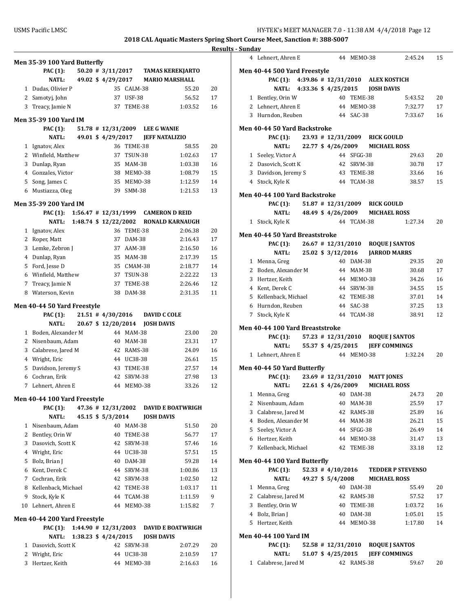|    |                                     |  |                                             |                          |                   |                                    | Кt       |
|----|-------------------------------------|--|---------------------------------------------|--------------------------|-------------------|------------------------------------|----------|
|    | Men 35-39 100 Yard Butterfly        |  |                                             |                          |                   |                                    |          |
|    | PAC (1):                            |  |                                             |                          |                   | 50.20 # 3/11/2017 TAMAS KEREKJARTO |          |
|    | <b>NATL:</b>                        |  | 49.02 \$4/29/2017                           |                          |                   | <b>MARIO MARSHALL</b>              |          |
|    | 1 Dudas, Olivier P                  |  |                                             | 35 CALM-38               |                   | 55.20                              | 20       |
|    | 2 Samotyj, John                     |  |                                             | 37 USF-38                |                   | 56.52                              | 17       |
|    | 3 Treacy, Jamie N                   |  |                                             | 37 TEME-38               |                   | 1:03.52                            | 16       |
|    |                                     |  |                                             |                          |                   |                                    |          |
|    | <b>Men 35-39 100 Yard IM</b>        |  |                                             |                          |                   |                                    |          |
|    | PAC (1):<br><b>NATL:</b>            |  | $51.78$ # 12/31/2009                        |                          |                   | <b>LEE G WANIE</b>                 |          |
|    |                                     |  | 49.01 \$ 4/29/2017                          |                          |                   | <b>JEFF NATALIZIO</b>              |          |
|    | 1 Ignatov, Alex                     |  |                                             | 36 TEME-38<br>37 TSUN-38 |                   | 58.55<br>1:02.63                   | 20<br>17 |
| 3  | 2 Winfield, Matthew<br>Dunlap, Ryan |  |                                             | 35 MAM-38                |                   | 1:03.38                            | 16       |
|    | 4 Gonzales, Victor                  |  |                                             | 38 MEM0-38               |                   | 1:08.79                            | 15       |
| 5. | Song, James C                       |  |                                             | 35 MEMO-38               |                   | 1:12.59                            | 14       |
|    | 6 Mustiazza, Oleg                   |  |                                             | 39 SMM-38                |                   | 1:21.53                            | 13       |
|    |                                     |  |                                             |                          |                   |                                    |          |
|    | <b>Men 35-39 200 Yard IM</b>        |  |                                             |                          |                   |                                    |          |
|    | <b>PAC (1):</b>                     |  | $1:56.47$ # $12/31/1999$                    |                          |                   | <b>CAMERON D REID</b>              |          |
|    | <b>NATL:</b>                        |  | 1:48.74 \$ 12/22/2002                       |                          |                   | <b>RONALD KARNAUGH</b>             |          |
|    | 1 Ignatov, Alex                     |  |                                             | 36 TEME-38               |                   | 2:06.38                            | 20       |
| 2  | Roper, Matt                         |  |                                             | 37 DAM-38                |                   | 2:16.43                            | 17       |
| 3  | Lemke, Zebron J                     |  |                                             | 37 AAM-38                |                   | 2:16.50                            | 16       |
|    | 4 Dunlap, Ryan                      |  |                                             | 35 MAM-38                |                   | 2:17.39                            | 15       |
| 5  | Ford, Jesse D                       |  |                                             | 35 CMAM-38               |                   | 2:18.77                            | 14       |
|    | 6 Winfield, Matthew                 |  |                                             | 37 TSUN-38               |                   | 2:22.22                            | 13       |
| 7  | Treacy, Jamie N                     |  |                                             | 37 TEME-38               |                   | 2:26.46                            | 12       |
| 8  | Waterson, Kevin                     |  |                                             | 38 DAM-38                |                   | 2:31.35                            | 11       |
|    | Men 40-44 50 Yard Freestyle         |  |                                             |                          |                   |                                    |          |
|    | <b>PAC</b> (1):                     |  | $21.51$ # 4/30/2016                         |                          |                   | <b>DAVID C COLE</b>                |          |
|    | <b>NATL:</b>                        |  | 20.67 \$12/20/2014                          |                          | <b>JOSH DAVIS</b> |                                    |          |
|    | 1 Boden, Alexander M                |  |                                             | 44 MAM-38                |                   | 23.00                              | 20       |
| 2  | Nisenbaum, Adam                     |  |                                             | 40 MAM-38                |                   | 23.31                              | 17       |
| 3  | Calabrese, Jared M                  |  |                                             | 42 RAMS-38               |                   | 24.09                              | 16       |
|    | 4 Wright, Eric                      |  |                                             | 44 UC38-38               |                   | 26.61                              | 15       |
| 5  | Davidson, Jeremy S                  |  |                                             | 43 TEME-38               |                   | 27.57                              | 14       |
| 6  | Cochran, Erik                       |  |                                             | 42 SRVM-38               |                   | 27.98                              | 13       |
| 7  | Lehnert, Ahren E                    |  |                                             | 44 MEMO-38               |                   | 33.26                              | 12       |
|    |                                     |  |                                             |                          |                   |                                    |          |
|    | Men 40-44 100 Yard Freestyle        |  |                                             |                          |                   |                                    |          |
|    | PAC (1):<br><b>NATL:</b>            |  | $47.36 \pm 12/31/2002$<br>45.15 \$ 5/3/2014 |                          | <b>JOSH DAVIS</b> | <b>DAVID E BOATWRIGH</b>           |          |
| 1  | Nisenbaum, Adam                     |  | 40                                          | MAM-38                   |                   | 51.50                              | 20       |
| 2  | Bentley, Orin W                     |  | 40                                          | TEME-38                  |                   | 56.77                              | 17       |
| 3  | Dasovich, Scott K                   |  |                                             | 42 SRVM-38               |                   | 57.46                              | 16       |
| 4  | Wright, Eric                        |  |                                             | 44 UC38-38               |                   | 57.51                              | 15       |
| 5. | Bolz, Brian J                       |  |                                             | 40 DAM-38                |                   | 59.28                              | 14       |
| 6  | Kent, Derek C                       |  |                                             | 44 SRVM-38               |                   | 1:00.86                            | 13       |
| 7  | Cochran, Erik                       |  |                                             | 42 SRVM-38               |                   | 1:02.50                            | 12       |
| 8  | Kellenback, Michael                 |  |                                             | 42 TEME-38               |                   | 1:03.17                            | 11       |
| 9  | Stock, Kyle K                       |  |                                             | 44 TCAM-38               |                   | 1:11.59                            | 9        |
| 10 | Lehnert, Ahren E                    |  |                                             | 44 MEMO-38               |                   | 1:15.82                            | 7        |
|    |                                     |  |                                             |                          |                   |                                    |          |
|    | Men 40-44 200 Yard Freestyle        |  |                                             |                          |                   |                                    |          |
|    | PAC (1):                            |  | $1:44.90$ # $12/31/2003$                    |                          |                   | <b>DAVID E BOATWRIGH</b>           |          |
|    | <b>NATL:</b>                        |  | 1:38.23 \$ 4/24/2015                        |                          | <b>JOSH DAVIS</b> |                                    |          |
|    | 1 Dasovich, Scott K                 |  | 42                                          | SRVM-38                  |                   | 2:07.29                            | 20       |
|    | 2 Wright, Eric                      |  |                                             | 44 UC38-38               |                   | 2:10.59                            | 17       |
|    | 3 Hertzer, Keith                    |  |                                             | 44 MEMO-38               |                   | 2:16.63                            | 16       |
|    |                                     |  |                                             |                          |                   |                                    |          |

|   | 4 Lehnert, Ahren E              |  |                       | 44 MEMO-38 |                                   | 2:45.24                           | 15 |
|---|---------------------------------|--|-----------------------|------------|-----------------------------------|-----------------------------------|----|
|   | Men 40-44 500 Yard Freestyle    |  |                       |            |                                   |                                   |    |
|   | <b>PAC (1):</b>                 |  |                       |            | 4:39.86 # 12/31/2010 ALEX KOSTICH |                                   |    |
|   | NATL:                           |  | 4:33.36 \$ 4/25/2015  |            | <b>JOSH DAVIS</b>                 |                                   |    |
|   | 1 Bentley, Orin W               |  |                       | 40 TEME-38 |                                   | 5:43.52                           | 20 |
|   | 2 Lehnert, Ahren E              |  |                       | 44 MEMO-38 |                                   | 7:32.77                           | 17 |
|   | 3 Hurndon, Reuben               |  |                       | 44 SAC-38  |                                   | 7:33.67                           | 16 |
|   | Men 40-44 50 Yard Backstroke    |  |                       |            |                                   |                                   |    |
|   | PAC (1):                        |  |                       |            | 23.93 # 12/31/2009 RICK GOULD     |                                   |    |
|   | NATL:                           |  | 22.77 \$4/26/2009     |            | <b>MICHAEL ROSS</b>               |                                   |    |
|   | 1 Seeley, Victor A              |  |                       | 44 SFGG-38 |                                   | 29.63                             | 20 |
|   | 2 Dasovich, Scott K             |  |                       | 42 SRVM-38 |                                   | 30.78                             | 17 |
|   | 3 Davidson, Jeremy S            |  |                       | 43 TEME-38 |                                   | 33.66                             | 16 |
|   | 4 Stock, Kyle K                 |  |                       | 44 TCAM-38 |                                   | 38.57                             | 15 |
|   |                                 |  |                       |            |                                   |                                   |    |
|   | Men 40-44 100 Yard Backstroke   |  |                       |            |                                   |                                   |    |
|   | <b>PAC (1):</b>                 |  |                       |            | 51.87 # 12/31/2009 RICK GOULD     |                                   |    |
|   | <b>NATL:</b>                    |  |                       |            | 48.49 \$4/26/2009 MICHAEL ROSS    |                                   |    |
|   | 1 Stock, Kyle K                 |  |                       | 44 TCAM-38 |                                   | 1:27.34                           | 20 |
|   | Men 40-44 50 Yard Breaststroke  |  |                       |            |                                   |                                   |    |
|   | <b>PAC</b> (1):                 |  |                       |            |                                   | 26.67 # 12/31/2010 ROQUE J SANTOS |    |
|   | <b>NATL:</b>                    |  | 25.02 \$ 3/12/2016    |            |                                   | <b>JARROD MARRS</b>               |    |
|   | 1 Menna, Greg                   |  |                       | 40 DAM-38  |                                   | 29.35                             | 20 |
|   | 2 Boden, Alexander M            |  |                       | 44 MAM-38  |                                   | 30.68                             | 17 |
|   | 3 Hertzer, Keith                |  |                       | 44 MEMO-38 |                                   | 34.26                             | 16 |
|   | 4 Kent, Derek C                 |  |                       | 44 SRVM-38 |                                   | 34.55                             | 15 |
|   | 5 Kellenback, Michael           |  |                       | 42 TEME-38 |                                   | 37.01                             | 14 |
|   | 6 Hurndon, Reuben               |  |                       | 44 SAC-38  |                                   | 37.25                             | 13 |
|   | 7 Stock, Kyle K                 |  |                       | 44 TCAM-38 |                                   | 38.91                             | 12 |
|   | Men 40-44 100 Yard Breaststroke |  |                       |            |                                   |                                   |    |
|   | PAC (1):                        |  |                       |            |                                   | 57.23 # 12/31/2010 ROQUE J SANTOS |    |
|   | NATL:                           |  | 55.37 \$ 4/25/2015    |            |                                   | <b>JEFF COMMINGS</b>              |    |
|   | 1 Lehnert, Ahren E              |  |                       | 44 MEMO-38 |                                   | 1:32.24                           | 20 |
|   | Men 40-44 50 Yard Butterfly     |  |                       |            |                                   |                                   |    |
|   | PAC (1):                        |  |                       |            | 23.69 # 12/31/2010 MATT JONES     |                                   |    |
|   | <b>NATL:</b>                    |  | 22.61 \$ 4/26/2009    |            | <b>MICHAEL ROSS</b>               |                                   |    |
| 1 | Menna, Greg                     |  |                       | 40 DAM-38  |                                   | 24.73                             | 20 |
| 2 | Nisenbaum, Adam                 |  | 40                    | MAM-38     |                                   | 25.59                             | 17 |
|   | 3 Calabrese, Jared M            |  | 42                    | RAMS-38    |                                   | 25.89                             | 16 |
|   | 4 Boden, Alexander M            |  |                       | 44 MAM-38  |                                   | 26.21                             | 15 |
|   | 5 Seeley, Victor A              |  |                       | 44 SFGG-38 |                                   | 26.49                             | 14 |
|   | 6 Hertzer, Keith                |  |                       | 44 MEMO-38 |                                   | 31.47                             | 13 |
|   | 7 Kellenback, Michael           |  | 42                    | TEME-38    |                                   | 33.18                             | 12 |
|   |                                 |  |                       |            |                                   |                                   |    |
|   | Men 40-44 100 Yard Butterfly    |  |                       |            |                                   |                                   |    |
|   | PAC (1):                        |  | $52.33$ # $4/10/2016$ |            |                                   | <b>TEDDER P STEVENSO</b>          |    |
|   | <b>NATL:</b>                    |  | 49.27 \$ 5/4/2008     |            | <b>MICHAEL ROSS</b>               |                                   |    |
| 1 | Menna, Greg                     |  |                       | 40 DAM-38  |                                   | 55.49                             | 20 |
|   | 2 Calabrese, Jared M            |  | 42                    | RAMS-38    |                                   | 57.52                             | 17 |
|   | 3 Bentley, Orin W               |  |                       | 40 TEME-38 |                                   | 1:03.72                           | 16 |
|   | 4 Bolz, Brian J                 |  |                       | 40 DAM-38  |                                   | 1:05.01                           | 15 |
|   | 5 Hertzer, Keith                |  |                       | 44 MEMO-38 |                                   | 1:17.80                           | 14 |
|   | Men 40-44 100 Yard IM           |  |                       |            |                                   |                                   |    |
|   | <b>PAC</b> (1):                 |  | 52.58 # 12/31/2010    |            |                                   | <b>ROQUE J SANTOS</b>             |    |
|   | NATL:                           |  | 51.07 \$ 4/25/2015    |            |                                   | <b>JEFF COMMINGS</b>              |    |
|   | 1 Calabrese, Jared M            |  |                       | 42 RAMS-38 |                                   | 59.67                             | 20 |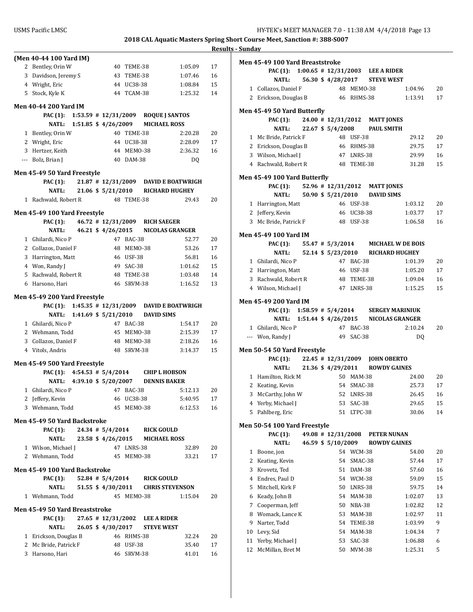| <b>Results - Sunday</b> |
|-------------------------|
|                         |

|   |                                |  |                          |            |                                                 |         | <u>Res</u> |
|---|--------------------------------|--|--------------------------|------------|-------------------------------------------------|---------|------------|
|   | (Men 40-44 100 Yard IM)        |  |                          |            |                                                 |         |            |
|   | 2 Bentley, Orin W              |  | 40                       | TEME-38    |                                                 | 1:05.09 | 17         |
|   | 3 Davidson, Jeremy S           |  | 43                       | TEME-38    |                                                 | 1:07.46 | 16         |
|   | 4 Wright, Eric                 |  |                          | 44 UC38-38 |                                                 | 1:08.84 | 15         |
|   | 5 Stock, Kyle K                |  |                          | 44 TCAM-38 |                                                 | 1:25.32 | 14         |
|   | <b>Men 40-44 200 Yard IM</b>   |  |                          |            |                                                 |         |            |
|   |                                |  |                          |            | PAC (1): 1:53.59 # 12/31/2009 ROQUE J SANTOS    |         |            |
|   | NATL:                          |  | $1:51.85$ \$ 4/26/2009   |            | <b>MICHAEL ROSS</b>                             |         |            |
|   | 1 Bentley, Orin W              |  |                          | 40 TEME-38 |                                                 | 2:20.28 | 20         |
|   | 2 Wright, Eric                 |  |                          | 44 UC38-38 |                                                 | 2:28.09 | 17         |
|   | 3 Hertzer, Keith               |  |                          | 44 MEMO-38 |                                                 | 2:36.32 | 16         |
|   | --- Bolz, Brian J              |  | 40                       | DAM-38     |                                                 |         |            |
|   |                                |  |                          |            |                                                 | DQ      |            |
|   | Men 45-49 50 Yard Freestyle    |  |                          |            |                                                 |         |            |
|   | <b>PAC</b> (1):                |  |                          |            | 21.87 #12/31/2009 DAVID E BOATWRIGH             |         |            |
|   | <b>NATL:</b>                   |  | 21.06 \$ 5/21/2010       |            | <b>RICHARD HUGHEY</b>                           |         |            |
|   | 1 Rachwald, Robert R           |  |                          | 48 TEME-38 |                                                 | 29.43   | 20         |
|   | Men 45-49 100 Yard Freestyle   |  |                          |            |                                                 |         |            |
|   | <b>PAC</b> (1):                |  |                          |            | 46.72 # 12/31/2009 RICH SAEGER                  |         |            |
|   | <b>NATL:</b>                   |  | 46.21 \$ 4/26/2015       |            | <b>NICOLAS GRANGER</b>                          |         |            |
|   | 1 Ghilardi, Nico P             |  |                          | 47 BAC-38  |                                                 | 52.77   | 20         |
|   | 2 Collazos, Daniel F           |  | 48                       | MEMO-38    |                                                 | 53.26   | 17         |
|   | 3 Harrington, Matt             |  | 46                       | USF-38     |                                                 | 56.81   | 16         |
|   | 4 Won, Randy J                 |  |                          | 49 SAC-38  |                                                 | 1:01.62 | 15         |
|   | 5 Rachwald, Robert R           |  |                          | 48 TEME-38 |                                                 | 1:03.48 | 14         |
|   | 6 Harsono, Hari                |  |                          | 46 SRVM-38 |                                                 | 1:16.52 | 13         |
|   |                                |  |                          |            |                                                 |         |            |
|   | Men 45-49 200 Yard Freestyle   |  |                          |            |                                                 |         |            |
|   |                                |  |                          |            | PAC (1): 1:45.35 # 12/31/2009 DAVID E BOATWRIGH |         |            |
|   | <b>NATL:</b>                   |  | $1:41.69$ \$ $5/21/2010$ |            | <b>DAVID SIMS</b>                               |         |            |
|   | 1 Ghilardi, Nico P             |  |                          | 47 BAC-38  |                                                 | 1:54.17 | 20         |
|   | 2 Wehmann, Todd                |  | 45                       | MEMO-38    |                                                 | 2:15.39 | 17         |
|   | 3 Collazos, Daniel F           |  | 48                       | MEMO-38    |                                                 | 2:18.26 | 16         |
|   | 4 Vitols, Andris               |  |                          | 48 SRVM-38 |                                                 | 3:14.37 | 15         |
|   | Men 45-49 500 Yard Freestyle   |  |                          |            |                                                 |         |            |
|   | PAC (1): $4:54.53 \# 5/4/2014$ |  |                          |            | <b>CHIP L HOBSON</b>                            |         |            |
|   |                                |  |                          |            | NATL: 4:39.10 \$ 5/20/2007 DENNIS BAKER         |         |            |
| 1 | Ghilardi, Nico P               |  | 47                       | BAC-38     |                                                 | 5:12.13 | 20         |
|   | 2 Jeffery, Kevin               |  |                          | 46 UC38-38 |                                                 | 5:40.95 | 17         |
|   | 3 Wehmann, Todd                |  | 45                       | MEMO-38    |                                                 | 6:12.53 | 16         |
|   | Men 45-49 50 Yard Backstroke   |  |                          |            |                                                 |         |            |
|   | <b>PAC</b> (1):                |  |                          |            | 24.34 # 5/4/2014 RICK GOULD                     |         |            |
|   | NATL:                          |  |                          |            | 23.58 \$4/26/2015 MICHAEL ROSS                  |         |            |
|   | 1 Wilson, Michael J            |  |                          | 47 LNRS-38 |                                                 | 32.89   | 20         |
|   | 2 Wehmann, Todd                |  | 45                       | MEMO-38    |                                                 | 33.21   | 17         |
|   |                                |  |                          |            |                                                 |         |            |
|   | Men 45-49 100 Yard Backstroke  |  |                          |            |                                                 |         |            |
|   | <b>PAC</b> (1):                |  |                          |            | 52.84 # 5/4/2014 RICK GOULD                     |         |            |
|   | NATL:                          |  |                          |            | 51.55 \$4/30/2011 CHRIS STEVENSON               |         |            |
|   | 1 Wehmann, Todd                |  |                          | 45 MEMO-38 |                                                 | 1:15.04 | 20         |
|   | Men 45-49 50 Yard Breaststroke |  |                          |            |                                                 |         |            |
|   | <b>PAC (1):</b>                |  |                          |            | 27.65 #12/31/2002 LEE A RIDER                   |         |            |
|   | NATL:                          |  | 26.05 \$4/30/2017        |            | <b>STEVE WEST</b>                               |         |            |
|   | 1 Erickson, Douglas B          |  |                          | 46 RHMS-38 |                                                 | 32.24   | 20         |
|   | 2 Mc Bride, Patrick F          |  |                          | 48 USF-38  |                                                 | 35.40   | 17         |
|   | 3 Harsono, Hari                |  | 46                       | SRVM-38    |                                                 | 41.01   | 16         |
|   |                                |  |                          |            |                                                 |         |            |

|        | Men 45-49 100 Yard Breaststroke             |  |                        |                          |                                |                                             |    |
|--------|---------------------------------------------|--|------------------------|--------------------------|--------------------------------|---------------------------------------------|----|
|        | PAC (1): 1:00.65 # 12/31/2003 LEE A RIDER   |  |                        |                          |                                |                                             |    |
|        | <b>NATL:</b>                                |  |                        |                          | 56.30 \$4/28/2017 STEVE WEST   |                                             |    |
|        | 1 Collazos, Daniel F                        |  |                        | 48 MEMO-38               |                                | 1:04.96                                     | 20 |
|        | 2 Erickson, Douglas B 46 RHMS-38            |  |                        |                          |                                | 1:13.91                                     | 17 |
|        |                                             |  |                        |                          |                                |                                             |    |
|        | Men 45-49 50 Yard Butterfly                 |  |                        |                          |                                |                                             |    |
|        | <b>PAC (1):</b>                             |  |                        |                          | 24.00 # 12/31/2012 MATT JONES  |                                             |    |
|        | <b>NATL:</b>                                |  | 22.67 \$ 5/4/2008      |                          | <b>PAUL SMITH</b>              |                                             | 20 |
|        | 1 Mc Bride, Patrick F                       |  |                        | 48 USF-38                |                                | 29.12                                       |    |
|        | 2 Erickson, Douglas B                       |  |                        | 46 RHMS-38               |                                | 29.75                                       | 17 |
|        | 3 Wilson, Michael J<br>4 Rachwald, Robert R |  |                        | 47 LNRS-38<br>48 TEME-38 |                                | 29.99                                       | 16 |
|        |                                             |  |                        |                          |                                | 31.28                                       | 15 |
|        | Men 45-49 100 Yard Butterfly                |  |                        |                          |                                |                                             |    |
|        | <b>PAC</b> (1):                             |  |                        |                          | 52.96 # 12/31/2012 MATT JONES  |                                             |    |
|        | <b>NATL:</b>                                |  |                        |                          | 50.90 \$ 5/21/2010 DAVID SIMS  |                                             |    |
|        | 1 Harrington, Matt                          |  |                        | 46 USF-38                |                                | 1:03.12                                     | 20 |
|        | 2 Jeffery, Kevin                            |  |                        | 46 UC38-38               |                                | 1:03.77                                     | 17 |
|        | 3 Mc Bride, Patrick F                       |  |                        | 48 USF-38                |                                | 1:06.58                                     | 16 |
|        |                                             |  |                        |                          |                                |                                             |    |
|        | Men 45-49 100 Yard IM                       |  |                        |                          |                                |                                             |    |
|        | <b>PAC (1):</b>                             |  |                        |                          |                                | 55.47 # 5/3/2014 MICHAEL W DE BOIS          |    |
|        | <b>NATL:</b>                                |  | 52.14 \$ 5/23/2010     | 47 BAC-38                |                                | RICHARD HUGHEY                              |    |
|        | 1 Ghilardi, Nico P                          |  |                        |                          |                                | 1:01.39                                     | 20 |
|        | 2 Harrington, Matt                          |  |                        | 46 USF-38                |                                | 1:05.20                                     | 17 |
|        | 3 Rachwald, Robert R                        |  |                        | 48 TEME-38               |                                | 1:09.04                                     | 16 |
|        | 4 Wilson, Michael J                         |  |                        | 47 LNRS-38               |                                | 1:15.25                                     | 15 |
|        | Men 45-49 200 Yard IM                       |  |                        |                          |                                |                                             |    |
|        |                                             |  |                        |                          |                                |                                             |    |
|        |                                             |  |                        |                          |                                | PAC (1): 1:58.59 # 5/4/2014 SERGEY MARINIUK |    |
|        |                                             |  |                        |                          |                                | NATL: 1:51.44 \$4/26/2015 NICOLAS GRANGER   |    |
|        | 1 Ghilardi, Nico P                          |  |                        | 47 BAC-38                |                                | 2:10.24                                     | 20 |
|        | --- Won, Randy J                            |  |                        | 49 SAC-38                |                                | DQ                                          |    |
|        |                                             |  |                        |                          |                                |                                             |    |
|        | Men 50-54 50 Yard Freestyle                 |  |                        |                          |                                |                                             |    |
|        | PAC (1):                                    |  |                        |                          | 22.45 # 12/31/2009 JOHN OBERTO |                                             |    |
|        | NATL:                                       |  |                        |                          |                                | 21.36 \$4/29/2011 ROWDY GAINES              |    |
|        | 1 Hamilton, Rick M                          |  |                        | 50 MAM-38                |                                | 24.00                                       | 20 |
|        | 2 Keating, Kevin                            |  |                        | 54 SMAC-38               |                                | 25.73                                       | 17 |
|        | 3 McCarthy, John W                          |  |                        | 52 LNRS-38               |                                | 26.45                                       | 16 |
|        | 4 Yerby, Michael J                          |  |                        | 53 SAC-38                |                                | 29.65                                       | 15 |
|        | 5 Pahlberg, Eric                            |  | 51                     | LTPC-38                  |                                | 30.06                                       | 14 |
|        | Men 50-54 100 Yard Freestyle                |  |                        |                          |                                |                                             |    |
|        | PAC (1):                                    |  | $49.08 \pm 12/31/2008$ |                          | <b>PETER NUNAN</b>             |                                             |    |
|        | <b>NATL:</b>                                |  | 46.59 \$ 5/10/2009     |                          |                                | <b>ROWDY GAINES</b>                         |    |
| 1      | Boone, jon                                  |  |                        | 54 WCM-38                |                                | 54.00                                       | 20 |
| 2      | Keating, Kevin                              |  | 54                     | SMAC-38                  |                                | 57.44                                       | 17 |
| 3      | Krovetz, Ted                                |  | 51                     | DAM-38                   |                                | 57.60                                       | 16 |
| 4      | Endres, Paul D                              |  |                        | 54 WCM-38                |                                | 59.09                                       | 15 |
| 5      | Mitchell, Kirk F                            |  | 50                     | LNRS-38                  |                                | 59.75                                       | 14 |
| 6      | Keady, John B                               |  | 54                     | MAM-38                   |                                | 1:02.07                                     | 13 |
| 7      | Cooperman, Jeff                             |  | 50                     | NBA-38                   |                                | 1:02.82                                     | 12 |
| 8      | Womack, Lance K                             |  | 53                     | <b>MAM-38</b>            |                                | 1:02.97                                     | 11 |
| 9      | Narter, Todd                                |  | 54                     | TEME-38                  |                                | 1:03.99                                     | 9  |
| 10     | Levy, Sid                                   |  | 54                     | <b>MAM-38</b>            |                                | 1:04.34                                     | 7  |
| $11\,$ | Yerby, Michael J                            |  | 53                     | SAC-38                   |                                | 1:06.88                                     | 6  |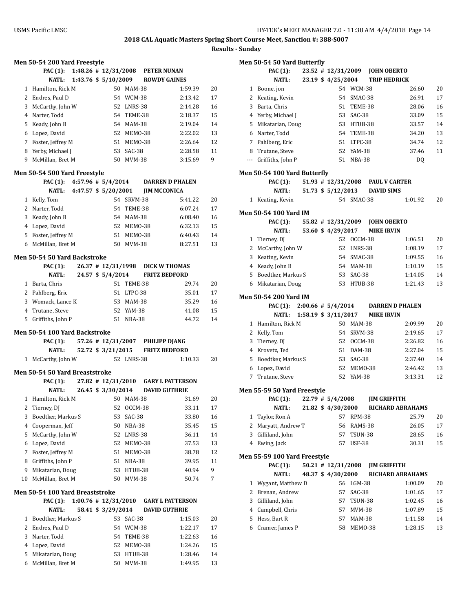|    |                                           |                            |                          |               |                                                          | <u>кс</u> |
|----|-------------------------------------------|----------------------------|--------------------------|---------------|----------------------------------------------------------|-----------|
|    | Men 50-54 200 Yard Freestyle              |                            |                          |               |                                                          |           |
|    | PAC (1): 1:48.26 # 12/31/2008 PETER NUNAN |                            |                          |               |                                                          |           |
|    | <b>NATL:</b>                              | 1:43.76 \$ 5/10/2009       |                          |               | <b>ROWDY GAINES</b>                                      |           |
|    | 1 Hamilton, Rick M                        |                            |                          | 50 MAM-38     | 1:59.39                                                  | 20        |
|    | 2 Endres, Paul D                          |                            |                          | 54 WCM-38     | 2:13.42                                                  | 17        |
| 3  | McCarthy, John W                          |                            |                          | 52 LNRS-38    | 2:14.28                                                  | 16        |
|    | 4 Narter, Todd                            |                            |                          | 54 TEME-38    | 2:18.37                                                  | 15        |
|    | 5 Keady, John B                           |                            |                          | 54 MAM-38     | 2:19.04                                                  | 14        |
|    | 6 Lopez, David                            |                            |                          | 52 MEM0-38    | 2:22.02                                                  | 13        |
|    | 7 Foster, Jeffrey M                       |                            |                          | 51 MEMO-38    | 2:26.64                                                  | 12        |
|    | 8 Yerby, Michael J                        |                            |                          | 53 SAC-38     | 2:28.58                                                  | 11        |
| 9  | McMillan, Bret M                          |                            |                          | 50 MVM-38     | 3:15.69                                                  | 9         |
|    | Men 50-54 500 Yard Freestyle              |                            |                          |               |                                                          |           |
|    | PAC (1): $4:57.96 \# 5/4/2014$            |                            |                          |               | <b>DARREN D PHALEN</b>                                   |           |
|    |                                           | NATL: 4:47.57 \$ 5/20/2001 |                          |               | <b>JIM MCCONICA</b>                                      |           |
|    | 1 Kelly, Tom                              |                            |                          | 54 SRVM-38    | 5:41.22                                                  | 20        |
|    | 2 Narter, Todd                            |                            |                          | 54 TEME-38    | 6:07.24                                                  | 17        |
|    | 3 Keady, John B                           |                            |                          | 54 MAM-38     | 6:08.40                                                  | 16        |
|    | 4 Lopez, David                            |                            |                          | 52 MEM0-38    | 6:32.13                                                  | 15        |
|    | 5 Foster, Jeffrey M                       |                            |                          | 51 MEM0-38    | 6:40.43                                                  | 14        |
| 6  | McMillan, Bret M                          |                            |                          | 50 MVM-38     | 8:27.51                                                  | 13        |
|    |                                           |                            |                          |               |                                                          |           |
|    | Men 50-54 50 Yard Backstroke              |                            |                          |               |                                                          |           |
|    | <b>PAC</b> (1):<br><b>NATL:</b>           |                            | 24.57 \$ 5/4/2014        |               | 26.37 # 12/31/1998 DICK W THOMAS<br><b>FRITZ BEDFORD</b> |           |
|    |                                           |                            |                          | 51 TEME-38    | 29.74                                                    | 20        |
|    | 1 Barta, Chris                            |                            |                          | 51 LTPC-38    | 35.01                                                    | 17        |
|    | 2 Pahlberg, Eric                          |                            |                          |               |                                                          |           |
|    | 3 Womack, Lance K                         |                            |                          | 53 MAM-38     | 35.29                                                    | 16        |
|    | 4 Trutane, Steve                          |                            |                          | 52 YAM-38     | 41.08                                                    | 15        |
|    | 5 Griffiths, John P                       |                            |                          | 51 NBA-38     | 44.72                                                    | 14        |
|    | Men 50-54 100 Yard Backstroke             |                            |                          |               |                                                          |           |
|    | PAC (1):                                  |                            |                          |               | 57.26 # 12/31/2007 PHILIPP DJANG                         |           |
|    | <b>NATL:</b>                              |                            | 52.72 \$ 3/21/2015       |               | <b>FRITZ BEDFORD</b>                                     |           |
|    | 1 McCarthy, John W                        |                            |                          | 52 LNRS-38    | 1:10.33                                                  | 20        |
|    | Men 50-54 50 Yard Breaststroke            |                            |                          |               |                                                          |           |
|    | PAC (1):                                  |                            | 27.82 # 12/31/2010       |               | <b>GARY L PATTERSON</b>                                  |           |
|    | <b>NATL:</b>                              |                            | 26.45 \$ 3/30/2014       |               | <b>DAVID GUTHRIE</b>                                     |           |
| 1  | Hamilton, Rick M                          |                            | 50                       | MAM-38        | 31.69                                                    | 20        |
| 2  | Tierney, DJ                               |                            | 52                       | OCCM-38       | 33.11                                                    | 17        |
| 3  | Boedtker, Markus S                        |                            | 53                       | SAC-38        | 33.80                                                    | 16        |
| 4  | Cooperman, Jeff                           |                            | 50                       | NBA-38        | 35.45                                                    | 15        |
| 5  | McCarthy, John W                          |                            | 52                       | LNRS-38       | 36.11                                                    | 14        |
| 6  | Lopez, David                              |                            | 52                       | MEMO-38       | 37.53                                                    | 13        |
| 7  | Foster, Jeffrey M                         |                            | 51                       | MEMO-38       | 38.78                                                    | 12        |
| 8  | Griffiths, John P                         |                            | 51                       | <b>NBA-38</b> | 39.95                                                    | 11        |
| 9  | Mikatarian, Doug                          |                            | 53                       | HTUB-38       | 40.94                                                    | 9         |
| 10 | McMillan, Bret M                          |                            | 50                       | MVM-38        | 50.74                                                    | 7         |
|    | Men 50-54 100 Yard Breaststroke           |                            |                          |               |                                                          |           |
|    | PAC (1):                                  |                            | $1:00.76$ # $12/31/2010$ |               | <b>GARY L PATTERSON</b>                                  |           |
|    | NATL:                                     |                            | 58.41 \$ 3/29/2014       |               | <b>DAVID GUTHRIE</b>                                     |           |
| 1  | Boedtker, Markus S                        |                            | 53                       | SAC-38        | 1:15.03                                                  | 20        |
| 2  | Endres, Paul D                            |                            | 54                       | WCM-38        | 1:22.17                                                  | 17        |
| 3  | Narter, Todd                              |                            | 54                       | TEME-38       | 1:22.63                                                  | 16        |
| 4  | Lopez, David                              |                            |                          | 52 MEM0-38    | 1:24.26                                                  | 15        |
| 5  | Mikatarian, Doug                          |                            | 53                       | HTUB-38       | 1:28.46                                                  | 14        |
|    | 6 McMillan, Bret M                        |                            |                          | 50 MVM-38     | 1:49.95                                                  | 13        |

|   | Men 50-54 50 Yard Butterfly        |  |                      |               |                                  |         |    |
|---|------------------------------------|--|----------------------|---------------|----------------------------------|---------|----|
|   | <b>PAC</b> (1):                    |  |                      |               | 23.52 # 12/31/2009 JOHN OBERTO   |         |    |
|   | <b>NATL:</b>                       |  | 23.19 \$ 4/25/2004   |               | <b>TRIP HEDRICK</b>              |         |    |
|   | 1 Boone, jon                       |  |                      | 54 WCM-38     |                                  | 26.60   | 20 |
|   | 2 Keating, Kevin                   |  |                      | 54 SMAC-38    |                                  | 26.91   | 17 |
| 3 | Barta, Chris                       |  |                      | 51 TEME-38    |                                  | 28.06   | 16 |
|   | 4 Yerby, Michael J                 |  |                      | 53 SAC-38     |                                  | 33.09   | 15 |
|   | 5 Mikatarian, Doug                 |  |                      | 53 HTUB-38    |                                  | 33.57   | 14 |
|   | 6 Narter, Todd                     |  |                      | 54 TEME-38    |                                  | 34.20   | 13 |
|   | 7 Pahlberg, Eric                   |  |                      | 51 LTPC-38    |                                  | 34.74   | 12 |
|   | 8 Trutane, Steve                   |  |                      | 52 YAM-38     |                                  | 37.46   | 11 |
|   | --- Griffiths, John P              |  |                      | 51 NBA-38     |                                  | DQ      |    |
|   | Men 50-54 100 Yard Butterfly       |  |                      |               |                                  |         |    |
|   | <b>PAC</b> (1):                    |  |                      |               | 51.93 # 12/31/2008 PAUL V CARTER |         |    |
|   | <b>NATL:</b>                       |  |                      |               | 51.73 \$ 5/12/2013 DAVID SIMS    |         |    |
|   | 1 Keating, Kevin                   |  |                      | 54 SMAC-38    |                                  | 1:01.92 | 20 |
|   | Men 50-54 100 Yard IM              |  |                      |               |                                  |         |    |
|   | <b>PAC (1):</b>                    |  | 55.82 # 12/31/2009   |               | <b>JOHN OBERTO</b>               |         |    |
|   | <b>NATL:</b>                       |  | 53.60 \$4/29/2017    |               | <b>MIKE IRVIN</b>                |         |    |
|   | 1 Tierney, DJ                      |  |                      | 52 OCCM-38    |                                  | 1:06.51 | 20 |
|   | 2 McCarthy, John W                 |  |                      | 52 LNRS-38    |                                  | 1:08.19 | 17 |
| 3 | Keating, Kevin                     |  |                      | 54 SMAC-38    |                                  | 1:09.55 | 16 |
|   | 4 Keady, John B                    |  |                      | 54 MAM-38     |                                  | 1:10.19 | 15 |
|   | 5 Boedtker, Markus S               |  |                      | 53 SAC-38     |                                  | 1:14.05 | 14 |
|   | 6 Mikatarian, Doug                 |  |                      | 53 HTUB-38    |                                  | 1:21.43 | 13 |
|   | Men 50-54 200 Yard IM              |  |                      |               |                                  |         |    |
|   | PAC (1): $2:00.66 \neq 5/4/2014$   |  |                      |               | <b>DARREN D PHALEN</b>           |         |    |
|   | NATL:                              |  | 1:58.19 \$ 3/11/2017 |               | <b>MIKE IRVIN</b>                |         |    |
|   | 1 Hamilton, Rick M                 |  |                      | 50 MAM-38     |                                  | 2:09.99 | 20 |
|   | 2 Kelly, Tom                       |  |                      | 54 SRVM-38    |                                  | 2:19.65 | 17 |
| 3 | Tierney, DJ                        |  |                      | 52 OCCM-38    |                                  | 2:26.82 | 16 |
|   | 4 Krovetz, Ted                     |  |                      | 51 DAM-38     |                                  | 2:27.04 | 15 |
|   | 5 Boedtker, Markus S               |  |                      | 53 SAC-38     |                                  | 2:37.40 | 14 |
| 6 | Lopez, David                       |  |                      | 52 MEM0-38    |                                  | 2:46.42 | 13 |
|   | 7 Trutane, Steve                   |  |                      | 52 YAM-38     |                                  | 3:13.31 | 12 |
|   |                                    |  |                      |               |                                  |         |    |
|   |                                    |  |                      |               |                                  |         |    |
|   | <b>Men 55-59 50 Yard Freestyle</b> |  |                      |               |                                  |         |    |
|   | PAC (1):                           |  | $22.79$ # $5/4/2008$ |               | <b>JIM GRIFFITH</b>              |         |    |
|   | <b>NATL:</b>                       |  | 21.82 \$ 4/30/2000   |               | <b>RICHARD ABRAHAMS</b>          |         |    |
| 1 | Taylor, Ron A                      |  | 57                   | <b>RPM-38</b> |                                  | 25.79   | 20 |
| 2 | Maryatt, Andrew T                  |  |                      | 56 RAMS-38    |                                  | 26.05   | 17 |
| 3 | Gilliland, John                    |  |                      | 57 TSUN-38    |                                  | 28.65   | 16 |
|   | 4 Ewing, Jack                      |  |                      | 57 USF-38     |                                  | 30.31   | 15 |
|   | Men 55-59 100 Yard Freestyle       |  |                      |               |                                  |         |    |
|   | PAC (1):                           |  | $50.21$ # 12/31/2008 |               | <b>JIM GRIFFITH</b>              |         |    |
|   | <b>NATL:</b>                       |  | 48.37 \$4/30/2000    |               | <b>RICHARD ABRAHAMS</b>          |         |    |
| 1 | Wygant, Matthew D                  |  |                      | 56 LGM-38     |                                  | 1:00.09 | 20 |
|   | 2 Brenan, Andrew                   |  |                      | 57 SAC-38     |                                  | 1:01.65 | 17 |
| 3 | Gilliland, John                    |  |                      | 57 TSUN-38    |                                  | 1:02.45 | 16 |
|   | 4 Campbell, Chris                  |  |                      | 57 MVM-38     |                                  | 1:07.89 | 15 |
| 5 | Hess, Bart R                       |  |                      | 57 MAM-38     |                                  | 1:11.58 | 14 |
|   | 6 Cramer, James P                  |  |                      | 58 MEM0-38    |                                  | 1:28.15 | 13 |
|   |                                    |  |                      |               |                                  |         |    |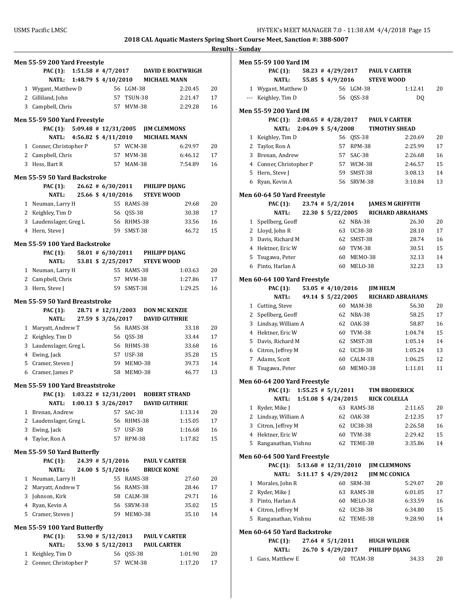|              | <b>Men 55-59 200 Yard Freestyle</b>        |  |                        |               |                                 |                                               |    |
|--------------|--------------------------------------------|--|------------------------|---------------|---------------------------------|-----------------------------------------------|----|
|              |                                            |  |                        |               |                                 | PAC (1): 1:51.58 # 4/7/2017 DAVID E BOATWRIGH |    |
|              | NATL: 1:48.79 \$4/10/2010 MICHAEL MANN     |  |                        |               |                                 |                                               |    |
|              | 1 Wygant, Matthew D                        |  |                        | 56 LGM-38     |                                 | 2:20.45                                       | 20 |
|              | 2 Gilliland, John                          |  |                        | 57 TSUN-38    |                                 | 2:21.47                                       | 17 |
|              | 3 Campbell, Chris                          |  |                        | 57 MVM-38     |                                 | 2:29.28                                       | 16 |
|              | Men 55-59 500 Yard Freestyle               |  |                        |               |                                 |                                               |    |
|              | PAC (1): 5:09.48 # 12/31/2005 JIM CLEMMONS |  |                        |               |                                 |                                               |    |
|              | NATL: 4:56.82 \$ 4/11/2010                 |  |                        |               |                                 | <b>MICHAEL MANN</b>                           |    |
|              | 1 Conner, Christopher P                    |  | 57 WCM-38              |               |                                 | 6:29.97                                       | 20 |
|              | 2 Campbell, Chris                          |  |                        | 57 MVM-38     |                                 | 6:46.12                                       | 17 |
|              | 3 Hess. Bart R                             |  |                        | 57 MAM-38     |                                 | 7:54.89                                       | 16 |
|              |                                            |  |                        |               |                                 |                                               |    |
|              | Men 55-59 50 Yard Backstroke               |  |                        |               |                                 |                                               |    |
|              | PAC (1):                                   |  |                        |               | 26.62 # 6/30/2011 PHILIPP DJANG |                                               |    |
|              | NATL:                                      |  | 25.66 \$4/10/2016      |               | <b>STEVE WOOD</b>               |                                               |    |
|              | 1 Neuman, Larry H                          |  |                        | 55 RAMS-38    |                                 | 29.68                                         | 20 |
|              | 2 Keighley, Tim D                          |  |                        | 56 OSS-38     |                                 | 30.38                                         | 17 |
|              | 3 Laudenslager, Greg L                     |  |                        | 56 RHMS-38    |                                 | 33.56                                         | 16 |
|              | 4 Hern, Steve J                            |  |                        | 59 SMST-38    |                                 | 46.72                                         | 15 |
|              | Men 55-59 100 Yard Backstroke              |  |                        |               |                                 |                                               |    |
|              | <b>PAC</b> (1):                            |  |                        |               | 58.01 # 6/30/2011 PHILIPP DJANG |                                               |    |
|              | <b>NATL:</b>                               |  | 53.81 \$ 2/25/2017     |               | <b>STEVE WOOD</b>               |                                               |    |
|              | 1 Neuman, Larry H                          |  |                        | 55 RAMS-38    |                                 | 1:03.63                                       | 20 |
|              | 2 Campbell, Chris                          |  |                        | 57 MVM-38     |                                 | 1:27.86                                       | 17 |
|              | 3 Hern, Steve J                            |  |                        | 59 SMST-38    |                                 | 1:29.25                                       | 16 |
|              | Men 55-59 50 Yard Breaststroke             |  |                        |               |                                 |                                               |    |
|              | PAC (1): 28.71 # 12/31/2003 DON MC KENZIE  |  |                        |               |                                 |                                               |    |
|              | <b>NATL:</b>                               |  | 27.59 \$ 3/26/2017     |               |                                 | <b>DAVID GUTHRIE</b>                          |    |
|              | 1 Maryatt, Andrew T                        |  |                        | 56 RAMS-38    |                                 | 33.18                                         | 20 |
|              | 2 Keighley, Tim D                          |  |                        | 56 QSS-38     |                                 | 33.44                                         | 17 |
|              | 3 Laudenslager, Greg L                     |  |                        | 56 RHMS-38    |                                 | 33.68                                         | 16 |
|              | 4 Ewing, Jack                              |  |                        | 57 USF-38     |                                 | 35.28                                         | 15 |
|              | 5 Cramer, Steven J                         |  |                        | 59 MEM0-38    |                                 | 39.73                                         | 14 |
|              | 6 Cramer, James P                          |  |                        | 58 MEM0-38    |                                 | 46.77                                         | 13 |
|              |                                            |  |                        |               |                                 |                                               |    |
|              | Men 55-59 100 Yard Breaststroke            |  |                        |               |                                 |                                               |    |
|              | PAC (1):                                   |  |                        |               |                                 | 1:03.22 # 12/31/2001 ROBERT STRAND            |    |
|              | NATL:                                      |  | $1:00.13$ \$ 3/26/2017 |               |                                 | <b>DAVID GUTHRIE</b>                          |    |
| $\mathbf{1}$ | Brenan, Andrew                             |  | 57                     | SAC-38        |                                 | 1:13.14                                       | 20 |
|              | 2 Laudenslager, Greg L                     |  |                        | 56 RHMS-38    |                                 | 1:15.05                                       | 17 |
| 3            | Ewing, Jack                                |  |                        | 57 USF-38     |                                 | 1:16.68                                       | 16 |
|              | 4 Taylor, Ron A                            |  |                        | 57 RPM-38     |                                 | 1:17.82                                       | 15 |
|              | Men 55-59 50 Yard Butterfly                |  |                        |               |                                 |                                               |    |
|              | PAC (1):                                   |  | $24.39$ # $5/1/2016$   |               |                                 | <b>PAUL V CARTER</b>                          |    |
|              | <b>NATL:</b>                               |  | 24.00 \$ 5/1/2016      |               | <b>BRUCE KONE</b>               |                                               |    |
| $\mathbf{1}$ | Neuman, Larry H                            |  |                        | 55 RAMS-38    |                                 | 27.60                                         | 20 |
|              | 2 Maryatt, Andrew T                        |  |                        | 56 RAMS-38    |                                 | 28.46                                         | 17 |
|              | 3 Johnson, Kirk                            |  |                        | 58 CALM-38    |                                 | 29.71                                         | 16 |
|              | 4 Ryan, Kevin A                            |  |                        | 56 SRVM-38    |                                 | 35.02                                         | 15 |
|              | 5 Cramer, Steven J                         |  |                        | 59 MEMO-38    |                                 | 35.10                                         | 14 |
|              |                                            |  |                        |               |                                 |                                               |    |
|              | Men 55-59 100 Yard Butterfly               |  |                        |               |                                 |                                               |    |
|              | <b>PAC</b> (1):                            |  | $53.90 \# 5/12/2013$   |               |                                 | PAUL V CARTER                                 |    |
|              | NATL:                                      |  | 53.90 \$ 5/12/2013     |               | <b>PAUL CARTER</b>              |                                               |    |
| 1            | Keighley, Tim D                            |  |                        | 56 QSS-38     |                                 | 1:01.90                                       | 20 |
| 2            | Conner, Christopher P                      |  | 57                     | <b>WCM-38</b> |                                 | 1:17.20                                       | 17 |

|             | Men 55-59 100 Yard IM                                  |  |                              |               |                                |                         |          |
|-------------|--------------------------------------------------------|--|------------------------------|---------------|--------------------------------|-------------------------|----------|
|             | <b>PAC (1):</b>                                        |  |                              |               | 58.23 #4/29/2017 PAUL V CARTER |                         |          |
|             | NATL:                                                  |  | 55.85 \$4/9/2016             |               | <b>STEVE WOOD</b>              |                         |          |
|             | 1 Wygant, Matthew D                                    |  |                              | 56 LGM-38     |                                | 1:12.41                 | 20       |
|             | --- Keighley, Tim D                                    |  | 56                           | <b>QSS-38</b> |                                | DQ                      |          |
|             |                                                        |  |                              |               |                                |                         |          |
|             | Men 55-59 200 Yard IM                                  |  |                              |               |                                |                         |          |
|             | <b>PAC</b> (1):                                        |  | $2:08.65$ # 4/28/2017        |               | <b>PAUL V CARTER</b>           |                         |          |
|             | NATL:                                                  |  | $2:04.09 \text{ } $5/4/2008$ |               |                                | <b>TIMOTHY SHEAD</b>    |          |
| 1           | Keighley, Tim D                                        |  |                              | 56 QSS-38     |                                | 2:20.69                 | 20       |
| 2           | Taylor, Ron A                                          |  | 57                           | <b>RPM-38</b> |                                | 2:25.99                 | 17       |
|             | 3 Brenan, Andrew                                       |  |                              | 57 SAC-38     |                                | 2:26.68                 | 16       |
|             | 4 Conner, Christopher P                                |  |                              | 57 WCM-38     |                                | 2:46.57                 | 15       |
|             | 5 Hern, Steve J                                        |  |                              | 59 SMST-38    |                                | 3:08.13                 | 14       |
|             | 6 Ryan, Kevin A                                        |  |                              | 56 SRVM-38    |                                | 3:10.84                 | 13       |
|             | Men 60-64 50 Yard Freestyle                            |  |                              |               |                                |                         |          |
|             | <b>PAC</b> (1):                                        |  | $23.74$ # $5/2/2014$         |               |                                | <b>JAMES M GRIFFITH</b> |          |
|             | <b>NATL:</b>                                           |  | 22.30 \$ 5/22/2005           |               |                                | <b>RICHARD ABRAHAMS</b> |          |
|             | 1 Spellberg, Geoff                                     |  |                              | 62 NBA-38     |                                | 26.30                   | 20       |
|             | 2 Lloyd, John R                                        |  |                              | 63 UC38-38    |                                | 28.10                   | 17       |
|             | 3 Davis, Richard M                                     |  |                              | 62 SMST-38    |                                | 28.74                   | 16       |
|             | 4 Hektner, Eric W                                      |  |                              | 60 TVM-38     |                                | 30.51                   | 15       |
| 5           | Tsugawa, Peter                                         |  |                              | 60 MEMO-38    |                                | 32.13                   | 14       |
|             | 6 Pinto, Harlan A                                      |  |                              | 60 MELO-38    |                                | 32.23                   | 13       |
|             |                                                        |  |                              |               |                                |                         |          |
|             | Men 60-64 100 Yard Freestyle                           |  |                              |               |                                |                         |          |
|             | <b>PAC</b> (1):                                        |  | $53.05$ # 4/10/2016          |               | <b>JIM HELM</b>                |                         |          |
|             | NATL:                                                  |  | 49.14 \$ 5/22/2005           |               |                                | <b>RICHARD ABRAHAMS</b> |          |
|             | 1 Cutting, Steve                                       |  |                              | 60 MAM-38     |                                | 56.30                   | 20       |
|             | 2 Spellberg, Geoff                                     |  | 62                           | NBA-38        |                                | 58.25                   | 17       |
| 3           | Lindsay, William A                                     |  | 62                           | 0AK-38        |                                | 58.87                   | 16       |
|             | 4 Hektner, Eric W                                      |  |                              | 60 TVM-38     |                                | 1:04.74                 | 15       |
|             | 5 Davis, Richard M                                     |  |                              | 62 SMST-38    |                                | 1:05.14                 | 14       |
|             | 6 Citron, Jeffrey M                                    |  |                              | 62 UC38-38    |                                | 1:05.24                 | 13       |
| $7^{\circ}$ | Adams, Scott                                           |  | 60                           | CALM-38       |                                | 1:06.25                 | 12       |
| 8           | Tsugawa, Peter                                         |  |                              | 60 MEMO-38    |                                | 1:11.01                 | 11       |
|             | <b>Men 60-64 200 Yard Freestyle</b>                    |  |                              |               |                                |                         |          |
|             | PAC (1): $1:55.25 \neq 5/1/2011$                       |  |                              |               | <b>TIM BRODERICK</b>           |                         |          |
|             | NATL: 1:51.08 \$4/24/2015                              |  |                              |               | <b>RICK COLELLA</b>            |                         |          |
| 1           | Ryder, Mike J                                          |  | 63                           | RAMS-38       |                                | 2:11.65                 | 20       |
| 2           | Lindsay, William A                                     |  | 62                           | 0AK-38        |                                | 2:12.35                 | 17       |
| 3           | Citron, Jeffrey M                                      |  |                              | 62 UC38-38    |                                | 2:26.58                 | 16       |
|             | 4 Hektner, Eric W                                      |  | 60                           | TVM-38        |                                | 2:29.42                 | 15       |
| 5.          | Ranganathan, Vishnu                                    |  | 62                           | TEME-38       |                                | 3:35.86                 | 14       |
|             |                                                        |  |                              |               |                                |                         |          |
|             | <b>Men 60-64 500 Yard Freestyle</b><br><b>PAC</b> (1): |  | $5:13.68$ # 12/31/2010       |               | <b>JIM CLEMMONS</b>            |                         |          |
|             | NATL:                                                  |  | 5:11.17 \$ 4/29/2012         |               | <b>JIM MC CONICA</b>           |                         |          |
| 1           | Morales, John R                                        |  | 60                           | <b>SRM-38</b> |                                | 5:29.07                 | 20       |
|             | 2 Ryder, Mike J                                        |  |                              |               |                                |                         |          |
|             |                                                        |  |                              | 63 RAMS-38    |                                | 6:01.05                 | 17<br>16 |
|             | 3 Pinto, Harlan A                                      |  |                              | 60 MELO-38    |                                | 6:33.59                 |          |
|             | 4 Citron, Jeffrey M                                    |  |                              | 62 UC38-38    |                                | 6:34.80                 | 15       |
|             | 5 Ranganathan, Vishnu                                  |  | 62                           | TEME-38       |                                | 9:28.90                 | 14       |
|             | Men 60-64 50 Yard Backstroke                           |  |                              |               |                                |                         |          |
|             | <b>PAC</b> (1):                                        |  | $27.64$ # $5/1/2011$         |               | <b>HUGH WILDER</b>             |                         |          |
|             | NATL:                                                  |  | 26.70 \$ 4/29/2017           |               | PHILIPP DJANG                  |                         |          |
| 1           | Gass, Matthew E                                        |  |                              | 60 TCAM-38    |                                | 34.33                   | 20       |
|             |                                                        |  |                              |               |                                |                         |          |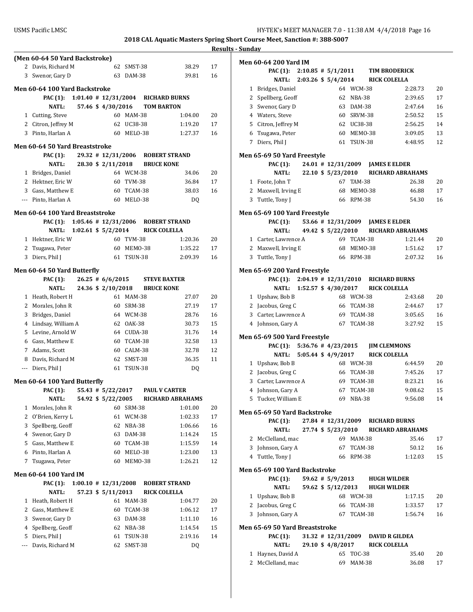|     | (Men 60-64 50 Yard Backstroke)              |  |                         |                |                              |                                    |    |
|-----|---------------------------------------------|--|-------------------------|----------------|------------------------------|------------------------------------|----|
| 2   | Davis, Richard M                            |  | 62                      | SMST-38        |                              | 38.29                              | 17 |
| 3   | Swenor, Gary D                              |  |                         | 63 DAM-38      |                              | 39.81                              | 16 |
|     | Men 60-64 100 Yard Backstroke               |  |                         |                |                              |                                    |    |
|     | PAC (1):                                    |  |                         |                |                              | 1:01.40 # 12/31/2004 RICHARD BURNS |    |
|     | <b>NATL:</b>                                |  | 57.46 \$4/30/2016       |                | <b>TOM BARTON</b>            |                                    |    |
|     |                                             |  |                         | 60 MAM-38      |                              | 1:04.00                            | 20 |
|     | 1 Cutting, Steve                            |  |                         |                |                              |                                    |    |
|     | 2 Citron, Jeffrey M<br>3 Pinto, Harlan A    |  |                         | 62 UC38-38     |                              | 1:19.20<br>1:27.37                 | 17 |
|     |                                             |  |                         | 60 MELO-38     |                              |                                    | 16 |
|     | Men 60-64 50 Yard Breaststroke              |  |                         |                |                              |                                    |    |
|     | <b>PAC (1):</b>                             |  |                         |                |                              | 29.32 # 12/31/2006 ROBERT STRAND   |    |
|     | NATL:                                       |  |                         |                | 28.30 \$2/11/2018 BRUCE KONE |                                    |    |
|     | 1 Bridges, Daniel                           |  |                         | 64 WCM-38      |                              | 34.06                              | 20 |
|     | 2 Hektner, Eric W                           |  |                         | 60 TVM-38      |                              | 36.84                              | 17 |
|     | 3 Gass, Matthew E                           |  |                         | 60 TCAM-38     |                              | 38.03                              | 16 |
|     | --- Pinto, Harlan A                         |  |                         | 60 MELO-38     |                              | DQ                                 |    |
|     | Men 60-64 100 Yard Breaststroke             |  |                         |                |                              |                                    |    |
|     | PAC (1): 1:05.46 # 12/31/2006 ROBERT STRAND |  |                         |                |                              |                                    |    |
|     | NATL:                                       |  | $1:02.61$ \$ $5/2/2014$ |                | <b>RICK COLELLA</b>          |                                    |    |
|     | 1 Hektner, Eric W                           |  |                         | 60 TVM-38      |                              | 1:20.36                            | 20 |
| 2   |                                             |  |                         | 60 MEMO-38     |                              | 1:35.22                            | 17 |
|     | Tsugawa, Peter                              |  |                         | 61 TSUN-38     |                              |                                    |    |
|     | 3 Diers, Phil J                             |  |                         |                |                              | 2:09.39                            | 16 |
|     | Men 60-64 50 Yard Butterfly                 |  |                         |                |                              |                                    |    |
|     | PAC (1):                                    |  | $26.25 \pm 6/6/2015$    |                | <b>STEVE BAXTER</b>          |                                    |    |
|     | <b>NATL:</b>                                |  | 24.36 \$ 2/10/2018      |                | <b>BRUCE KONE</b>            |                                    |    |
|     | 1 Heath, Robert H                           |  |                         | 61 MAM-38      |                              | 27.07                              | 20 |
|     | 2 Morales, John R                           |  |                         | 60 SRM-38      |                              | 27.19                              | 17 |
|     | 3 Bridges, Daniel                           |  |                         | 64 WCM-38      |                              | 28.76                              | 16 |
|     | 4 Lindsay, William A                        |  |                         | 62 OAK-38      |                              | 30.73                              | 15 |
|     | 5 Levine, Arnold W                          |  |                         | 64 CUDA-38     |                              | 31.76                              | 14 |
|     | 6 Gass, Matthew E                           |  |                         | 60 TCAM-38     |                              | 32.58                              | 13 |
|     | 7 Adams, Scott                              |  |                         | 60 CALM-38     |                              | 32.78                              | 12 |
|     | 8 Davis, Richard M                          |  | 62                      | SMST-38        |                              | 36.35                              | 11 |
|     | --- Diers, Phil J                           |  | 61                      | <b>TSUN-38</b> |                              | DQ                                 |    |
|     |                                             |  |                         |                |                              |                                    |    |
|     | Men 60-64 100 Yard Butterfly                |  |                         |                |                              |                                    |    |
|     | <b>PAC (1):</b>                             |  | 55.43 # 5/22/2017       |                |                              | <b>PAUL V CARTER</b>               |    |
|     | NATL:                                       |  | 54.92 \$ 5/22/2005      |                |                              | <b>RICHARD ABRAHAMS</b>            |    |
| 1   | Morales, John R                             |  | 60                      | SRM-38         |                              | 1:01.00                            | 20 |
| 2   | O'Brien, Kerry L                            |  | 61                      | <b>WCM-38</b>  |                              | 1:02.33                            | 17 |
| 3   | Spellberg, Geoff                            |  | 62                      | <b>NBA-38</b>  |                              | 1:06.66                            | 16 |
| 4   | Swenor, Gary D                              |  | 63                      | DAM-38         |                              | 1:14.24                            | 15 |
| 5   | Gass, Matthew E                             |  | 60                      | TCAM-38        |                              | 1:15.59                            | 14 |
| 6   | Pinto, Harlan A                             |  | 60                      | MELO-38        |                              | 1:23.00                            | 13 |
| 7   | Tsugawa, Peter                              |  | 60                      | MEMO-38        |                              | 1:26.21                            | 12 |
|     | Men 60-64 100 Yard IM                       |  |                         |                |                              |                                    |    |
|     | <b>PAC</b> (1):                             |  | $1:00.10 \# 12/31/2008$ |                |                              | <b>ROBERT STRAND</b>               |    |
|     | <b>NATL:</b>                                |  | 57.23 \$ 5/11/2013      |                | <b>RICK COLELLA</b>          |                                    |    |
| 1   | Heath, Robert H                             |  | 61                      | <b>MAM-38</b>  |                              | 1:04.77                            | 20 |
| 2   | Gass, Matthew E                             |  | 60                      | TCAM-38        |                              | 1:06.12                            | 17 |
| 3   | Swenor, Gary D                              |  | 63                      | DAM-38         |                              | 1:11.10                            | 16 |
| 4   | Spellberg, Geoff                            |  | 62                      | <b>NBA-38</b>  |                              | 1:14.54                            | 15 |
| 5   | Diers, Phil J                               |  | 61                      | TSUN-38        |                              | 2:19.16                            | 14 |
| --- | Davis, Richard M                            |  | 62                      | SMST-38        |                              | DQ                                 |    |
|     |                                             |  |                         |                |                              |                                    |    |
|     |                                             |  |                         |                |                              |                                    |    |

|   | Men 60-64 200 Yard IM                  |                        |                      |               |                                  |                                   |    |
|---|----------------------------------------|------------------------|----------------------|---------------|----------------------------------|-----------------------------------|----|
|   | <b>PAC</b> (1):                        | $2:10.85 \# 5/1/2011$  |                      |               |                                  | <b>TIM BRODERICK</b>              |    |
|   | NATL:                                  |                        |                      |               | 2:03.26 \$ 5/4/2014 RICK COLELLA |                                   |    |
|   | 1 Bridges, Daniel                      |                        |                      | 64 WCM-38     |                                  | 2:28.73                           | 20 |
|   | 2 Spellberg, Geoff                     |                        | 62                   | NBA-38        |                                  | 2:39.65                           | 17 |
| 3 | Swenor, Gary D                         |                        |                      | 63 DAM-38     |                                  | 2:47.64                           | 16 |
|   | 4 Waters, Steve                        |                        |                      | 60 SRVM-38    |                                  | 2:50.52                           | 15 |
|   | 5 Citron, Jeffrey M                    |                        |                      | 62 UC38-38    |                                  | 2:56.25                           | 14 |
| 6 | Tsugawa, Peter                         |                        |                      | 60 MEMO-38    |                                  | 3:09.05                           | 13 |
|   | 7 Diers, Phil J                        |                        |                      | 61 TSUN-38    |                                  | 4:48.95                           | 12 |
|   | <b>Men 65-69 50 Yard Freestyle</b>     |                        |                      |               |                                  |                                   |    |
|   | PAC (1):                               |                        |                      |               |                                  | 24.01 # 12/31/2009 JAMES E ELDER  |    |
|   | NATL:                                  |                        | 22.10 \$ 5/23/2010   |               |                                  | <b>RICHARD ABRAHAMS</b>           |    |
|   | 1 Foote, John T                        |                        |                      | 67 TAM-38     |                                  | 26.38                             | 20 |
|   | 2 Maxwell, Irving E                    |                        |                      | 68 MEMO-38    |                                  | 46.88                             | 17 |
| 3 | Tuttle, Tony J                         |                        | 66                   | RPM-38        |                                  | 54.30                             | 16 |
|   | Men 65-69 100 Yard Freestyle           |                        |                      |               |                                  |                                   |    |
|   | PAC (1):                               |                        |                      |               |                                  | 53.66 #12/31/2009 JAMES E ELDER   |    |
|   | <b>NATL:</b>                           |                        | 49.42 \$ 5/22/2010   |               |                                  | <b>RICHARD ABRAHAMS</b>           |    |
|   | 1 Carter, Lawrence A                   |                        |                      | 69 TCAM-38    |                                  | 1:21.44                           | 20 |
|   | 2 Maxwell, Irving E                    |                        | 68                   | MEMO-38       |                                  | 1:51.62                           | 17 |
| 3 | Tuttle, Tony J                         |                        | 66                   | <b>RPM-38</b> |                                  | 2:07.32                           | 16 |
|   | <b>Men 65-69 200 Yard Freestyle</b>    |                        |                      |               |                                  |                                   |    |
|   | <b>PAC</b> (1):                        | $2:04.19$ # 12/31/2010 |                      |               |                                  | <b>RICHARD BURNS</b>              |    |
|   | <b>NATL:</b>                           | 1:52.57 \$ 4/30/2017   |                      |               |                                  | <b>RICK COLELLA</b>               |    |
|   | 1 Upshaw, Bob B                        |                        |                      | 68 WCM-38     |                                  | 2:43.68                           | 20 |
|   | 2 Jacobus, Greg C                      |                        |                      | 66 TCAM-38    |                                  | 2:44.67                           | 17 |
| 3 | Carter, Lawrence A                     |                        |                      | 69 TCAM-38    |                                  | 3:05.65                           | 16 |
|   | 4 Johnson, Gary A                      |                        |                      | 67 TCAM-38    |                                  | 3:27.92                           | 15 |
|   | <b>Men 65-69 500 Yard Freestyle</b>    |                        |                      |               |                                  |                                   |    |
|   | PAC (1): $5:36.76 \neq 4/23/2015$      |                        |                      |               |                                  | <b>JIM CLEMMONS</b>               |    |
|   | <b>NATL:</b>                           | 5:05.44 \$ $4/9/2017$  |                      |               |                                  | <b>RICK COLELLA</b>               |    |
|   | 1 Upshaw, Bob B                        |                        |                      | 68 WCM-38     |                                  | 6:44.59                           | 20 |
|   | 2 Jacobus, Greg C                      |                        |                      | 66 TCAM-38    |                                  | 7:45.26                           | 17 |
|   | 3 Carter, Lawrence A                   |                        |                      | 69 TCAM-38    |                                  | 8:23.21                           | 16 |
|   | 4 Johnson, Gary A                      |                        |                      | 67 TCAM-38    |                                  | 9:08.62                           | 15 |
| 5 | Tucker, William E                      |                        |                      | 69 NBA-38     |                                  | 9:56.08                           | 14 |
|   | Men 65-69 50 Yard Backstroke           |                        |                      |               |                                  |                                   |    |
|   | PAC (1):                               |                        |                      |               |                                  | 27.84 #12/31/2009 RICHARD BURNS   |    |
|   | <b>NATL:</b>                           |                        | 27.74 \$ 5/23/2010   |               |                                  | <b>RICHARD ABRAHAMS</b>           |    |
|   | 2 McClelland, mac                      |                        |                      | 69 MAM-38     |                                  | 35.46                             | 17 |
|   | 3 Johnson, Gary A                      |                        |                      | 67 TCAM-38    |                                  | 50.12                             | 16 |
|   | 4 Tuttle, Tony J                       |                        | 66                   | RPM-38        |                                  | 1:12.03                           | 15 |
|   | Men 65-69 100 Yard Backstroke          |                        |                      |               |                                  |                                   |    |
|   | PAC (1):                               |                        | $59.62$ # $5/9/2013$ |               |                                  | <b>HUGH WILDER</b>                |    |
|   | <b>NATL:</b>                           |                        |                      |               | 59.62 \$5/12/2013 HUGH WILDER    |                                   |    |
|   | 1 Upshaw, Bob B                        |                        |                      | 68 WCM-38     |                                  | 1:17.15                           | 20 |
|   | 2 Jacobus, Greg C                      |                        |                      | 66 TCAM-38    |                                  | 1:33.57                           | 17 |
|   | 3 Johnson, Gary A                      |                        |                      | 67 TCAM-38    |                                  | 1:56.74                           | 16 |
|   |                                        |                        |                      |               |                                  |                                   |    |
|   | Men 65-69 50 Yard Breaststroke         |                        |                      |               |                                  |                                   |    |
|   | <b>PAC</b> (1):<br><b>NATL:</b>        |                        |                      |               |                                  | 31.32 # 12/31/2009 DAVID R GILDEA |    |
|   |                                        |                        | 29.10 \$ 4/8/2017    |               |                                  | <b>RICK COLELLA</b>               |    |
|   | 1 Haynes, David A<br>2 McClelland, mac |                        |                      | 65 TOC-38     |                                  | 35.40                             | 20 |
|   |                                        |                        |                      | 69 MAM-38     |                                  | 36.08                             | 17 |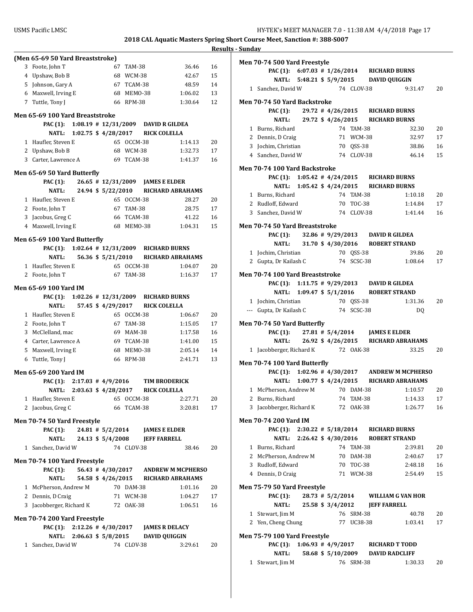|                                  |                                  |                                                                            |             | <b>Results - Sunday</b>   |
|----------------------------------|----------------------------------|----------------------------------------------------------------------------|-------------|---------------------------|
| (Men 65-69 50 Yard Breaststroke) |                                  |                                                                            |             | <b>Men 70-</b>            |
| 3 Foote, John T                  | 67<br>TAM-38                     |                                                                            | 36.46<br>16 |                           |
| 4 Upshaw, Bob B                  | 68 WCM-38                        |                                                                            | 15<br>42.67 |                           |
| 5 Johnson, Gary A                | 67 TCAM-38                       |                                                                            | 14<br>48.59 | 1 Sa                      |
| 6 Maxwell, Irving E              | 68 MEMO-38                       | 1:06.02                                                                    | 13          |                           |
| 7 Tuttle, Tony J                 | 66 RPM-38                        | 1:30.64                                                                    | 12          | <b>Men 70-</b>            |
| Men 65-69 100 Yard Breaststroke  |                                  |                                                                            |             |                           |
| PAC (1):                         | $1:08.19$ # $12/31/2009$         | <b>DAVID R GILDEA</b>                                                      |             | $1$ Bu                    |
| NATL:                            | $1:02.75$ \$ 4/28/2017           | <b>RICK COLELLA</b>                                                        |             | 2 D6                      |
| 1 Haufler, Steven E              | 65 OCCM-38                       | 1:14.13                                                                    | 20          | $3$ $ 0$                  |
| 2 Upshaw, Bob B                  | 68 WCM-38                        | 1:32.73                                                                    | 17          | 4 Sa                      |
| 3 Carter, Lawrence A             | 69 TCAM-38                       | 1:41.37                                                                    | 16          |                           |
| Men 65-69 50 Yard Butterfly      |                                  |                                                                            |             | <b>Men 70-</b>            |
| <b>PAC</b> (1):                  |                                  | 26.65 # 12/31/2009 JAMES E ELDER                                           |             |                           |
| <b>NATL:</b>                     | 24.94 \$ 5/22/2010               | <b>RICHARD ABRAHAMS</b>                                                    |             | 1 Bu                      |
| 1 Haufler, Steven E              | 65 OCCM-38                       |                                                                            | 28.27<br>20 | 2 Ru                      |
| 2 Foote, John T                  | 67 TAM-38                        |                                                                            | 28.75<br>17 | 3 Sa                      |
| 3 Jacobus, Greg C                | 66 TCAM-38                       |                                                                            | 41.22<br>16 |                           |
| 4 Maxwell, Irving E              | 68 MEM0-38                       | 1:04.31                                                                    | 15          | <b>Men 70-</b>            |
| Men 65-69 100 Yard Butterfly     |                                  |                                                                            |             |                           |
| <b>PAC (1):</b>                  |                                  | 1:02.64 # 12/31/2009 RICHARD BURNS                                         |             |                           |
| <b>NATL:</b>                     | 56.36 \$ 5/21/2010               | <b>RICHARD ABRAHAMS</b>                                                    |             | $1$ Jo<br>2 <sub>6t</sub> |
| 1 Haufler, Steven E              | 65 OCCM-38                       | 1:04.07                                                                    | 20          |                           |
| 2 Foote, John T                  | 67 TAM-38                        | 1:16.37                                                                    | 17          | <b>Men 70-</b>            |
| Men 65-69 100 Yard IM            |                                  |                                                                            |             |                           |
| PAC (1):                         | $1:02.26 \# 12/31/2009$          | <b>RICHARD BURNS</b>                                                       |             |                           |
| <b>NATL:</b>                     | 57.45 \$ 4/29/2017               | <b>RICK COLELLA</b>                                                        |             | $1$ Jo                    |
| 1 Haufler, Steven E              | 65 OCCM-38                       | 1:06.67                                                                    | 20          | --- Gu                    |
| 2 Foote, John T                  | 67 TAM-38                        | 1:15.05                                                                    | 17          | <b>Men 70-</b>            |
| 3 McClelland, mac                | 69 MAM-38                        | 1:17.58                                                                    | 16          |                           |
| 4 Carter, Lawrence A             | 69 TCAM-38                       | 1:41.00                                                                    | 15          |                           |
| 5 Maxwell, Irving E              | 68 MEMO-38                       | 2:05.14                                                                    | 14          | 1 Jao                     |
| Tuttle, Tony J<br>6              | 66 RPM-38                        | 2:41.71                                                                    | 13          | <b>Men 70-</b>            |
| Men 65-69 200 Yard IM            |                                  |                                                                            |             |                           |
|                                  | PAC (1): $2:17.03 \neq 4/9/2016$ | <b>TIM BRODERICK</b>                                                       |             |                           |
|                                  | NATL: 2:03.63 \$4/28/2017        | <b>RICK COLELLA</b>                                                        |             | $1 \, M$                  |
| 1 Haufler, Steven E              | 65 OCCM-38                       | 2:27.71                                                                    | 20          | 2 Bu                      |
| 2 Jacobus, Greg C                | 66 TCAM-38                       | 3:20.81                                                                    | 17          | 3 Jac                     |
| Men 70-74 50 Yard Freestyle      |                                  |                                                                            |             | <b>Men 70-</b>            |
| <b>PAC (1):</b>                  |                                  | 24.81 # 5/2/2014 JAMES E ELDER                                             |             |                           |
| NATL:                            | 24.13 \$ 5/4/2008 JEFF FARRELL   |                                                                            |             |                           |
| 1 Sanchez, David W               | 74 CLOV-38                       |                                                                            | 20<br>38.46 | $1$ Bu                    |
| Men 70-74 100 Yard Freestyle     |                                  |                                                                            |             | $2 \mathsf{M}$            |
| <b>PAC</b> (1):                  |                                  | 56.43 #4/30/2017 ANDREW M MCPHERSO                                         |             | 3 Ru                      |
| NATL:                            |                                  | 54.58 \$4/26/2015 RICHARD ABRAHAMS                                         |             | $4$ De                    |
| 1 McPherson, Andrew M            | 70 DAM-38                        | 1:01.16                                                                    | 20          | <b>Men 75-</b>            |
| 2 Dennis, D Craig                | 71 WCM-38                        | 1:04.27                                                                    | 17          |                           |
| 3 Jacobberger, Richard K         | 72 OAK-38                        | 1:06.51                                                                    | 16          |                           |
|                                  |                                  |                                                                            |             | $1$ St                    |
| Men 70-74 200 Yard Freestyle     |                                  |                                                                            |             | 2 Ye                      |
| <b>PAC</b> (1):<br><b>NATL:</b>  |                                  | $2:12.26 \# 4/30/2017$ JAMES R DELACY<br>2:06.63 \$ 5/8/2015 DAVID QUIGGIN |             | <b>Men 75-</b>            |
| 1 Sanchez, David W               | 74 CLOV-38                       | 3:29.61                                                                    | 20          |                           |
|                                  |                                  |                                                                            |             |                           |
|                                  |                                  |                                                                            |             |                           |

| Men 70-74 500 Yard Freestyle       |  |           |            |                                             |                                               |    |
|------------------------------------|--|-----------|------------|---------------------------------------------|-----------------------------------------------|----|
|                                    |  |           |            | PAC (1): 6:07.03 # 1/26/2014 RICHARD BURNS  |                                               |    |
|                                    |  |           |            | NATL: 5:48.21 \$ 5/9/2015 DAVID QUIGGIN     |                                               |    |
| 1 Sanchez, David W                 |  |           | 74 CLOV-38 |                                             | 9:31.47                                       | 20 |
| Men 70-74 50 Yard Backstroke       |  |           |            |                                             |                                               |    |
|                                    |  |           |            | PAC (1): 29.72 #4/26/2015 RICHARD BURNS     |                                               |    |
|                                    |  |           |            | NATL: 29.72 \$4/26/2015 RICHARD BURNS       |                                               |    |
| 1 Burns, Richard                   |  |           | 74 TAM-38  |                                             | 32.30                                         | 20 |
| 2 Dennis, D Craig                  |  |           | 71 WCM-38  |                                             | 32.97                                         | 17 |
| 3 Jochim, Christian                |  |           | 70 QSS-38  |                                             | 38.86                                         | 16 |
| 4 Sanchez, David W                 |  |           | 74 CLOV-38 |                                             | 46.14                                         | 15 |
| Men 70-74 100 Yard Backstroke      |  |           |            |                                             |                                               |    |
|                                    |  |           |            | PAC (1): 1:05.42 # 4/24/2015 RICHARD BURNS  |                                               |    |
|                                    |  |           |            | NATL: 1:05.42 \$4/24/2015 RICHARD BURNS     |                                               |    |
| 1 Burns, Richard                   |  |           | 74 TAM-38  |                                             | 1:10.18                                       | 20 |
| 2 Rudloff, Edward                  |  |           | 70 TOC-38  |                                             | 1:14.84                                       | 17 |
| 3 Sanchez, David W                 |  |           | 74 CLOV-38 |                                             | 1:41.44                                       | 16 |
|                                    |  |           |            |                                             |                                               |    |
| Men 70-74 50 Yard Breaststroke     |  |           |            | PAC (1): 32.86 # 9/29/2013 DAVID R GILDEA   |                                               |    |
| <b>NATL:</b>                       |  |           |            | 31.70 \$4/30/2016 ROBERT STRAND             |                                               |    |
| 1 Jochim, Christian                |  |           | 70 QSS-38  |                                             | 39.86                                         | 20 |
| 2 Gupta, Dr Kailash C              |  |           | 74 SCSC-38 |                                             | 1:08.64                                       | 17 |
|                                    |  |           |            |                                             |                                               |    |
| Men 70-74 100 Yard Breaststroke    |  |           |            |                                             |                                               |    |
|                                    |  |           |            | PAC (1): 1:11.75 # 9/29/2013 DAVID R GILDEA |                                               |    |
| NATL:                              |  |           |            | 1:09.47 \$ 5/1/2016 ROBERT STRAND           |                                               |    |
| 1 Jochim, Christian                |  |           | 70 QSS-38  |                                             | 1:31.36                                       | 20 |
| --- Gupta, Dr Kailash C            |  |           | 74 SCSC-38 |                                             | DQ                                            |    |
| Men 70-74 50 Yard Butterfly        |  |           |            |                                             |                                               |    |
|                                    |  |           |            | PAC (1): 27.81 # 5/4/2014 JAMES E ELDER     |                                               |    |
|                                    |  |           |            |                                             | NATL: 26.92 \$4/26/2015 RICHARD ABRAHAMS      |    |
| 1 Jacobberger, Richard K 72 OAK-38 |  |           |            |                                             | 33.25                                         | 20 |
| Men 70-74 100 Yard Butterfly       |  |           |            |                                             |                                               |    |
|                                    |  |           |            |                                             | PAC (1): 1:02.96 #4/30/2017 ANDREW M MCPHERSO |    |
| NATL:                              |  |           |            |                                             | 1:00.77 \$4/24/2015 RICHARD ABRAHAMS          |    |
| 1 McPherson, Andrew M              |  | 70 DAM-38 |            |                                             | 1:10.57                                       | 20 |
| 2 Burns, Richard                   |  |           | 74 TAM-38  |                                             | 1:14.33                                       | 17 |
| 3 Jacobberger, Richard K           |  |           | 72 OAK-38  |                                             | 1:26.77                                       | 16 |
| Men 70-74 200 Yard IM              |  |           |            |                                             |                                               |    |
|                                    |  |           |            | PAC (1): 2:30.22 # 5/18/2014 RICHARD BURNS  |                                               |    |
|                                    |  |           |            | NATL: 2:26.42 \$4/30/2016 ROBERT STRAND     |                                               |    |
| 1 Burns, Richard                   |  |           | 74 TAM-38  |                                             | 2:39.81                                       | 20 |
| 2 McPherson, Andrew M              |  |           | 70 DAM-38  |                                             | 2:40.67                                       | 17 |
| 3 Rudloff, Edward                  |  |           | 70 TOC-38  |                                             | 2:48.18                                       | 16 |
| 4 Dennis, D Craig                  |  |           | 71 WCM-38  |                                             | 2:54.49                                       | 15 |
|                                    |  |           |            |                                             |                                               |    |
| Men 75-79 50 Yard Freestyle        |  |           |            |                                             |                                               |    |
| PAC (1):                           |  |           |            |                                             | 28.73 # 5/2/2014 WILLIAM G VAN HOR            |    |
|                                    |  |           |            | NATL: 25.58 \$ 3/4/2012 JEFF FARRELL        |                                               |    |
| 1 Stewart, Jim M                   |  |           | 76 SRM-38  |                                             | 40.78                                         | 20 |
| 2 Yen, Cheng Chung                 |  |           | 77 UC38-38 |                                             | 1:03.41                                       | 17 |
| Men 75-79 100 Yard Freestyle       |  |           |            |                                             |                                               |    |
| PAC (1): $1:06.93 \# 4/9/2017$     |  |           |            | <b>RICHARD T TODD</b>                       |                                               |    |
| NATL:                              |  |           |            | 58.68 \$5/10/2009 DAVID RADCLIFF            |                                               |    |
| 1 Stewart, Jim M                   |  |           | 76 SRM-38  |                                             | 1:30.33                                       | 20 |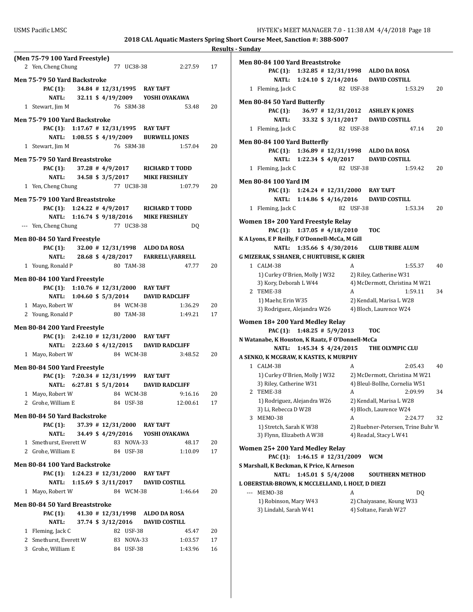| (Men 75-79 100 Yard Freestyle)                                          |                                 |
|-------------------------------------------------------------------------|---------------------------------|
| 2 Yen, Cheng Chung                                                      | 77 UC38-38 2:27.59 17           |
| Men 75-79 50 Yard Backstroke                                            |                                 |
| PAC (1): 34.84 # 12/31/1995 RAY TAFT                                    |                                 |
| NATL: 32.11 \$4/19/2009 YOSHI OYAKAWA                                   |                                 |
| 76 SRM-38<br>1 Stewart, Jim M                                           | 53.48<br>20                     |
|                                                                         |                                 |
| Men 75-79 100 Yard Backstroke                                           |                                 |
| PAC (1): 1:17.67 # 12/31/1995 RAY TAFT                                  |                                 |
| NATL: 1:08.55 \$4/19/2009 BURWELL JONES                                 |                                 |
| 76 SRM-38<br>1 Stewart, Jim M                                           | 20<br>1:57.04                   |
| Men 75-79 50 Yard Breaststroke                                          |                                 |
| PAC (1): 37.28 #4/9/2017 RICHARD T TODD                                 |                                 |
| NATL: 34.58 \$ 3/5/2017 MIKE FRESHLEY                                   |                                 |
| 77 UC38-38<br>1 Yen, Cheng Chung                                        | 1:07.79<br>20                   |
| Men 75-79 100 Yard Breaststroke                                         |                                 |
| PAC (1): 1:24.22 #4/9/2017 RICHARD T TODD                               |                                 |
| NATL: 1:16.74 \$9/18/2016 MIKE FRESHLEY                                 |                                 |
| 77 UC38-38<br>--- Yen, Cheng Chung                                      | DQ                              |
|                                                                         |                                 |
| Men 80-84 50 Yard Freestyle<br>PAC (1): 32.00 # 12/31/1998 ALDO DA ROSA |                                 |
| NATL: 28.68 \$4/28/2017 FARRELL\FARRELL                                 |                                 |
| 1 Young, Ronald P<br>80 TAM-38                                          | 47.77<br>20                     |
|                                                                         |                                 |
| Men 80-84 100 Yard Freestyle                                            |                                 |
| PAC (1): 1:10.76 # 12/31/2000 RAY TAFT                                  |                                 |
| NATL: 1:04.60 \$ 5/3/2014 DAVID RADCLIFF                                |                                 |
| 1 Mayo, Robert W<br>84 WCM-38                                           | 1:36.29<br>20                   |
| 2 Young, Ronald P<br>80 TAM-38                                          | 1:49.21<br>17                   |
| Men 80-84 200 Yard Freestyle                                            |                                 |
| PAC (1): 2:42.10 # 12/31/2000 RAY TAFT                                  |                                 |
| NATL: 2:23.60 \$4/12/2015 DAVID RADCLIFF                                |                                 |
| 84 WCM-38<br>1 Mayo, Robert W                                           | $3:48.52$ 20                    |
| Men 80-84 500 Yard Freestyle                                            |                                 |
| PAC (1): 7:20.34 # 12/31/1999 RAY TAFT                                  |                                 |
| NATL: 6:27.81 \$ 5/1/2014 DAVID RADCLIFF                                |                                 |
| 1 Mayo, Robert W<br>84 WCM-38                                           | 9:16.16<br>20                   |
| 2 Grohe, William E<br>84 USF-38                                         | 12:00.61<br>17                  |
|                                                                         |                                 |
| Men 80-84 50 Yard Backstroke<br>PAC (1):<br>37.39 # 12/31/2000 RAY TAFT |                                 |
| NATL:<br>34.49 \$4/29/2016 YOSHI OYAKAWA                                |                                 |
| 1 Smethurst, Everett W<br>83 NOVA-33                                    | 48.17<br>20                     |
| 2 Grohe, William E<br>84 USF-38                                         | 1:10.09<br>17                   |
|                                                                         |                                 |
| Men 80-84 100 Yard Backstroke                                           |                                 |
| <b>PAC (1):</b><br>$1:24.23$ # $12/31/2000$ RAY TAFT                    |                                 |
| $1:15.69$ \$ 3/11/2017<br><b>NATL:</b>                                  | <b>DAVID COSTILL</b><br>1:46.64 |
| 1 Mayo, Robert W<br>84 WCM-38                                           | 20                              |
| Men 80-84 50 Yard Breaststroke                                          |                                 |
| <b>PAC</b> (1):<br>41.30 # 12/31/1998 ALDO DA ROSA                      |                                 |
| 37.74 \$ 3/12/2016<br>NATL:                                             | <b>DAVID COSTILL</b>            |
| 1 Fleming, Jack C<br>82 USF-38                                          | 20<br>45.47                     |
| 2 Smethurst, Everett W<br>83 NOVA-33                                    | 1:03.57<br>17                   |
| 3 Grohe, William E<br>84 USF-38                                         | 1:43.96<br>16                   |

| Men 80-84 100 Yard Breaststroke                                        |                                   |  |  |
|------------------------------------------------------------------------|-----------------------------------|--|--|
| PAC (1): 1:32.85 # 12/31/1998 ALDO DA ROSA                             |                                   |  |  |
| NATL: 1:24.10 \$ 2/14/2016 DAVID COSTILL                               |                                   |  |  |
| 1 Fleming, Jack C                                                      | 82 USF-38<br>1:53.29<br>20        |  |  |
|                                                                        |                                   |  |  |
| Men 80-84 50 Yard Butterfly                                            |                                   |  |  |
| PAC (1):                                                               | 36.97 # 12/31/2012 ASHLEY K JONES |  |  |
| 33.32 \$ 3/11/2017<br><b>NATL:</b>                                     | <b>DAVID COSTILL</b>              |  |  |
| 1 Fleming, Jack C                                                      | 82 USF-38<br>20<br>47.14          |  |  |
| Men 80-84 100 Yard Butterfly                                           |                                   |  |  |
| PAC (1): 1:36.89 # 12/31/1998 ALDO DA ROSA                             |                                   |  |  |
| 1:22.34 \$ 4/8/2017<br><b>NATL:</b>                                    | <b>DAVID COSTILL</b>              |  |  |
| 1 Fleming, Jack C                                                      | 82 USF-38<br>1:59.42<br>20        |  |  |
|                                                                        |                                   |  |  |
| <b>Men 80-84 100 Yard IM</b><br>PAC (1): 1:24.24 # 12/31/2000 RAY TAFT |                                   |  |  |
|                                                                        | <b>DAVID COSTILL</b>              |  |  |
| NATL: 1:14.86 \$4/16/2016                                              | 82 USF-38<br>1:53.34              |  |  |
| 1 Fleming, Jack C                                                      | 20                                |  |  |
| Women 18+200 Yard Freestyle Relay                                      |                                   |  |  |
| PAC (1): $1:37.05 \# 4/18/2010$                                        | <b>TOC</b>                        |  |  |
| K A Lyons, E P Reilly, F O'Donnell-McCa, M Gill                        |                                   |  |  |
| 1:35.66 \$4/30/2016<br><b>NATL:</b>                                    | <b>CLUB TRIBE ALUM</b>            |  |  |
| <b>G MIZERAK, S SHANER, C HURTUBISE, K GRIER</b>                       |                                   |  |  |
| 1 CALM-38                                                              | A<br>1:55.37<br>40                |  |  |
| 1) Curley O'Brien, Molly J W32                                         | 2) Riley, Catherine W31           |  |  |
| 3) Kory, Deborah L W44                                                 | 4) McDermott, Christina M W21     |  |  |
| 2 TEME-38                                                              | 1:59.11<br>34<br>A                |  |  |
| 1) Maehr, Erin W35                                                     | 2) Kendall, Marisa L W28          |  |  |
| 3) Rodriguez, Alejandra W26                                            | 4) Bloch, Laurence W24            |  |  |
| Women 18+200 Yard Medley Relay                                         |                                   |  |  |
| <b>PAC (1):</b><br>$1:48.25$ # $5/9/2013$                              | <b>TOC</b>                        |  |  |
| N Watanabe, K Houston, K Raatz, F O'Donnell-McCa                       |                                   |  |  |
| <b>NATL:</b><br>1:45.34 \$ 4/24/2015                                   | THE OLYMPIC CLU                   |  |  |
| A SENKO, K MCGRAW, K KASTES, K MURPHY                                  |                                   |  |  |
| 1 CALM-38                                                              | 2:05.43<br>40<br>A                |  |  |
| 1) Curley O'Brien, Molly J W32                                         | 2) McDermott, Christina M W21     |  |  |
| 3) Riley, Catherine W31                                                | 4) Bleul-Bollhe, Cornelia W51     |  |  |
| 2 TEME-38                                                              | A<br>2:09.99<br>34                |  |  |
| 1) Rodriguez, Alejandra W26                                            | 2) Kendall, Marisa L W28          |  |  |
| 3) Li, Rebecca D W28                                                   | 4) Bloch, Laurence W24            |  |  |
| 3 MEMO-38                                                              | A<br>2:24.77<br>32                |  |  |
| 1) Stretch, Sarah K W38                                                | 2) Ruebner-Petersen, Trine Buhr W |  |  |
| 3) Flynn, Elizabeth A W38                                              | 4) Readal, Stacy L W41            |  |  |
|                                                                        |                                   |  |  |
| Women 25+200 Yard Medley Relay                                         |                                   |  |  |
| $1:46.15$ # $12/31/2009$<br>PAC (1):                                   | <b>WCM</b>                        |  |  |
| S Marshall, K Beckman, K Price, K Arneson                              |                                   |  |  |
| NATL:<br>1:45.01 \$ 5/4/2008                                           | <b>SOUTHERN METHOD</b>            |  |  |
| L OBERSTAR-BROWN, K MCCLELLAND, L HOLT, D DIEZI                        |                                   |  |  |
| --- MEMO-38                                                            | A<br>DQ                           |  |  |
| 1) Robinson, Mary W43                                                  | 2) Chaiyasane, Koung W33          |  |  |
| 3) Lindahl, Sarah W41                                                  | 4) Soltane, Farah W27             |  |  |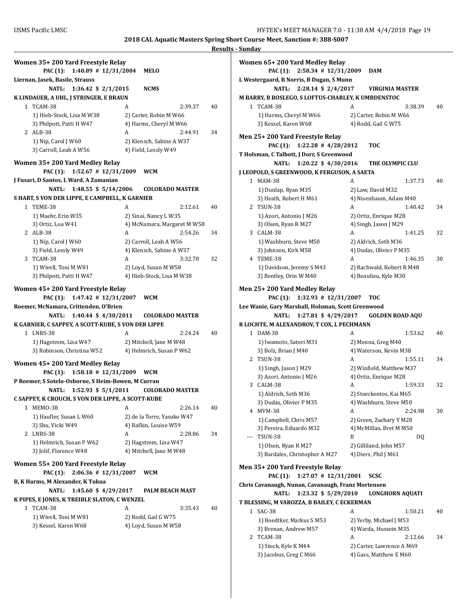| Women 35+200 Yard Freestyle Relay<br><b>PAC</b> (1):<br>$1:40.89$ # $12/31/2004$                                                                                                                                 | MELO                                                |    |
|------------------------------------------------------------------------------------------------------------------------------------------------------------------------------------------------------------------|-----------------------------------------------------|----|
| Liernan, Jasek, Basile, Strauss                                                                                                                                                                                  |                                                     |    |
| NATL: 1:36.42 \$ 2/1/2015                                                                                                                                                                                        | <b>NCMS</b>                                         |    |
| K LINDAUER, A UHL, J STRINGER, E BRAUN                                                                                                                                                                           |                                                     |    |
| 1 TCAM-38                                                                                                                                                                                                        | 2:39.37<br>A                                        | 40 |
| 1) Hieb-Stock, Lisa M W38                                                                                                                                                                                        | 2) Carter, Robin M W66                              |    |
| 3) Philpott, Patti H W47                                                                                                                                                                                         | 4) Harms, Cheryl M W66                              |    |
| 2 ALB-38                                                                                                                                                                                                         | A<br>2:44.91                                        | 34 |
| 1) Nip, Carol J W60                                                                                                                                                                                              | 2) Klensch, Sabine A W37                            |    |
| 3) Carroll, Leah A W56                                                                                                                                                                                           | 4) Field, Lessly W49                                |    |
|                                                                                                                                                                                                                  |                                                     |    |
| Women 35+200 Yard Medley Relay                                                                                                                                                                                   |                                                     |    |
| $1:52.67$ # $12/31/2009$<br>PAC (1):                                                                                                                                                                             | <b>WCM</b>                                          |    |
| J Fusari, D Santos, L Ward, A Zamanian                                                                                                                                                                           |                                                     |    |
| $1:48.55$ \$ $5/14/2006$<br>NATL:                                                                                                                                                                                | <b>COLORADO MASTER</b>                              |    |
| S HART, S VON DER LIPPE, E CAMPBELL, K GARNIER                                                                                                                                                                   |                                                     |    |
| 1 TEME-38                                                                                                                                                                                                        | A<br>2:12.61                                        | 40 |
| 1) Maehr, Erin W35                                                                                                                                                                                               | 2) Sinai, Nancy L W35                               |    |
| 3) Ortiz, Loa W41                                                                                                                                                                                                | 4) McNamara, Margaret M W58                         |    |
| 2 ALB-38                                                                                                                                                                                                         | 2:54.26<br>A                                        | 34 |
| 1) Nip, Carol J W60                                                                                                                                                                                              | 2) Carroll, Leah A W56                              |    |
| 3) Field, Lessly W49                                                                                                                                                                                             | 4) Klensch, Sabine A W37                            |    |
| 3 TCAM-38                                                                                                                                                                                                        | A<br>3:32.70                                        | 32 |
| 1) Wivell, Toni M W81                                                                                                                                                                                            | 2) Loyd, Susan M W58                                |    |
| 3) Philpott, Patti H W47                                                                                                                                                                                         | 4) Hieb-Stock, Lisa M W38                           |    |
| Women 45+200 Yard Freestyle Relay<br><b>PAC (1):</b><br>$1:47.42$ # $12/31/2007$<br>Roemer, McNamara, Crittenden, O'Brien<br>1:40.44 \$ 4/30/2011<br>NATL:<br>K GARNIER, C SAPPEY, A SCOTT-KUBE, S VON DER LIPPE | <b>WCM</b><br><b>COLORADO MASTER</b>                |    |
|                                                                                                                                                                                                                  |                                                     |    |
| 1 LNRS-38                                                                                                                                                                                                        | A<br>2:24.24                                        | 40 |
| 1) Hagstrom, Lisa W47<br>3) Robinson, Christina W52                                                                                                                                                              | 2) Mitchell, Jane M W48<br>4) Helmrich, Susan P W62 |    |
|                                                                                                                                                                                                                  |                                                     |    |
| Women 45+200 Yard Medley Relay                                                                                                                                                                                   |                                                     |    |
| PAC (1):<br>$1:58.18$ # $12/31/2009$                                                                                                                                                                             | <b>WCM</b>                                          |    |
| P Roemer, S Sotelo-Osborne, S Heim-Bowen, M Curran                                                                                                                                                               |                                                     |    |
| 1:52.93 \$ 5/1/2011<br>NATL:                                                                                                                                                                                     | <b>COLORADO MASTER</b>                              |    |
| C SAPPEY, K CROUCH, S VON DER LIPPE, A SCOTT-KUBE                                                                                                                                                                |                                                     |    |
| MEMO-38<br>1                                                                                                                                                                                                     | 2:26.14<br>A                                        | 40 |
| 1) Haufler, Susan L W60                                                                                                                                                                                          | 2) de la Torre, Yasuko W47                          |    |
| 3) Shu, Vicki W49                                                                                                                                                                                                | 4) Rafkin, Louise W59                               |    |
| 2 LNRS-38                                                                                                                                                                                                        | A<br>2:28.86                                        | 34 |
| 1) Helmrich, Susan P W62                                                                                                                                                                                         | 2) Hagstrom, Lisa W47                               |    |
| 3) Jolif, Florence W48                                                                                                                                                                                           | 4) Mitchell, Jane M W48                             |    |
|                                                                                                                                                                                                                  |                                                     |    |
| Women 55+200 Yard Freestyle Relay                                                                                                                                                                                |                                                     |    |
| $2:06.36$ # 12/31/2007<br>PAC (1):                                                                                                                                                                               | <b>WCM</b>                                          |    |
| B, K Harms, M Alexander, K Tukua                                                                                                                                                                                 |                                                     |    |
| 1:45.60 \$ 4/29/2017<br>NATL:                                                                                                                                                                                    | <b>PALM BEACH MAST</b>                              |    |
| K PIPES, E JONES, K TREIBLE SLATON, C WENZEL                                                                                                                                                                     |                                                     |    |
| 1 TCAM-38                                                                                                                                                                                                        | A<br>3:35.43                                        | 40 |
| 1) Wivell, Toni M W81                                                                                                                                                                                            | 2) Rodd, Gail G W75                                 |    |
| 3) Kessel, Karen W68                                                                                                                                                                                             | 4) Loyd, Susan M W58                                |    |
|                                                                                                                                                                                                                  |                                                     |    |

|              | Women 65+ 200 Yard Medley Relay                                                           |                                                     |    |
|--------------|-------------------------------------------------------------------------------------------|-----------------------------------------------------|----|
|              | <b>PAC</b> (1):<br>$2:58.34$ # $12/31/2009$                                               | <b>DAM</b>                                          |    |
|              | L Westergaard, R Norris, B Dugan, S Munn                                                  |                                                     |    |
|              | <b>NATL:</b><br>2:28.14 \$ 2/4/2017<br>M BARRY, B BOSLEGO, S LOFTUS-CHARLEY, K UMBDENSTOC | <b>VIRGINIA MASTER</b>                              |    |
| $\mathbf{1}$ | TCAM-38                                                                                   | A<br>3:38.39                                        | 40 |
|              | 1) Harms, Cheryl M W66                                                                    | 2) Carter, Robin M W66                              |    |
|              | 3) Kessel, Karen W68                                                                      | 4) Rodd, Gail G W75                                 |    |
|              | Men 25+ 200 Yard Freestyle Relay                                                          |                                                     |    |
|              | <b>PAC</b> (1):<br>$1:22.28$ # $4/28/2012$                                                | <b>TOC</b>                                          |    |
|              | T Holsman, C Talbott, J Dorr, S Greenwood                                                 |                                                     |    |
|              | <b>NATL:</b><br>1:20.22 \$ 4/30/2016                                                      | THE OLYMPIC CLU                                     |    |
|              | J LEOPOLD, S GREENWOOD, K FERGUSON, A SAETA                                               |                                                     |    |
| 1            | <b>MAM-38</b>                                                                             | A<br>1:37.73                                        | 40 |
|              | 1) Dunlap, Ryan M35                                                                       | 2) Law, David M32                                   |    |
|              | 3) Heath, Robert H M61                                                                    | 4) Nisenbaum, Adam M40                              |    |
|              | 2 TSUN-38                                                                                 | A<br>1:40.42                                        | 34 |
|              | 1) Azori, Antonio J M26                                                                   | 2) Ortiz, Enrique M28                               |    |
|              | 3) Olsen, Ryan R M27                                                                      | 4) Singh, Jason J M29                               |    |
|              | 3 CALM-38                                                                                 | A<br>1:41.25                                        | 32 |
|              | 1) Washburn, Steve M50                                                                    | 2) Aldrich, Seth M36                                |    |
|              | 3) Johnson, Kirk M58                                                                      | 4) Dudas, Olivier P M35                             |    |
| 4            | TEME-38                                                                                   | A<br>1:46.35                                        | 30 |
|              | 1) Davidson, Jeremy S M43                                                                 | 2) Rachwald, Robert R M48                           |    |
|              | 3) Bentley, Orin W M40                                                                    | 4) Beaulieu, Kyle M30                               |    |
|              | Men 25+ 200 Yard Medley Relay                                                             |                                                     |    |
|              | <b>PAC</b> (1):<br>$1:32.93$ # $12/31/2007$                                               | <b>TOC</b>                                          |    |
|              | Lee Wanie, Gary Marshall, Holsman, Scott Greenwood                                        |                                                     |    |
|              |                                                                                           |                                                     |    |
|              | <b>NATL:</b><br>1:27.81 \$ 4/29/2017                                                      | <b>GOLDEN ROAD AQU</b>                              |    |
|              | R LOCHTE, M ALEXANDROV, T COX, L PECHMANN                                                 |                                                     |    |
|              | 1 DAM-38                                                                                  | 1:53.62<br>A                                        | 40 |
|              | 1) Iwamoto, Satori M31                                                                    | 2) Menna, Greg M40                                  |    |
|              | 3) Bolz, Brian J M40                                                                      | 4) Waterson, Kevin M38                              |    |
| 2            | TSUN-38                                                                                   | A<br>1:55.11                                        | 34 |
|              | 1) Singh, Jason J M29                                                                     | 2) Winfield, Matthew M37                            |    |
|              | 3) Azori, Antonio J M26                                                                   | 4) Ortiz, Enrique M28                               |    |
| 3            | CALM-38                                                                                   | 1:59.33<br>A                                        | 32 |
|              | 1) Aldrich, Seth M36                                                                      | 2) Stoeckentos, Kai M65                             |    |
|              | 3) Dudas, Olivier P M35                                                                   | 4) Washburn, Steve M50                              |    |
|              | 4 MVM-38                                                                                  | 2:24.98<br>A                                        | 30 |
|              | 1) Campbell, Chris M57                                                                    | 2) Green, Zachary Y M28                             |    |
|              | 3) Pereira, Eduardo M32                                                                   | 4) McMillan, Bret M M50                             |    |
| ---          | <b>TSUN-38</b>                                                                            | B<br>DQ                                             |    |
|              | 1) Olsen, Ryan R M27                                                                      | 2) Gilliland, John M57                              |    |
|              | 3) Bardales, Christopher A M27                                                            | 4) Diers, Phil J M61                                |    |
|              |                                                                                           |                                                     |    |
|              | Men 35+ 200 Yard Freestyle Relay                                                          |                                                     |    |
|              | PAC (1):<br>$1:27.07$ # $12/31/2001$                                                      | scsc                                                |    |
|              | Chris Cavanaugh, Nunan, Cavanaugh, Franz Mortensen                                        |                                                     |    |
|              | 1:23.32 \$ 5/29/2010<br>NATL:                                                             | <b>LONGHORN AQUATI</b>                              |    |
|              | T BLESSING, M VAROZZA, B BAILEY, C ECKERMAN                                               |                                                     |    |
| $\mathbf{1}$ | SAC-38                                                                                    | A<br>1:50.21                                        | 40 |
|              | 1) Boedtker, Markus S M53                                                                 | 2) Yerby, Michael J M53                             |    |
|              | 3) Brenan, Andrew M57                                                                     | 4) Warda, Hussein M35                               |    |
| 2            | TCAM-38                                                                                   | 2:12.66<br>A                                        | 34 |
|              | 1) Stock, Kyle K M44<br>3) Jacobus, Greg C M66                                            | 2) Carter, Lawrence A M69<br>4) Gass, Matthew E M60 |    |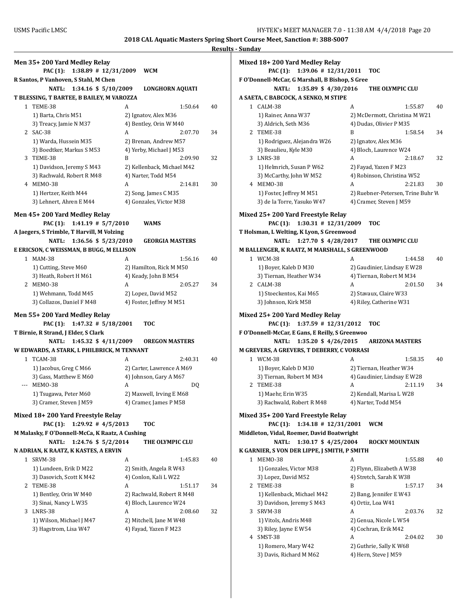| Men 35+200 Yard Medley Relay<br><b>PAC (1):</b><br>$1:38.89$ # $12/31/2009$ |   | <b>WCM</b>                 |    |
|-----------------------------------------------------------------------------|---|----------------------------|----|
| R Santos, P Vanhoven, S Stahl, M Chen                                       |   |                            |    |
| NATL:<br>1:34.16 \$ 5/10/2009                                               |   | <b>LONGHORN AQUATI</b>     |    |
| T BLESSING, T BARTEE, B BAILEY, M VAROZZA                                   |   |                            |    |
|                                                                             |   |                            |    |
| 1 TEME-38                                                                   | A | 1:50.64                    | 40 |
| 1) Barta, Chris M51                                                         |   | 2) Ignatov, Alex M36       |    |
| 3) Treacy, Jamie N M37                                                      |   | 4) Bentley, Orin W M40     |    |
| 2 SAC-38                                                                    | A | 2:07.70                    | 34 |
| 1) Warda, Hussein M35                                                       |   | 2) Brenan, Andrew M57      |    |
| 3) Boedtker, Markus S M53                                                   |   | 4) Yerby, Michael J M53    |    |
| 3 TEME-38                                                                   | B | 2:09.90                    | 32 |
| 1) Davidson, Jeremy S M43                                                   |   | 2) Kellenback, Michael M42 |    |
| 3) Rachwald, Robert R M48                                                   |   | 4) Narter, Todd M54        |    |
| 4 MEMO-38                                                                   | A | 2:14.81                    | 30 |
| 1) Hertzer, Keith M44                                                       |   | 2) Song, James C M35       |    |
| 3) Lehnert, Ahren E M44                                                     |   | 4) Gonzales, Victor M38    |    |
|                                                                             |   |                            |    |
| Men 45+200 Yard Medley Relay                                                |   |                            |    |
| PAC (1): 1:41.19 # 5/7/2010                                                 |   | <b>WAMS</b>                |    |
| A Jaegers, S Trimble, T Harvill, M Volzing                                  |   |                            |    |
| NATL: 1:36.56 \$ 5/23/2010                                                  |   | <b>GEORGIA MASTERS</b>     |    |
|                                                                             |   |                            |    |
| E ERICSON, C WEISSMAN, B BUGG, M ELLISON                                    |   |                            |    |
| 1 MAM-38                                                                    | A | 1:56.16                    | 40 |
| 1) Cutting, Steve M60                                                       |   | 2) Hamilton, Rick M M50    |    |
| 3) Heath, Robert H M61                                                      |   | 4) Keady, John B M54       |    |
| 2 MEMO-38                                                                   | A | 2:05.27                    | 34 |
| 1) Wehmann, Todd M45                                                        |   | 2) Lopez, David M52        |    |
| 3) Collazos, Daniel F M48                                                   |   | 4) Foster, Jeffrey M M51   |    |
|                                                                             |   |                            |    |
| Men 55+200 Yard Medley Relay                                                |   |                            |    |
| <b>PAC (1):</b><br>$1:47.32$ # $5/18/2001$                                  |   | <b>TOC</b>                 |    |
| T Birnie, R Strand, J Elder, S Clark                                        |   |                            |    |
| 1:45.32 \$ 4/11/2009<br>NATL:                                               |   | <b>OREGON MASTERS</b>      |    |
| W EDWARDS, A STARK, L PHILBRICK, M TENNANT                                  |   |                            |    |
| 1 TCAM-38                                                                   | A | 2:40.31                    | 40 |
| 1) Jacobus, Greg C M66                                                      |   | 2) Carter, Lawrence A M69  |    |
|                                                                             |   |                            |    |
| 3) Gass, Matthew E M60                                                      |   | 4) Johnson, Gary A M67     |    |
| MEMO-38                                                                     | A | DQ                         |    |
| 1) Tsugawa, Peter M60                                                       |   | 2) Maxwell, Irving E M68   |    |
| 3) Cramer, Steven J M59                                                     |   | 4) Cramer, James P M58     |    |
|                                                                             |   |                            |    |
| Mixed 18+200 Yard Freestyle Relay                                           |   |                            |    |
| PAC (1):<br>$1:29.92$ # $4/5/2013$                                          |   | <b>TOC</b>                 |    |
| M Malasky, F O'Donnell-McCa, K Raatz, A Cushing                             |   |                            |    |
| <b>NATL:</b><br>1:24.76 \$ 5/2/2014                                         |   | THE OLYMPIC CLU            |    |
| N ADRIAN, K RAATZ, K KASTES, A ERVIN                                        |   |                            |    |
| 1 SRVM-38                                                                   | A | 1:45.83                    | 40 |
| 1) Lundeen, Erik D M22                                                      |   | 2) Smith, Angela R W43     |    |
| 3) Dasovich, Scott K M42                                                    |   | 4) Conlon, Kali L W22      |    |
| 2 TEME-38                                                                   | A | 1:51.17                    | 34 |
|                                                                             |   |                            |    |
| 1) Bentley, Orin W M40                                                      |   | 2) Rachwald, Robert R M48  |    |
| 3) Sinai, Nancy L W35                                                       |   | 4) Bloch, Laurence W24     |    |
| 3 LNRS-38                                                                   | A | 2:08.60                    | 32 |
| 1) Wilson, Michael J M47                                                    |   | 2) Mitchell, Jane M W48    |    |
| 3) Hagstrom, Lisa W47                                                       |   | 4) Fayad, Yazen F M23      |    |
|                                                                             |   |                            |    |
|                                                                             |   |                            |    |

|   | Mixed 18+ 200 Yard Medley Relay                                                                |                                   |    |
|---|------------------------------------------------------------------------------------------------|-----------------------------------|----|
|   | <b>PAC</b> (1):<br>$1:39.06$ # $12/31/2011$<br>F O'Donnell-McCar, G Marshall, B Bishop, S Gree | <b>TOC</b>                        |    |
|   | <b>NATL:</b><br>1:35.89 \$ 4/30/2016                                                           | THE OLYMPIC CLU                   |    |
|   | A SAETA, C BABCOCK, A SENKO, M STIPE                                                           |                                   |    |
|   | 1 CALM-38                                                                                      | A<br>1:55.87                      | 40 |
|   | 1) Rainer, Anna W37                                                                            | 2) McDermott, Christina M W21     |    |
|   | 3) Aldrich, Seth M36                                                                           | 4) Dudas, Olivier P M35           |    |
| 2 | TEME-38                                                                                        | B<br>1:58.54                      | 34 |
|   | 1) Rodriguez, Alejandra W26                                                                    | 2) Ignatov, Alex M36              |    |
|   | 3) Beaulieu, Kyle M30                                                                          | 4) Bloch, Laurence W24            |    |
|   | 3 LNRS-38                                                                                      | A<br>2:18.67                      | 32 |
|   | 1) Helmrich, Susan P W62                                                                       | 2) Fayad, Yazen F M23             |    |
|   | 3) McCarthy, John W M52                                                                        | 4) Robinson, Christina W52        |    |
|   | 4 MEMO-38                                                                                      | A<br>2:21.83                      | 30 |
|   | 1) Foster, Jeffrey M M51                                                                       | 2) Ruebner-Petersen, Trine Buhr W |    |
|   | 3) de la Torre, Yasuko W47                                                                     | 4) Cramer, Steven J M59           |    |
|   | Mixed 25+ 200 Yard Freestyle Relay                                                             |                                   |    |
|   | $1:30.31$ # $12/31/2009$<br><b>PAC (1):</b>                                                    | TOC                               |    |
|   | T Holsman, L Welting, K Lyon, S Greenwood                                                      |                                   |    |
|   | 1:27.70 \$ 4/28/2017<br><b>NATL:</b>                                                           | THE OLYMPIC CLU                   |    |
|   | M BALLENGER, K RAATZ, M MARSHALL, S GREENWOOD                                                  |                                   |    |
|   | 1 WCM-38                                                                                       | A<br>1:44.58                      | 40 |
|   | 1) Boyer, Kaleb D M30                                                                          | 2) Gaudinier, Lindsay E W28       |    |
|   | 3) Tiernan, Heather W34                                                                        | 4) Tiernan, Robert M M34          |    |
|   | 2 CALM-38                                                                                      | A<br>2:01.50                      | 34 |
|   | 1) Stoeckentos, Kai M65                                                                        | 2) Stavaux, Claire W33            |    |
|   | 3) Johnson, Kirk M58                                                                           | 4) Riley, Catherine W31           |    |
|   | Mixed 25+ 200 Yard Medley Relay                                                                |                                   |    |
|   | $1:37.59$ # $12/31/2012$<br><b>PAC (1):</b>                                                    | TOC                               |    |
|   | F O'Donnell-McCar, E Gans, E Reilly, S Greenwoo                                                |                                   |    |
|   | 1:35.20 \$ 4/26/2015<br>NATL:                                                                  | <b>ARIZONA MASTERS</b>            |    |
|   | M GREVERS, A GREVERS, T DEBERRY, C VORRASI                                                     |                                   |    |
|   | 1 WCM-38                                                                                       | A<br>1:58.35                      | 40 |
|   | 1) Boyer, Kaleb D M30                                                                          | 2) Tiernan, Heather W34           |    |
|   | 3) Tiernan, Robert M M34                                                                       | 4) Gaudinier, Lindsay E W28       |    |
| 2 | TEME-38                                                                                        | 2:11.19<br>A                      | 34 |
|   | 1) Maehr, Erin W35                                                                             | 2) Kendall, Marisa L W28          |    |
|   | 3) Rachwald, Robert R M48                                                                      | 4) Narter, Todd M54               |    |
|   |                                                                                                |                                   |    |
|   | Mixed 35+ 200 Yard Freestyle Relay                                                             |                                   |    |
|   | $1:34.18$ # $12/31/2001$<br><b>PAC (1):</b>                                                    | WCM                               |    |
|   | Middleton, Vidal, Roemer, David Boatwright                                                     |                                   |    |
|   | <b>NATL:</b><br>1:30.17 \$ 4/25/2004                                                           | <b>ROCKY MOUNTAIN</b>             |    |
|   | K GARNIER, S VON DER LIPPE, J SMITH, P SMITH                                                   |                                   |    |
| 1 | <b>MEMO-38</b>                                                                                 | A<br>1:55.88                      | 40 |
|   | 1) Gonzales, Victor M38                                                                        | 2) Flynn, Elizabeth A W38         |    |
|   | 3) Lopez, David M52                                                                            | 4) Stretch, Sarah K W38           |    |
| 2 | TEME-38                                                                                        | B<br>1:57.17                      | 34 |
|   | 1) Kellenback, Michael M42                                                                     | 2) Bang, Jennifer E W43           |    |
|   | 3) Davidson, Jeremy S M43                                                                      | 4) Ortiz, Loa W41                 |    |
| 3 | SRVM-38                                                                                        | A<br>2:03.76                      | 32 |
|   | 1) Vitols, Andris M48                                                                          | 2) Genua, Nicole L W54            |    |
|   | 3) Riley, Jayne E W54                                                                          | 4) Cochran, Erik M42              |    |
| 4 | SMST-38                                                                                        | A<br>2:04.02                      | 30 |
|   | 1) Romero, Mary W42                                                                            | 2) Guthrie, Sally K W68           |    |
|   | 3) Davis, Richard M M62                                                                        | 4) Hern, Steve J M59              |    |